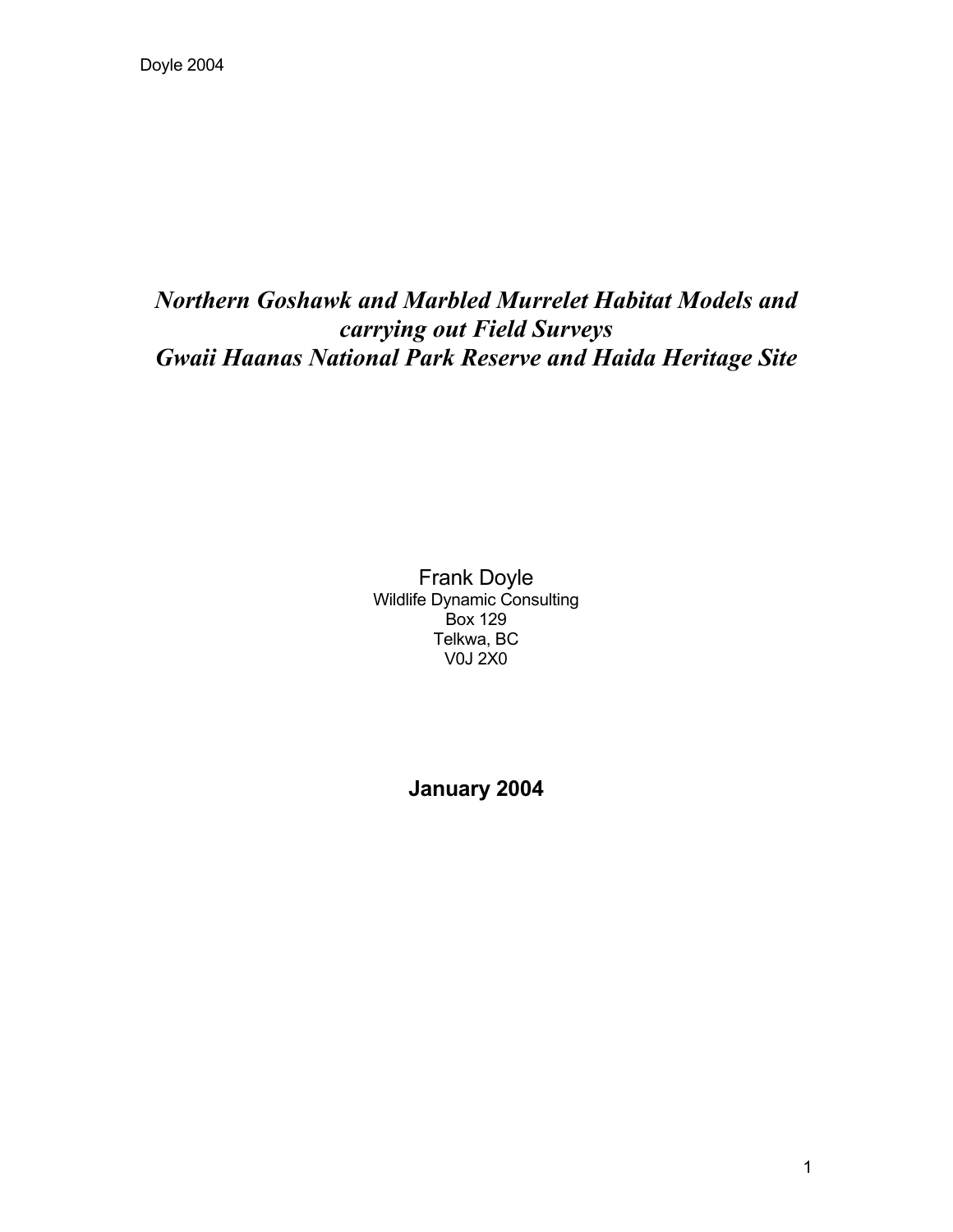# *Northern Goshawk and Marbled Murrelet Habitat Models and carrying out Field Surveys Gwaii Haanas National Park Reserve and Haida Heritage Site*

Frank Doyle Wildlife Dynamic Consulting Box 129 Telkwa, BC V0J 2X0

**January 2004**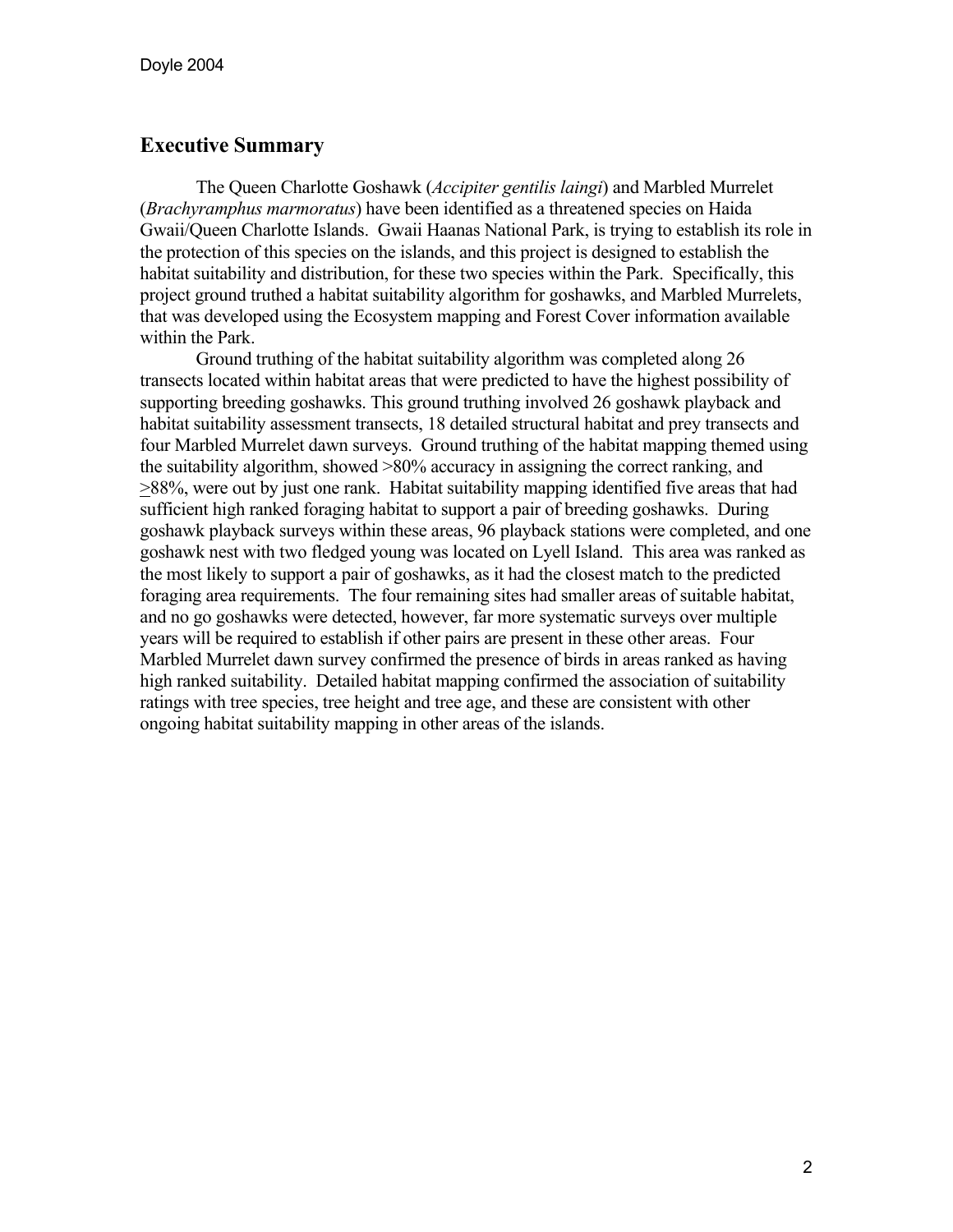# **Executive Summary**

The Queen Charlotte Goshawk (*Accipiter gentilis laingi*) and Marbled Murrelet (*Brachyramphus marmoratus*) have been identified as a threatened species on Haida Gwaii/Queen Charlotte Islands. Gwaii Haanas National Park, is trying to establish its role in the protection of this species on the islands, and this project is designed to establish the habitat suitability and distribution, for these two species within the Park. Specifically, this project ground truthed a habitat suitability algorithm for goshawks, and Marbled Murrelets, that was developed using the Ecosystem mapping and Forest Cover information available within the Park.

Ground truthing of the habitat suitability algorithm was completed along 26 transects located within habitat areas that were predicted to have the highest possibility of supporting breeding goshawks. This ground truthing involved 26 goshawk playback and habitat suitability assessment transects, 18 detailed structural habitat and prey transects and four Marbled Murrelet dawn surveys. Ground truthing of the habitat mapping themed using the suitability algorithm, showed >80% accuracy in assigning the correct ranking, and >88%, were out by just one rank. Habitat suitability mapping identified five areas that had sufficient high ranked foraging habitat to support a pair of breeding goshawks. During goshawk playback surveys within these areas, 96 playback stations were completed, and one goshawk nest with two fledged young was located on Lyell Island. This area was ranked as the most likely to support a pair of goshawks, as it had the closest match to the predicted foraging area requirements. The four remaining sites had smaller areas of suitable habitat, and no go goshawks were detected, however, far more systematic surveys over multiple years will be required to establish if other pairs are present in these other areas. Four Marbled Murrelet dawn survey confirmed the presence of birds in areas ranked as having high ranked suitability. Detailed habitat mapping confirmed the association of suitability ratings with tree species, tree height and tree age, and these are consistent with other ongoing habitat suitability mapping in other areas of the islands.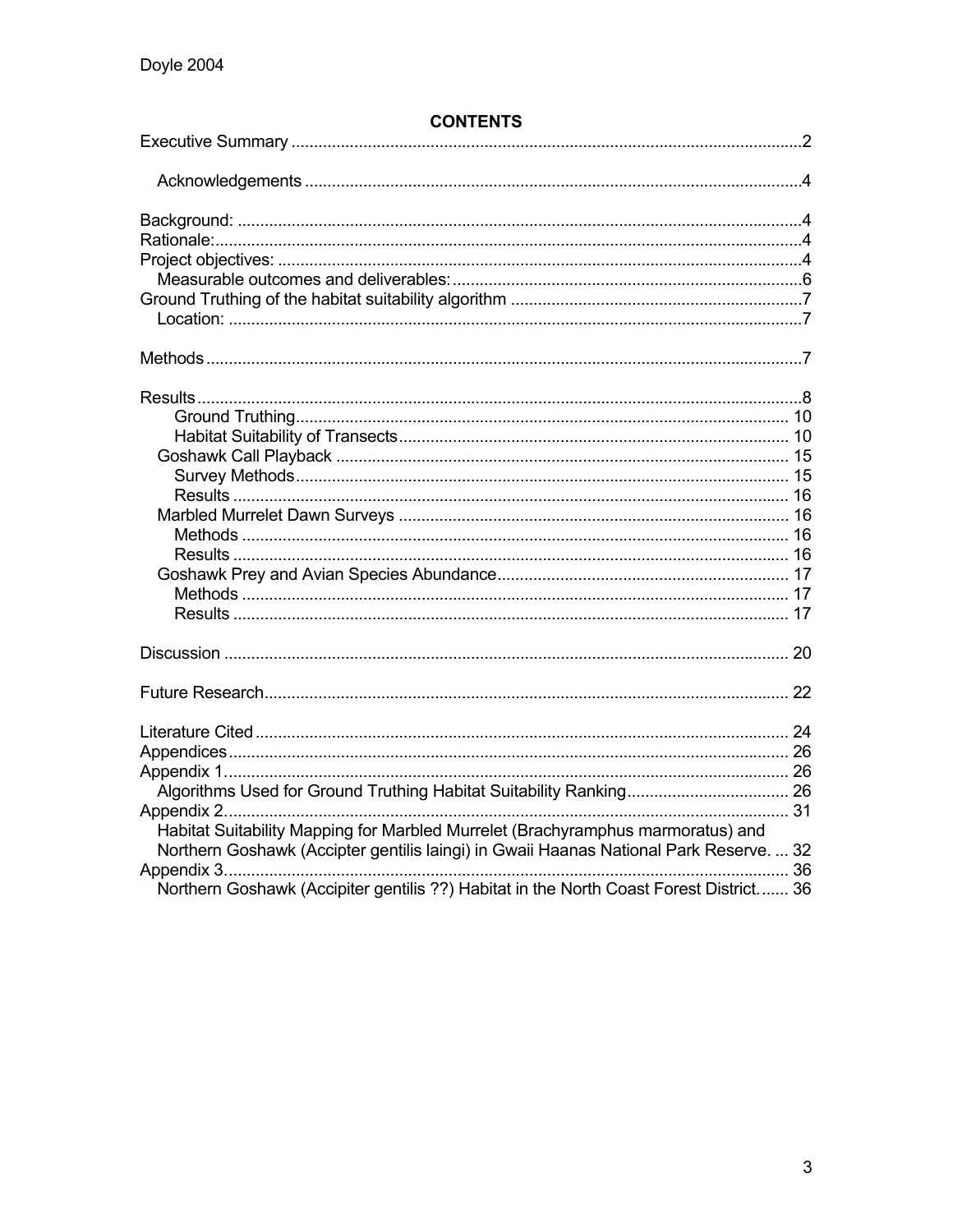| <b>CONTENTS</b> |
|-----------------|
|-----------------|

| Habitat Suitability Mapping for Marbled Murrelet (Brachyramphus marmoratus) and        |  |
|----------------------------------------------------------------------------------------|--|
| Northern Goshawk (Accipter gentilis laingi) in Gwaii Haanas National Park Reserve.  32 |  |
|                                                                                        |  |
| Northern Goshawk (Accipiter gentilis ??) Habitat in the North Coast Forest District 36 |  |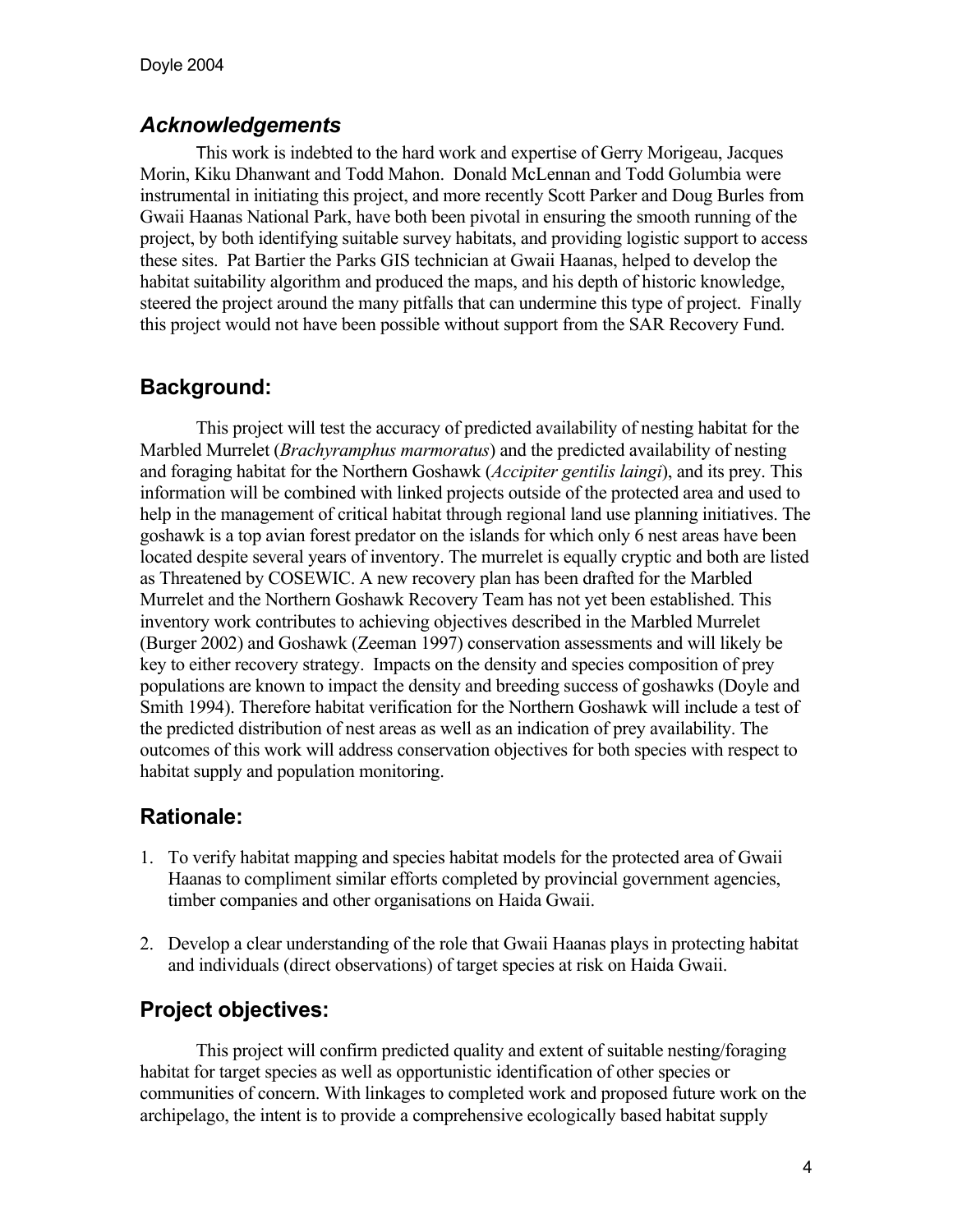# *Acknowledgements*

 This work is indebted to the hard work and expertise of Gerry Morigeau, Jacques Morin, Kiku Dhanwant and Todd Mahon. Donald McLennan and Todd Golumbia were instrumental in initiating this project, and more recently Scott Parker and Doug Burles from Gwaii Haanas National Park, have both been pivotal in ensuring the smooth running of the project, by both identifying suitable survey habitats, and providing logistic support to access these sites. Pat Bartier the Parks GIS technician at Gwaii Haanas, helped to develop the habitat suitability algorithm and produced the maps, and his depth of historic knowledge, steered the project around the many pitfalls that can undermine this type of project. Finally this project would not have been possible without support from the SAR Recovery Fund.

# **Background:**

This project will test the accuracy of predicted availability of nesting habitat for the Marbled Murrelet (*Brachyramphus marmoratus*) and the predicted availability of nesting and foraging habitat for the Northern Goshawk (*Accipiter gentilis laingi*), and its prey. This information will be combined with linked projects outside of the protected area and used to help in the management of critical habitat through regional land use planning initiatives. The goshawk is a top avian forest predator on the islands for which only 6 nest areas have been located despite several years of inventory. The murrelet is equally cryptic and both are listed as Threatened by COSEWIC. A new recovery plan has been drafted for the Marbled Murrelet and the Northern Goshawk Recovery Team has not yet been established. This inventory work contributes to achieving objectives described in the Marbled Murrelet (Burger 2002) and Goshawk (Zeeman 1997) conservation assessments and will likely be key to either recovery strategy. Impacts on the density and species composition of prey populations are known to impact the density and breeding success of goshawks (Doyle and Smith 1994). Therefore habitat verification for the Northern Goshawk will include a test of the predicted distribution of nest areas as well as an indication of prey availability. The outcomes of this work will address conservation objectives for both species with respect to habitat supply and population monitoring.

# **Rationale:**

- 1. To verify habitat mapping and species habitat models for the protected area of Gwaii Haanas to compliment similar efforts completed by provincial government agencies, timber companies and other organisations on Haida Gwaii.
- 2. Develop a clear understanding of the role that Gwaii Haanas plays in protecting habitat and individuals (direct observations) of target species at risk on Haida Gwaii.

# **Project objectives:**

This project will confirm predicted quality and extent of suitable nesting/foraging habitat for target species as well as opportunistic identification of other species or communities of concern. With linkages to completed work and proposed future work on the archipelago, the intent is to provide a comprehensive ecologically based habitat supply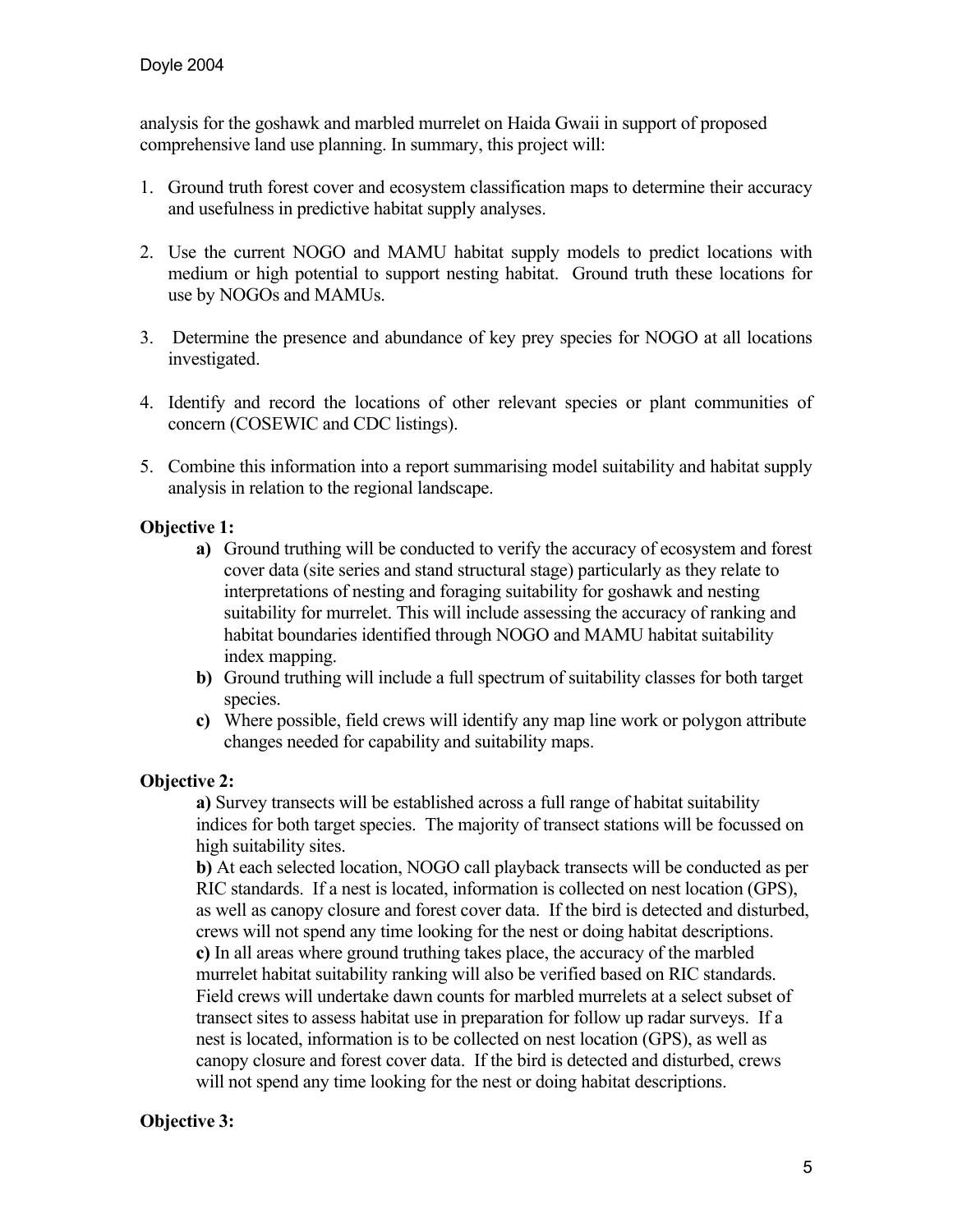analysis for the goshawk and marbled murrelet on Haida Gwaii in support of proposed comprehensive land use planning. In summary, this project will:

- 1. Ground truth forest cover and ecosystem classification maps to determine their accuracy and usefulness in predictive habitat supply analyses.
- 2. Use the current NOGO and MAMU habitat supply models to predict locations with medium or high potential to support nesting habitat. Ground truth these locations for use by NOGOs and MAMUs.
- 3. Determine the presence and abundance of key prey species for NOGO at all locations investigated.
- 4. Identify and record the locations of other relevant species or plant communities of concern (COSEWIC and CDC listings).
- 5. Combine this information into a report summarising model suitability and habitat supply analysis in relation to the regional landscape.

### **Objective 1:**

- **a)** Ground truthing will be conducted to verify the accuracy of ecosystem and forest cover data (site series and stand structural stage) particularly as they relate to interpretations of nesting and foraging suitability for goshawk and nesting suitability for murrelet. This will include assessing the accuracy of ranking and habitat boundaries identified through NOGO and MAMU habitat suitability index mapping.
- **b)** Ground truthing will include a full spectrum of suitability classes for both target species.
- **c)** Where possible, field crews will identify any map line work or polygon attribute changes needed for capability and suitability maps.

### **Objective 2:**

**a)** Survey transects will be established across a full range of habitat suitability indices for both target species. The majority of transect stations will be focussed on high suitability sites.

**b)** At each selected location, NOGO call playback transects will be conducted as per RIC standards. If a nest is located, information is collected on nest location (GPS), as well as canopy closure and forest cover data. If the bird is detected and disturbed, crews will not spend any time looking for the nest or doing habitat descriptions. **c)** In all areas where ground truthing takes place, the accuracy of the marbled murrelet habitat suitability ranking will also be verified based on RIC standards. Field crews will undertake dawn counts for marbled murrelets at a select subset of transect sites to assess habitat use in preparation for follow up radar surveys. If a nest is located, information is to be collected on nest location (GPS), as well as canopy closure and forest cover data. If the bird is detected and disturbed, crews will not spend any time looking for the nest or doing habitat descriptions.

# **Objective 3:**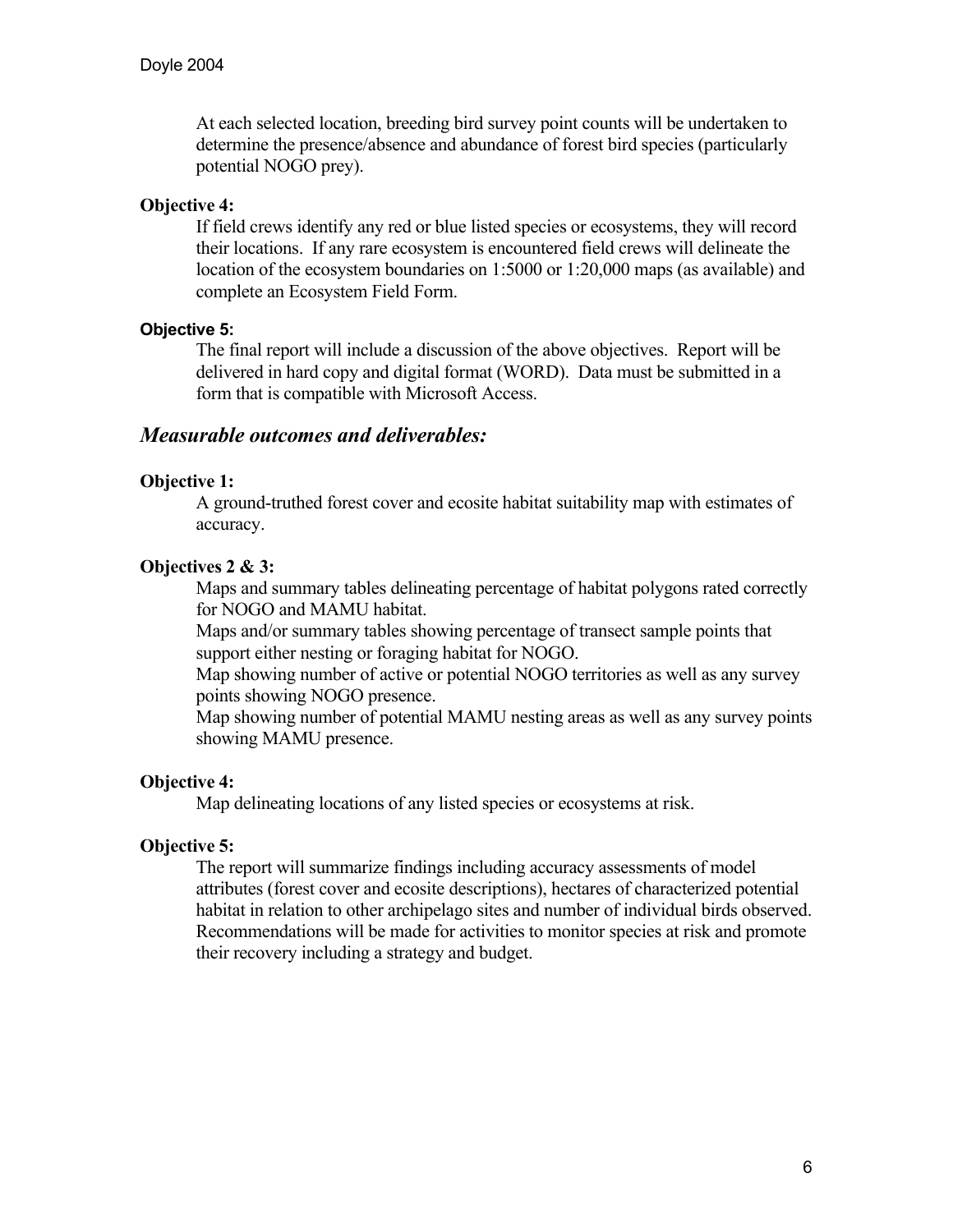At each selected location, breeding bird survey point counts will be undertaken to determine the presence/absence and abundance of forest bird species (particularly potential NOGO prey).

### **Objective 4:**

If field crews identify any red or blue listed species or ecosystems, they will record their locations. If any rare ecosystem is encountered field crews will delineate the location of the ecosystem boundaries on 1:5000 or 1:20,000 maps (as available) and complete an Ecosystem Field Form.

### **Objective 5:**

The final report will include a discussion of the above objectives. Report will be delivered in hard copy and digital format (WORD). Data must be submitted in a form that is compatible with Microsoft Access.

### *Measurable outcomes and deliverables:*

### **Objective 1:**

A ground-truthed forest cover and ecosite habitat suitability map with estimates of accuracy.

### **Objectives 2 & 3:**

Maps and summary tables delineating percentage of habitat polygons rated correctly for NOGO and MAMU habitat.

Maps and/or summary tables showing percentage of transect sample points that support either nesting or foraging habitat for NOGO.

Map showing number of active or potential NOGO territories as well as any survey points showing NOGO presence.

Map showing number of potential MAMU nesting areas as well as any survey points showing MAMU presence.

#### **Objective 4:**

Map delineating locations of any listed species or ecosystems at risk.

#### **Objective 5:**

The report will summarize findings including accuracy assessments of model attributes (forest cover and ecosite descriptions), hectares of characterized potential habitat in relation to other archipelago sites and number of individual birds observed. Recommendations will be made for activities to monitor species at risk and promote their recovery including a strategy and budget.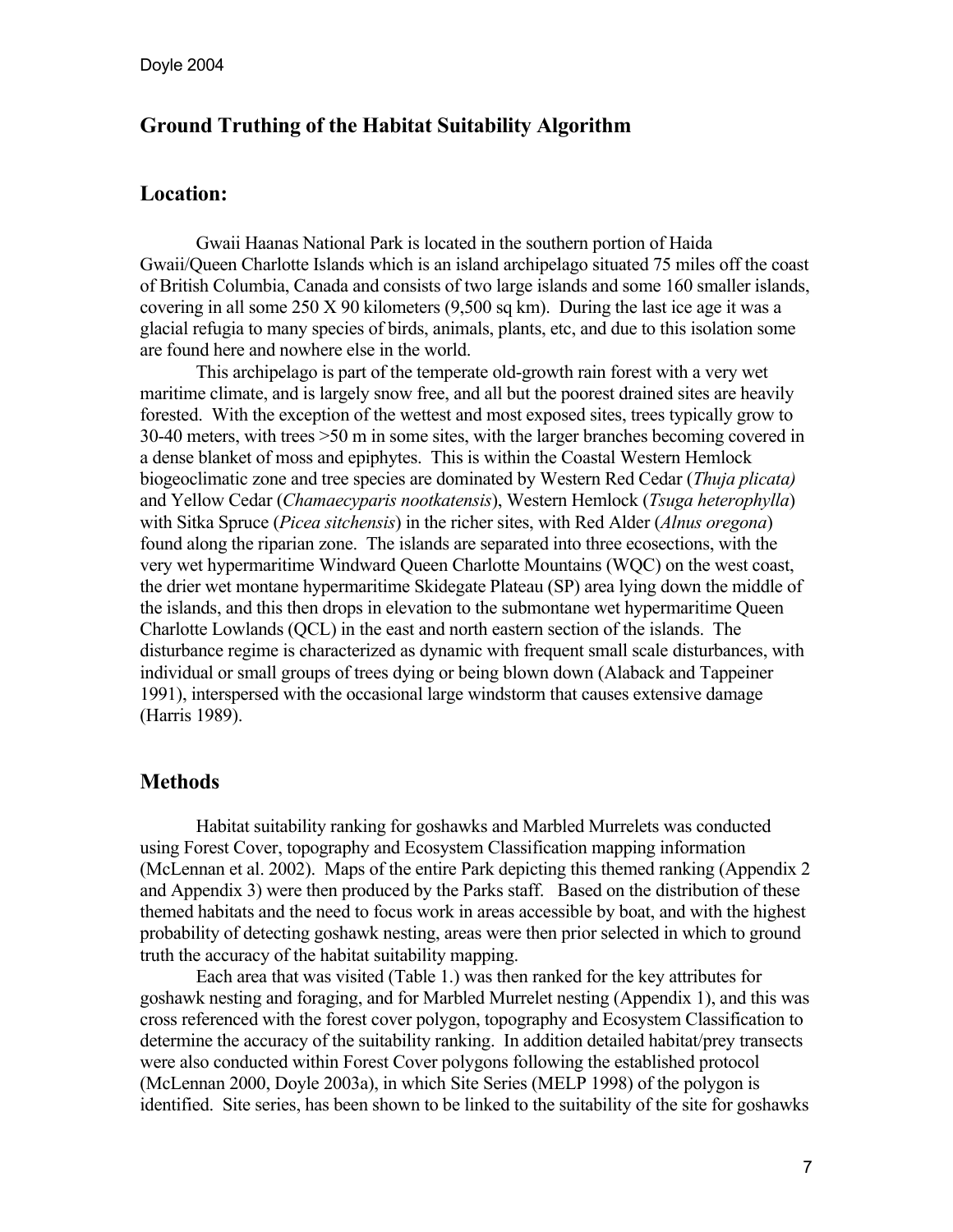# **Ground Truthing of the Habitat Suitability Algorithm**

# **Location:**

Gwaii Haanas National Park is located in the southern portion of Haida Gwaii/Queen Charlotte Islands which is an island archipelago situated 75 miles off the coast of British Columbia, Canada and consists of two large islands and some 160 smaller islands, covering in all some 250 X 90 kilometers (9,500 sq km). During the last ice age it was a glacial refugia to many species of birds, animals, plants, etc, and due to this isolation some are found here and nowhere else in the world.

 This archipelago is part of the temperate old-growth rain forest with a very wet maritime climate, and is largely snow free, and all but the poorest drained sites are heavily forested. With the exception of the wettest and most exposed sites, trees typically grow to 30-40 meters, with trees >50 m in some sites, with the larger branches becoming covered in a dense blanket of moss and epiphytes. This is within the Coastal Western Hemlock biogeoclimatic zone and tree species are dominated by Western Red Cedar (*Thuja plicata)*  and Yellow Cedar (*Chamaecyparis nootkatensis*), Western Hemlock (*Tsuga heterophylla*) with Sitka Spruce (*Picea sitchensis*) in the richer sites, with Red Alder (*Alnus oregona*) found along the riparian zone. The islands are separated into three ecosections, with the very wet hypermaritime Windward Queen Charlotte Mountains (WQC) on the west coast, the drier wet montane hypermaritime Skidegate Plateau (SP) area lying down the middle of the islands, and this then drops in elevation to the submontane wet hypermaritime Queen Charlotte Lowlands (QCL) in the east and north eastern section of the islands. The disturbance regime is characterized as dynamic with frequent small scale disturbances, with individual or small groups of trees dying or being blown down (Alaback and Tappeiner 1991), interspersed with the occasional large windstorm that causes extensive damage (Harris 1989).

### **Methods**

 Habitat suitability ranking for goshawks and Marbled Murrelets was conducted using Forest Cover, topography and Ecosystem Classification mapping information (McLennan et al. 2002). Maps of the entire Park depicting this themed ranking (Appendix 2 and Appendix 3) were then produced by the Parks staff. Based on the distribution of these themed habitats and the need to focus work in areas accessible by boat, and with the highest probability of detecting goshawk nesting, areas were then prior selected in which to ground truth the accuracy of the habitat suitability mapping.

 Each area that was visited (Table 1.) was then ranked for the key attributes for goshawk nesting and foraging, and for Marbled Murrelet nesting (Appendix 1), and this was cross referenced with the forest cover polygon, topography and Ecosystem Classification to determine the accuracy of the suitability ranking. In addition detailed habitat/prey transects were also conducted within Forest Cover polygons following the established protocol (McLennan 2000, Doyle 2003a), in which Site Series (MELP 1998) of the polygon is identified. Site series, has been shown to be linked to the suitability of the site for goshawks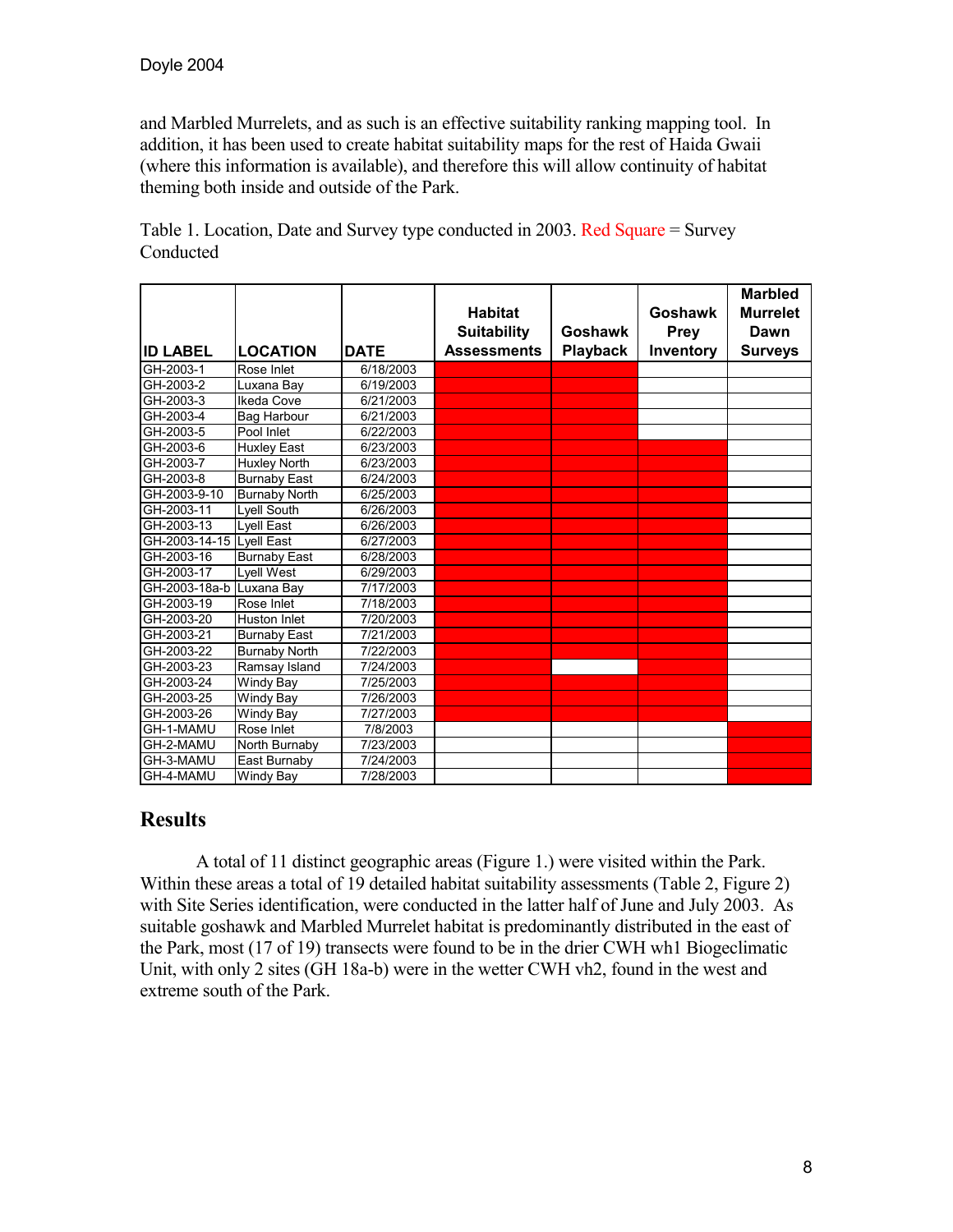and Marbled Murrelets, and as such is an effective suitability ranking mapping tool. In addition, it has been used to create habitat suitability maps for the rest of Haida Gwaii (where this information is available), and therefore this will allow continuity of habitat theming both inside and outside of the Park.

| <b>ID LABEL</b>          | <b>LOCATION</b>      | <b>DATE</b> | <b>Habitat</b><br><b>Suitability</b><br><b>Assessments</b> | <b>Goshawk</b><br><b>Playback</b> | <b>Goshawk</b><br><b>Prey</b><br>Inventory | <b>Marbled</b><br><b>Murrelet</b><br>Dawn<br><b>Surveys</b> |
|--------------------------|----------------------|-------------|------------------------------------------------------------|-----------------------------------|--------------------------------------------|-------------------------------------------------------------|
| GH-2003-1                | Rose Inlet           | 6/18/2003   |                                                            |                                   |                                            |                                                             |
| GH-2003-2                | Luxana Bay           | 6/19/2003   |                                                            |                                   |                                            |                                                             |
| GH-2003-3                | Ikeda Cove           | 6/21/2003   |                                                            |                                   |                                            |                                                             |
| GH-2003-4                | Bag Harbour          | 6/21/2003   |                                                            |                                   |                                            |                                                             |
| GH-2003-5                | Pool Inlet           | 6/22/2003   |                                                            |                                   |                                            |                                                             |
| GH-2003-6                | <b>Huxley East</b>   | 6/23/2003   |                                                            |                                   |                                            |                                                             |
| GH-2003-7                | <b>Huxley North</b>  | 6/23/2003   |                                                            |                                   |                                            |                                                             |
| GH-2003-8                | <b>Burnaby East</b>  | 6/24/2003   |                                                            |                                   |                                            |                                                             |
| GH-2003-9-10             | <b>Burnaby North</b> | 6/25/2003   |                                                            |                                   |                                            |                                                             |
| GH-2003-11               | Lyell South          | 6/26/2003   |                                                            |                                   |                                            |                                                             |
| GH-2003-13               | Lyell East           | 6/26/2003   |                                                            |                                   |                                            |                                                             |
| GH-2003-14-15 Lyell East |                      | 6/27/2003   |                                                            |                                   |                                            |                                                             |
| GH-2003-16               | <b>Burnaby East</b>  | 6/28/2003   |                                                            |                                   |                                            |                                                             |
| GH-2003-17               | Lyell West           | 6/29/2003   |                                                            |                                   |                                            |                                                             |
| GH-2003-18a-b            | Luxana Bay           | 7/17/2003   |                                                            |                                   |                                            |                                                             |
| GH-2003-19               | Rose Inlet           | 7/18/2003   |                                                            |                                   |                                            |                                                             |
| GH-2003-20               | Huston Inlet         | 7/20/2003   |                                                            |                                   |                                            |                                                             |
| GH-2003-21               | <b>Burnaby East</b>  | 7/21/2003   |                                                            |                                   |                                            |                                                             |
| GH-2003-22               | <b>Burnaby North</b> | 7/22/2003   |                                                            |                                   |                                            |                                                             |
| GH-2003-23               | Ramsay Island        | 7/24/2003   |                                                            |                                   |                                            |                                                             |
| GH-2003-24               | Windy Bay            | 7/25/2003   |                                                            |                                   |                                            |                                                             |
| GH-2003-25               | Windy Bay            | 7/26/2003   |                                                            |                                   |                                            |                                                             |
| GH-2003-26               | Windy Bay            | 7/27/2003   |                                                            |                                   |                                            |                                                             |
| GH-1-MAMU                | Rose Inlet           | 7/8/2003    |                                                            |                                   |                                            |                                                             |
| GH-2-MAMU                | North Burnaby        | 7/23/2003   |                                                            |                                   |                                            |                                                             |
| GH-3-MAMU                | East Burnaby         | 7/24/2003   |                                                            |                                   |                                            |                                                             |
| GH-4-MAMU                | Windy Bay            | 7/28/2003   |                                                            |                                   |                                            |                                                             |

Table 1. Location, Date and Survey type conducted in 2003. Red Square = Survey Conducted

# **Results**

 A total of 11 distinct geographic areas (Figure 1.) were visited within the Park. Within these areas a total of 19 detailed habitat suitability assessments (Table 2, Figure 2) with Site Series identification, were conducted in the latter half of June and July 2003. As suitable goshawk and Marbled Murrelet habitat is predominantly distributed in the east of the Park, most (17 of 19) transects were found to be in the drier CWH wh1 Biogeclimatic Unit, with only 2 sites (GH 18a-b) were in the wetter CWH vh2, found in the west and extreme south of the Park.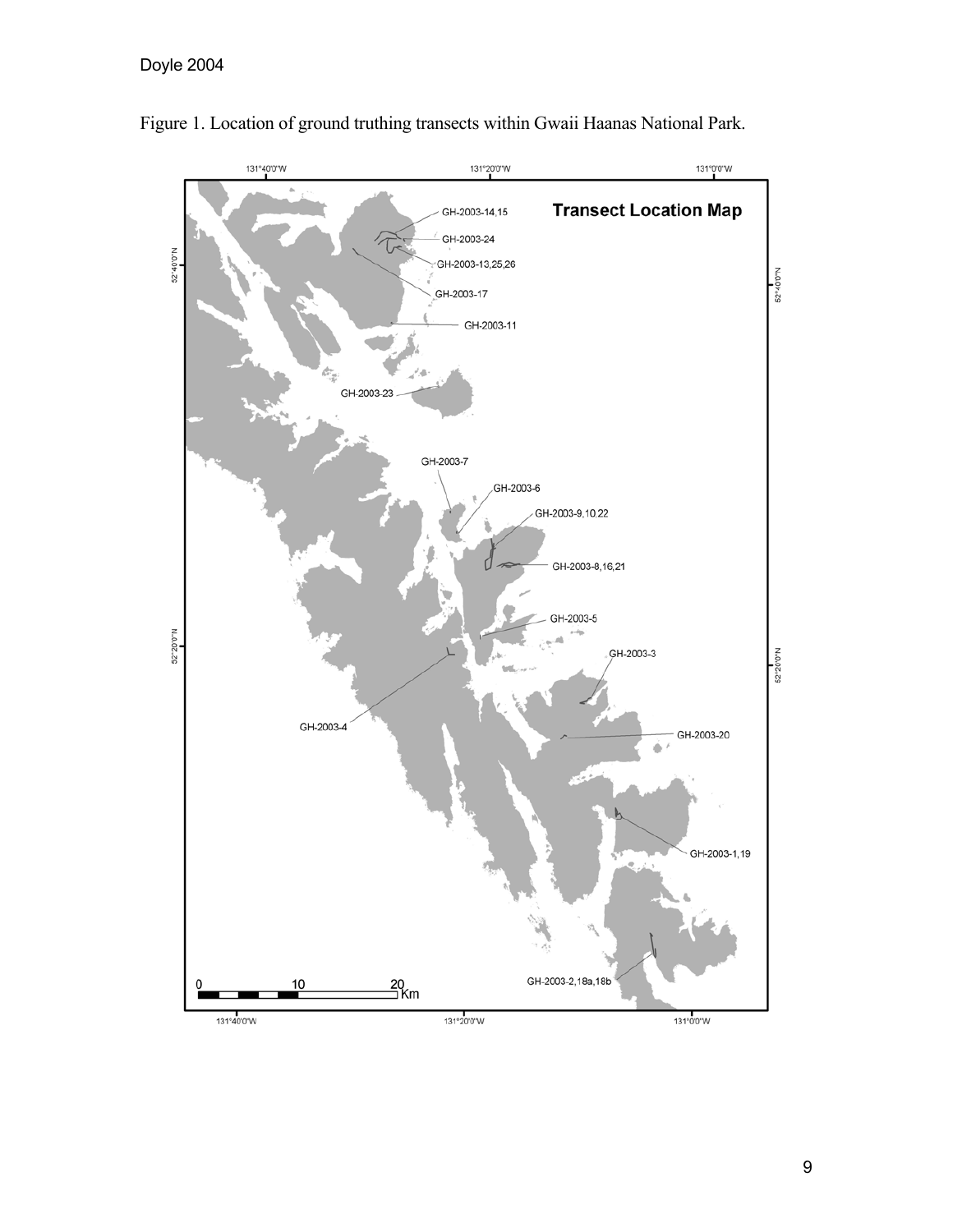# Doyle 2004



Figure 1. Location of ground truthing transects within Gwaii Haanas National Park.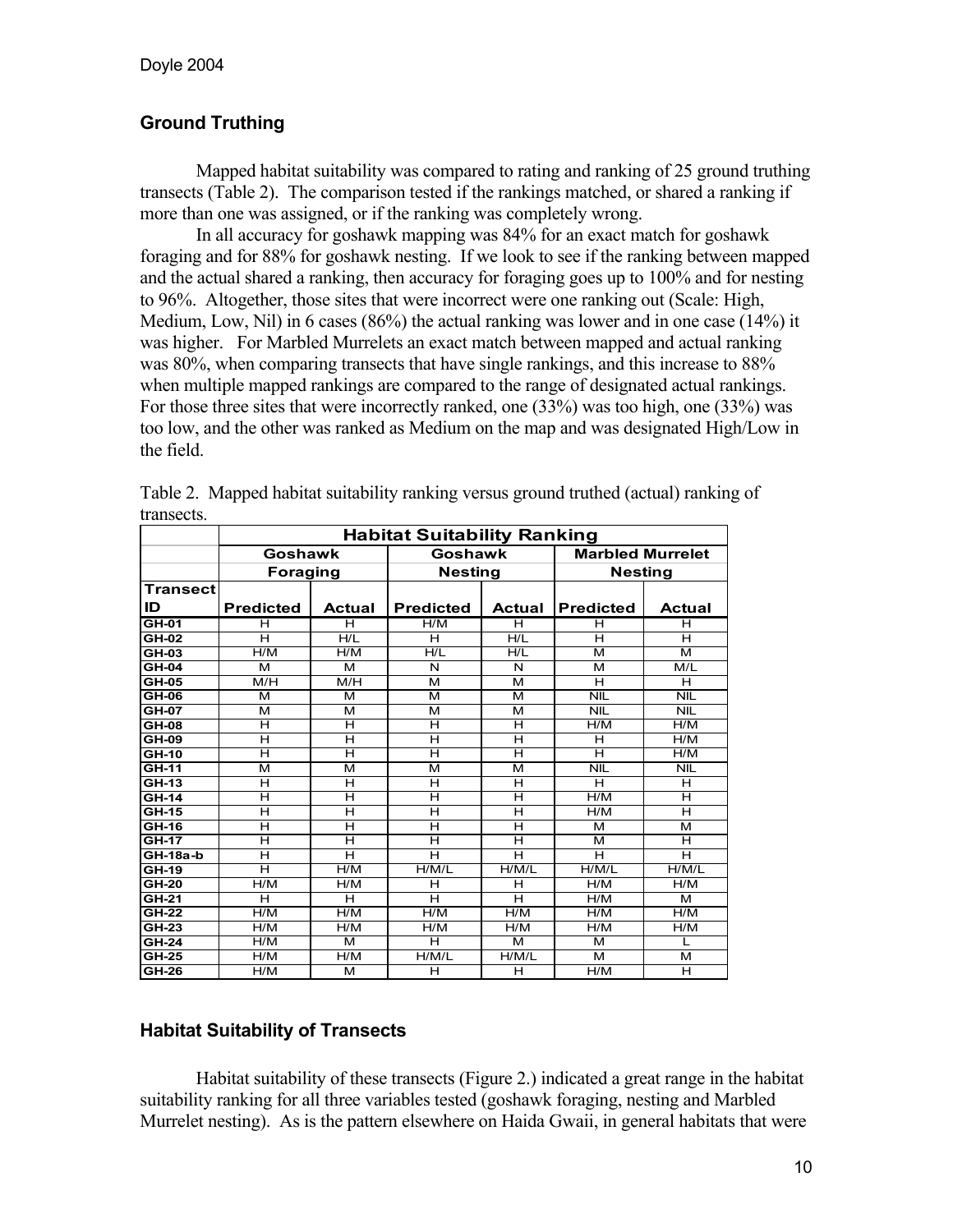# **Ground Truthing**

 Mapped habitat suitability was compared to rating and ranking of 25 ground truthing transects (Table 2). The comparison tested if the rankings matched, or shared a ranking if more than one was assigned, or if the ranking was completely wrong.

In all accuracy for goshawk mapping was 84% for an exact match for goshawk foraging and for 88% for goshawk nesting. If we look to see if the ranking between mapped and the actual shared a ranking, then accuracy for foraging goes up to 100% and for nesting to 96%. Altogether, those sites that were incorrect were one ranking out (Scale: High, Medium, Low, Nil) in 6 cases (86%) the actual ranking was lower and in one case (14%) it was higher. For Marbled Murrelets an exact match between mapped and actual ranking was 80%, when comparing transects that have single rankings, and this increase to 88% when multiple mapped rankings are compared to the range of designated actual rankings. For those three sites that were incorrectly ranked, one (33%) was too high, one (33%) was too low, and the other was ranked as Medium on the map and was designated High/Low in the field.

| u unovod.    | <b>Habitat Suitability Ranking</b> |        |                  |        |                         |                         |  |  |
|--------------|------------------------------------|--------|------------------|--------|-------------------------|-------------------------|--|--|
|              | Goshawk                            |        | Goshawk          |        | <b>Marbled Murrelet</b> |                         |  |  |
|              | <b>Foraging</b>                    |        | <b>Nesting</b>   |        | <b>Nesting</b>          |                         |  |  |
| Transect     |                                    |        |                  |        |                         |                         |  |  |
| ID           | <b>Predicted</b>                   | Actual | <b>Predicted</b> | Actual | <b>Predicted</b>        | <b>Actual</b>           |  |  |
| GH-01        | н                                  | н      | H/M              | н      | н                       | н                       |  |  |
| $GH-02$      | н                                  | H/I    | Η                | H/I    | н                       | н                       |  |  |
| GH-03        | H/M                                | H/M    | H/L              | H/L    | м                       | м                       |  |  |
| GH-04        | м                                  | м      | N                | N      | м                       | M/L                     |  |  |
| $GH-05$      | M/H                                | M/H    | м                | м      | Н                       | н                       |  |  |
| $GH-06$      | м                                  | м      | м                | м      | NIL                     | NIL                     |  |  |
| <b>GH-07</b> | м                                  | м      | м                | м      | <b>NIL</b>              | NIL                     |  |  |
| GH-08        | н                                  | H      | H                | н      | H/M                     | H/M                     |  |  |
| GH-09        | н                                  | H      | H                | н      | н                       | H/M                     |  |  |
| GH-10        | н                                  | H      | н                | н      | н                       | H/M                     |  |  |
| GH-11        | M                                  | м      | M                | м      | NIL                     | <b>NIL</b>              |  |  |
| GH-13        | н                                  | н      | H                | Н      | н                       | н                       |  |  |
| GH-14        | н                                  | H      | H                | Н      | H/M                     | Н                       |  |  |
| <b>GH-15</b> | н                                  | H      | H                | н      | H/M                     | Н                       |  |  |
| GH-16        | н                                  | н      | н                | н      | м                       | м                       |  |  |
| $GH-17$      | н                                  | Η      | Η                | н      | м                       | н                       |  |  |
| GH-18a-b     | Н                                  | H      | H                | н      | н                       | Н                       |  |  |
| GH-19        | н                                  | H/M    | H/M/L            | H/M/L  | H/M/L                   | H/M/L                   |  |  |
| $GH-20$      | H/M                                | H/M    | н                | н      | H/M                     | H/M                     |  |  |
| $GH-21$      | Н                                  | H      | H                | Н      | H/M                     | м                       |  |  |
| <b>GH-22</b> | H/M                                | H/M    | H/M              | H/M    | H/M                     | H/M                     |  |  |
| <b>GH-23</b> | H/M                                | H/M    | H/M              | H/M    | H/M                     | H/M                     |  |  |
| GH-24        | H/M                                | м      | н                | м      | м                       | L                       |  |  |
| <b>GH-25</b> | H/M                                | H/M    | H/M/L            | H/M/L  | м                       | м                       |  |  |
| $GH-26$      | H/M                                | м      | Η                | н      | H/M                     | $\overline{\mathsf{H}}$ |  |  |

Table 2. Mapped habitat suitability ranking versus ground truthed (actual) ranking of transects.

### **Habitat Suitability of Transects**

 Habitat suitability of these transects (Figure 2.) indicated a great range in the habitat suitability ranking for all three variables tested (goshawk foraging, nesting and Marbled Murrelet nesting). As is the pattern elsewhere on Haida Gwaii, in general habitats that were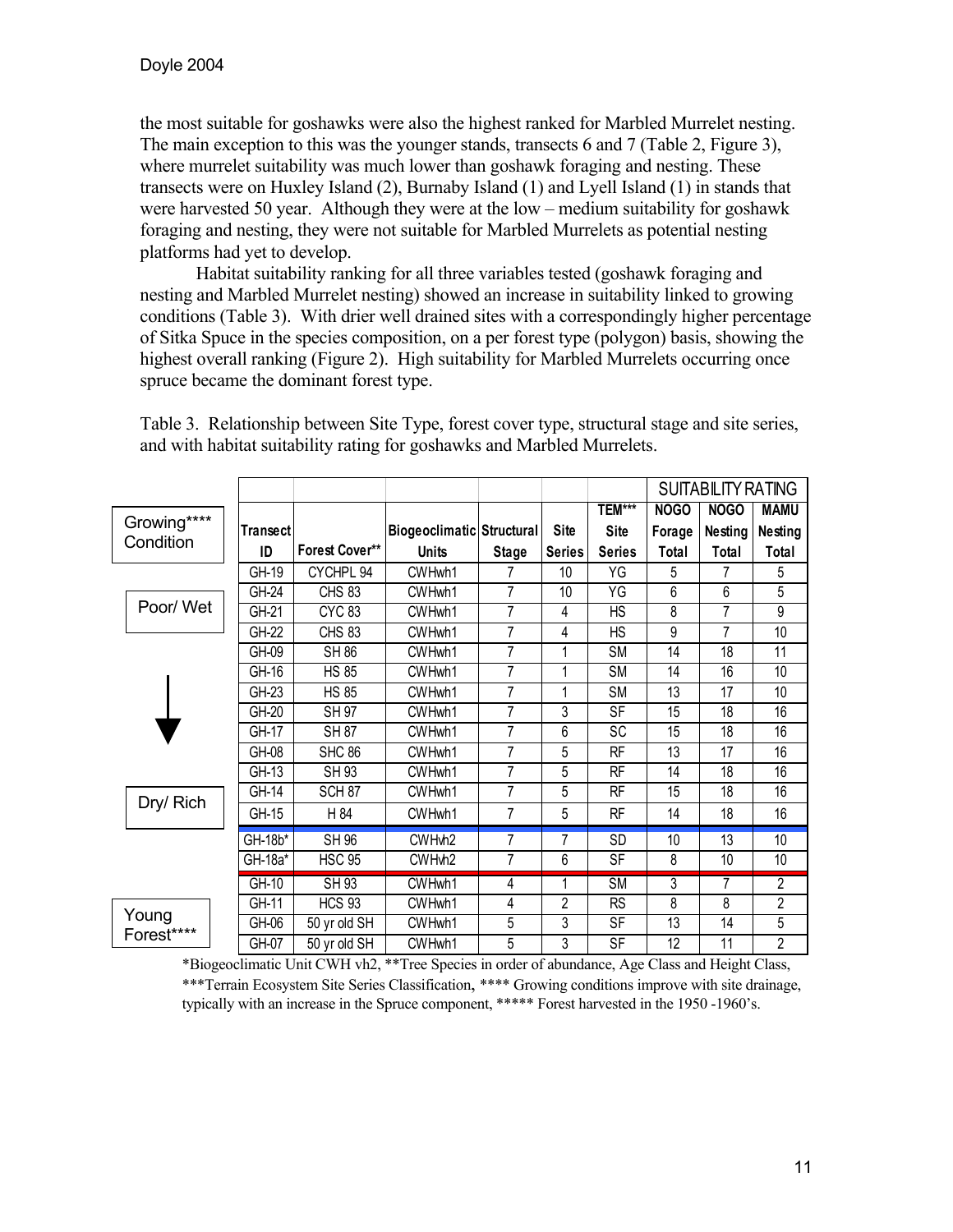the most suitable for goshawks were also the highest ranked for Marbled Murrelet nesting. The main exception to this was the younger stands, transects 6 and 7 (Table 2, Figure 3), where murrelet suitability was much lower than goshawk foraging and nesting. These transects were on Huxley Island (2), Burnaby Island (1) and Lyell Island (1) in stands that were harvested 50 year. Although they were at the low – medium suitability for goshawk foraging and nesting, they were not suitable for Marbled Murrelets as potential nesting platforms had yet to develop.

 Habitat suitability ranking for all three variables tested (goshawk foraging and nesting and Marbled Murrelet nesting) showed an increase in suitability linked to growing conditions (Table 3). With drier well drained sites with a correspondingly higher percentage of Sitka Spuce in the species composition, on a per forest type (polygon) basis, showing the highest overall ranking (Figure 2). High suitability for Marbled Murrelets occurring once spruce became the dominant forest type.

|                     |          |                       |                                  |                |               |                          |             | <b>SUITABILITY RATING</b> |                |
|---------------------|----------|-----------------------|----------------------------------|----------------|---------------|--------------------------|-------------|---------------------------|----------------|
|                     |          |                       |                                  |                |               | <b>TEM***</b>            | <b>NOGO</b> | NOGO                      | <b>MAMU</b>    |
| Growing****         | Transect |                       | <b>Biogeoclimatic Structural</b> |                | Site          | Site                     | Forage      | Nesting                   | Nesting        |
| Condition           | ID       | <b>Forest Cover**</b> | <b>Units</b>                     | <b>Stage</b>   | <b>Series</b> | <b>Series</b>            | Total       | Total                     | Total          |
|                     | GH-19    | CYCHPL 94             | CWHwh1                           |                | 10            | ΥG                       | 5           | 7                         | 5              |
|                     | GH-24    | <b>CHS 83</b>         | CWHwh1                           | 7              | 10            | YG                       | 6           | 6                         | 5              |
| Poor/ Wet           | GH-21    | <b>CYC 83</b>         | CWHwh1                           | $\overline{7}$ | 4             | <b>HS</b>                | 8           | $\overline{7}$            | 9              |
|                     | GH-22    | <b>CHS 83</b>         | CWHwh1                           | 7              | 4             | НS                       | 9           | 7                         | 10             |
|                     | GH-09    | <b>SH 86</b>          | CWHwh1                           | 7              | 1             | <b>SM</b>                | 14          | 18                        | 11             |
|                     | GH-16    | <b>HS 85</b>          | CWHwh1                           | 7              | 1             | <b>SM</b>                | 14          | 16                        | 10             |
|                     | $GH-23$  | <b>HS 85</b>          | CWHwh1                           | 7              | 1             | <b>SM</b>                | 13          | 17                        | 10             |
|                     | GH-20    | <b>SH 97</b>          | CWHwh1                           | $\overline{7}$ | 3             | <b>SF</b>                | 15          | 18                        | 16             |
|                     | GH-17    | <b>SH 87</b>          | CWHwh1                           | 7              | 6             | SC                       | 15          | 18                        | 16             |
|                     | GH-08    | <b>SHC 86</b>         | CWHwh1                           | 7              | 5             | RF                       | 13          | 17                        | 16             |
|                     | GH-13    | <b>SH 93</b>          | CWHwh1                           | 7              | 5             | RF                       | 14          | 18                        | 16             |
|                     | GH-14    | SCH <sub>87</sub>     | CWHwh1                           | $\overline{7}$ | 5             | RF                       | 15          | 18                        | 16             |
| Dry/ Rich           | GH-15    | H 84                  | CWHwh1                           | 7              | 5             | RF                       | 14          | 18                        | 16             |
|                     | GH-18b*  | <b>SH 96</b>          | CWHwh2                           | 7              | 7             | SD                       | 10          | 13                        | 10             |
|                     | GH-18a*  | <b>HSC 95</b>         | CWHwh2                           | 7              | 6             | SF                       | 8           | 10                        | 10             |
|                     | GH-10    | <b>SH 93</b>          | CWHwh1                           | 4              | 1             | $\overline{\mathsf{SM}}$ | 3           | 7                         | $\overline{2}$ |
|                     | GH-11    | <b>HCS 93</b>         | CWHwh1                           | 4              | 2             | <b>RS</b>                | 8           | 8                         | 2              |
| Young<br>Forest**** | GH-06    | 50 yr old SH          | CWHwh1                           | 5              | 3             | SF                       | 13          | 14                        | 5              |
|                     | GH-07    | 50 yr old SH          | CWHwh1                           | 5              | 3             | <b>SF</b>                | 12          | 11                        | 2              |

Table 3. Relationship between Site Type, forest cover type, structural stage and site series, and with habitat suitability rating for goshawks and Marbled Murrelets.

\*Biogeoclimatic Unit CWH vh2, \*\*Tree Species in order of abundance, Age Class and Height Class, \*\*\*Terrain Ecosystem Site Series Classification, \*\*\*\* Growing conditions improve with site drainage, typically with an increase in the Spruce component, \*\*\*\*\* Forest harvested in the 1950 -1960's.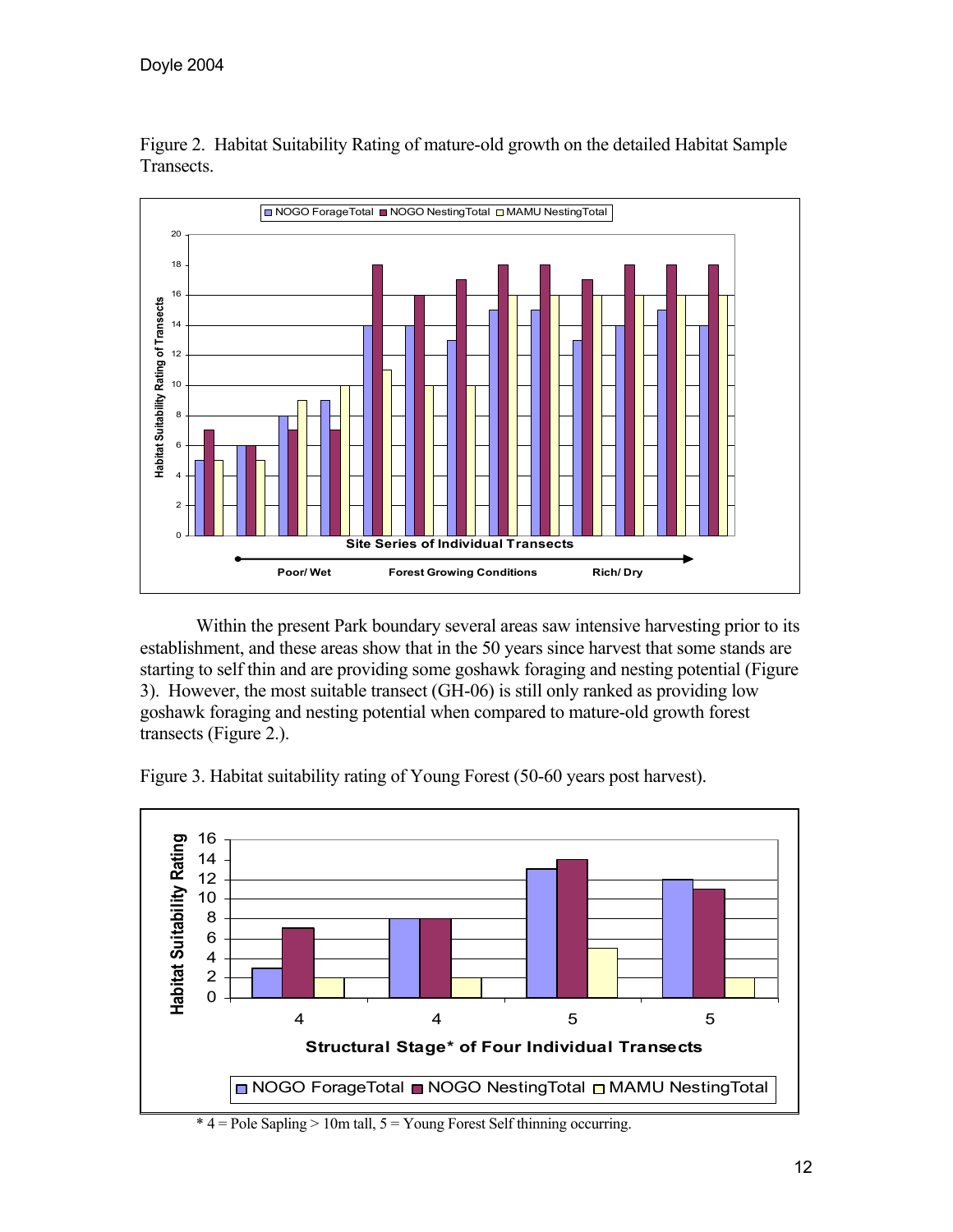

Figure 2. Habitat Suitability Rating of mature-old growth on the detailed Habitat Sample Transects.

 Within the present Park boundary several areas saw intensive harvesting prior to its establishment, and these areas show that in the 50 years since harvest that some stands are starting to self thin and are providing some goshawk foraging and nesting potential (Figure 3). However, the most suitable transect (GH-06) is still only ranked as providing low goshawk foraging and nesting potential when compared to mature-old growth forest transects (Figure 2.).



Figure 3. Habitat suitability rating of Young Forest (50-60 years post harvest).

 $*$  4 = Pole Sapling > 10m tall,  $5 =$  Young Forest Self thinning occurring.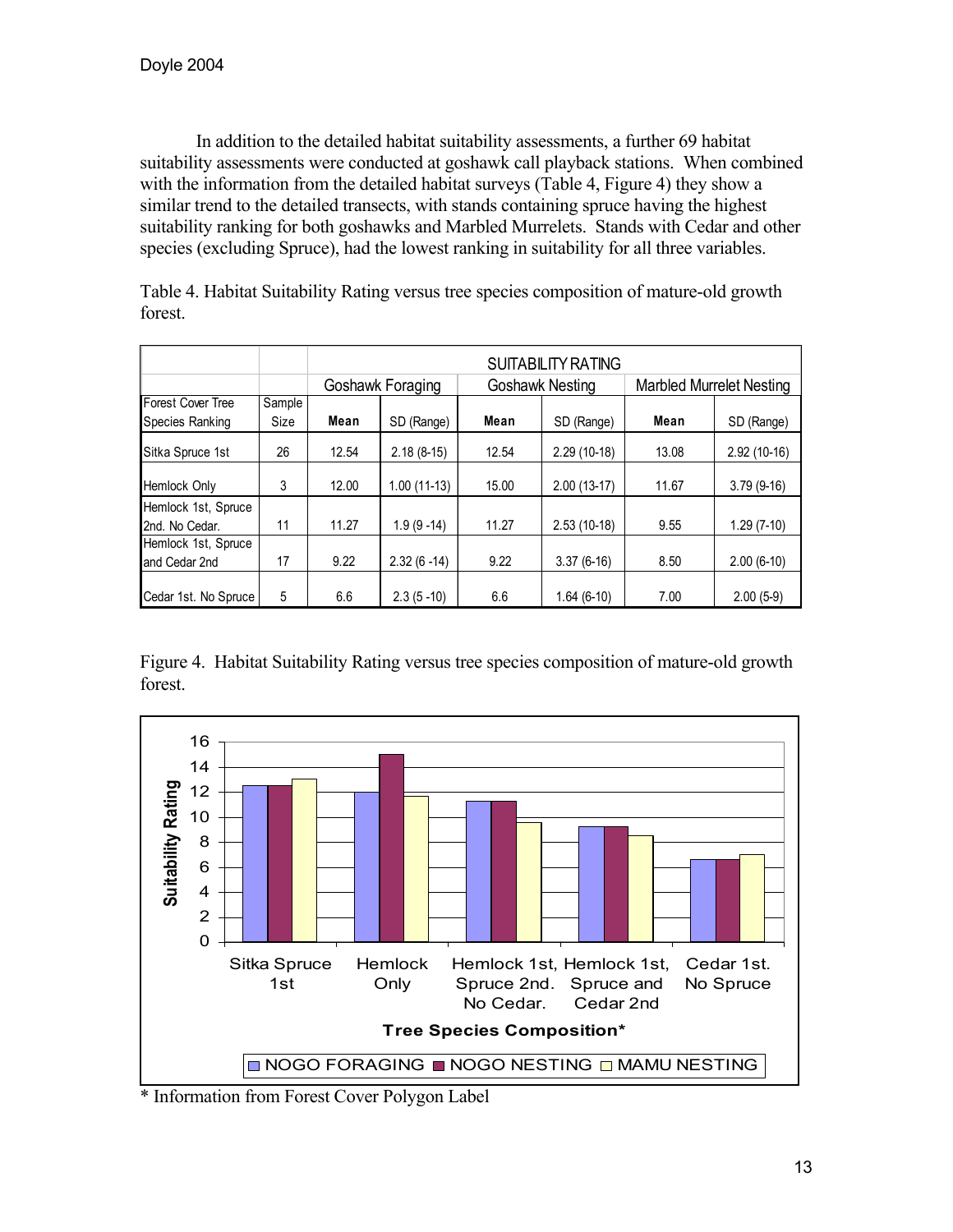In addition to the detailed habitat suitability assessments, a further 69 habitat suitability assessments were conducted at goshawk call playback stations. When combined with the information from the detailed habitat surveys (Table 4, Figure 4) they show a similar trend to the detailed transects, with stands containing spruce having the highest suitability ranking for both goshawks and Marbled Murrelets. Stands with Cedar and other species (excluding Spruce), had the lowest ranking in suitability for all three variables.

|                      |        |       | SUITABILITY RATING |       |                        |                                 |               |  |  |  |  |
|----------------------|--------|-------|--------------------|-------|------------------------|---------------------------------|---------------|--|--|--|--|
|                      |        |       | Goshawk Foraging   |       | <b>Goshawk Nesting</b> | <b>Marbled Murrelet Nesting</b> |               |  |  |  |  |
| Forest Cover Tree    | Sample |       |                    |       |                        |                                 |               |  |  |  |  |
| Species Ranking      | Size   | Mean  | SD (Range)         | Mean  | SD (Range)             | Mean                            | SD (Range)    |  |  |  |  |
| Sitka Spruce 1st     | 26     | 12.54 | $2.18(8-15)$       | 12.54 | $2.29(10-18)$          | 13.08                           | $2.92(10-16)$ |  |  |  |  |
| <b>Hemlock Only</b>  | 3      | 12.00 | 1.00 (11-13)       | 15.00 | $2.00(13-17)$          | 11.67                           | $3.79(9-16)$  |  |  |  |  |
| Hemlock 1st, Spruce  |        |       |                    |       |                        |                                 |               |  |  |  |  |
| 2nd. No Cedar.       | 11     | 11.27 | $1.9(9-14)$        | 11.27 | $2.53(10-18)$          | 9.55                            | $1.29(7-10)$  |  |  |  |  |
| Hemlock 1st, Spruce  |        |       |                    |       |                        |                                 |               |  |  |  |  |
| and Cedar 2nd        | 17     | 9.22  | $2.32(6-14)$       | 9.22  | $3.37(6-16)$           | 8.50                            | $2.00(6-10)$  |  |  |  |  |
| Cedar 1st. No Spruce | 5      | 6.6   | $2.3(5-10)$        | 6.6   | $1.64(6-10)$           | 7.00                            | $2.00(5-9)$   |  |  |  |  |

Table 4. Habitat Suitability Rating versus tree species composition of mature-old growth forest.

Figure 4. Habitat Suitability Rating versus tree species composition of mature-old growth forest.



\* Information from Forest Cover Polygon Label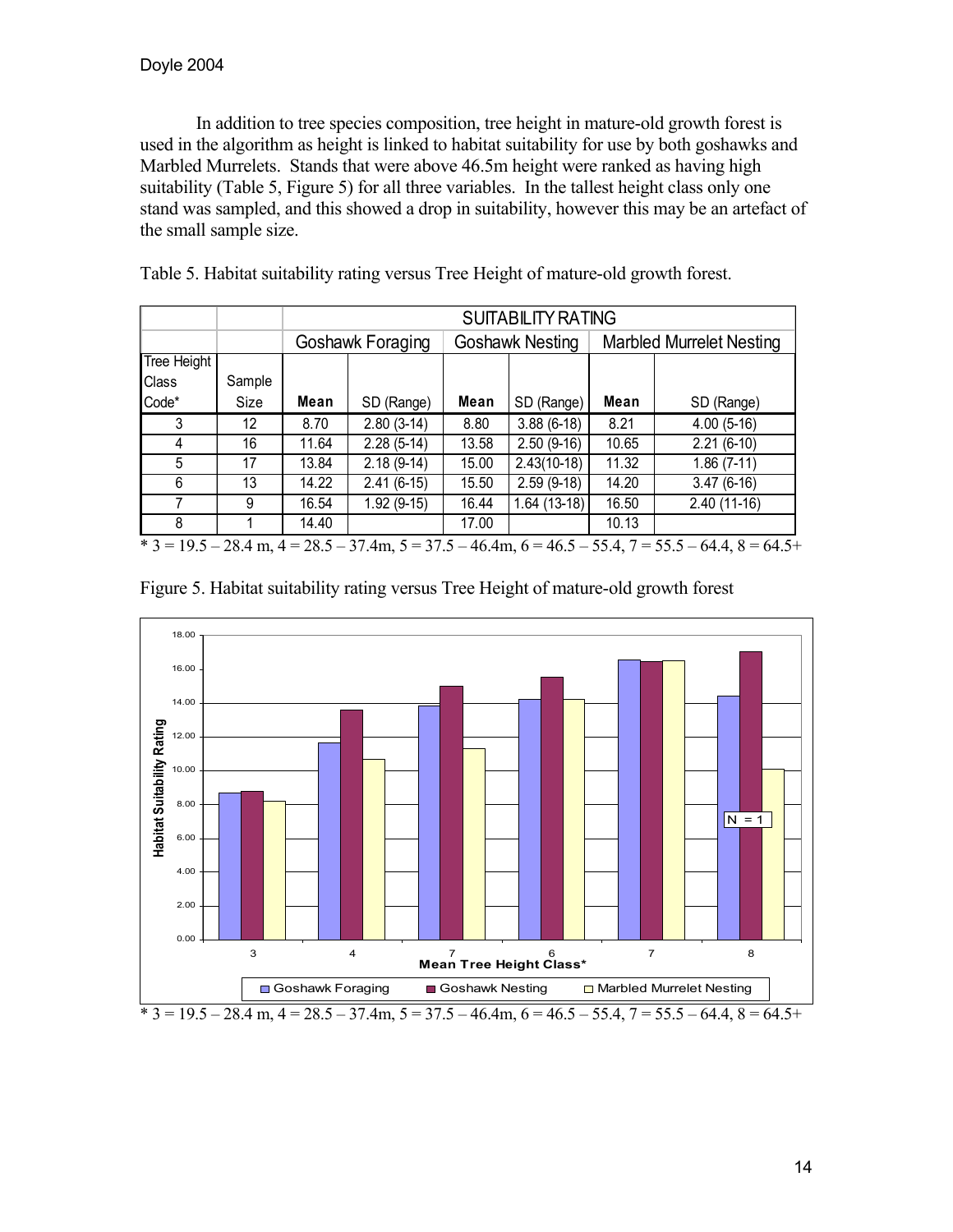In addition to tree species composition, tree height in mature-old growth forest is used in the algorithm as height is linked to habitat suitability for use by both goshawks and Marbled Murrelets. Stands that were above 46.5m height were ranked as having high suitability (Table 5, Figure 5) for all three variables. In the tallest height class only one stand was sampled, and this showed a drop in suitability, however this may be an artefact of the small sample size.

|             |        |       | <b>SUITABILITY RATING</b> |       |                 |                                 |                                                                                                        |  |  |
|-------------|--------|-------|---------------------------|-------|-----------------|---------------------------------|--------------------------------------------------------------------------------------------------------|--|--|
|             |        |       | Goshawk Foraging          |       | Goshawk Nesting | <b>Marbled Murrelet Nesting</b> |                                                                                                        |  |  |
| Tree Height |        |       |                           |       |                 |                                 |                                                                                                        |  |  |
| Class       | Sample |       |                           |       |                 |                                 |                                                                                                        |  |  |
| Code*       | Size   | Mean  | SD (Range)                | Mean  | SD (Range)      | Mean                            | SD (Range)                                                                                             |  |  |
| 3           | 12     | 8.70  | $2.80(3-14)$              | 8.80  | $3.88(6-18)$    | 8.21                            | $4.00(5-16)$                                                                                           |  |  |
| 4           | 16     | 11.64 | $2.28(5-14)$              | 13.58 | $2.50(9-16)$    | 10.65                           | $2.21(6-10)$                                                                                           |  |  |
| 5           | 17     | 13.84 | $2.18(9-14)$              | 15.00 | $2.43(10-18)$   | 11.32                           | $1.86(7-11)$                                                                                           |  |  |
| 6           | 13     | 14.22 | $2.41(6-15)$              | 15.50 | $2.59(9-18)$    | 14.20                           | $3.47(6-16)$                                                                                           |  |  |
|             | 9      | 16.54 | $1.92(9-15)$              | 16.44 | $1.64(13-18)$   | 16.50                           | $2.40(11-16)$                                                                                          |  |  |
| 8           |        | 14.40 |                           | 17.00 |                 | 10.13                           |                                                                                                        |  |  |
|             |        |       |                           |       |                 |                                 | $*$ 3 = 19.5 – 28.4 m, 4 = 28.5 – 37.4m, 5 = 37.5 – 46.4m, 6 = 46.5 – 55.4, 7 = 55.5 – 64.4, 8 = 64.5+ |  |  |

Table 5. Habitat suitability rating versus Tree Height of mature-old growth forest.

|  |  |  | Figure 5. Habitat suitability rating versus Tree Height of mature-old growth forest |  |
|--|--|--|-------------------------------------------------------------------------------------|--|
|  |  |  |                                                                                     |  |
|  |  |  |                                                                                     |  |
|  |  |  |                                                                                     |  |

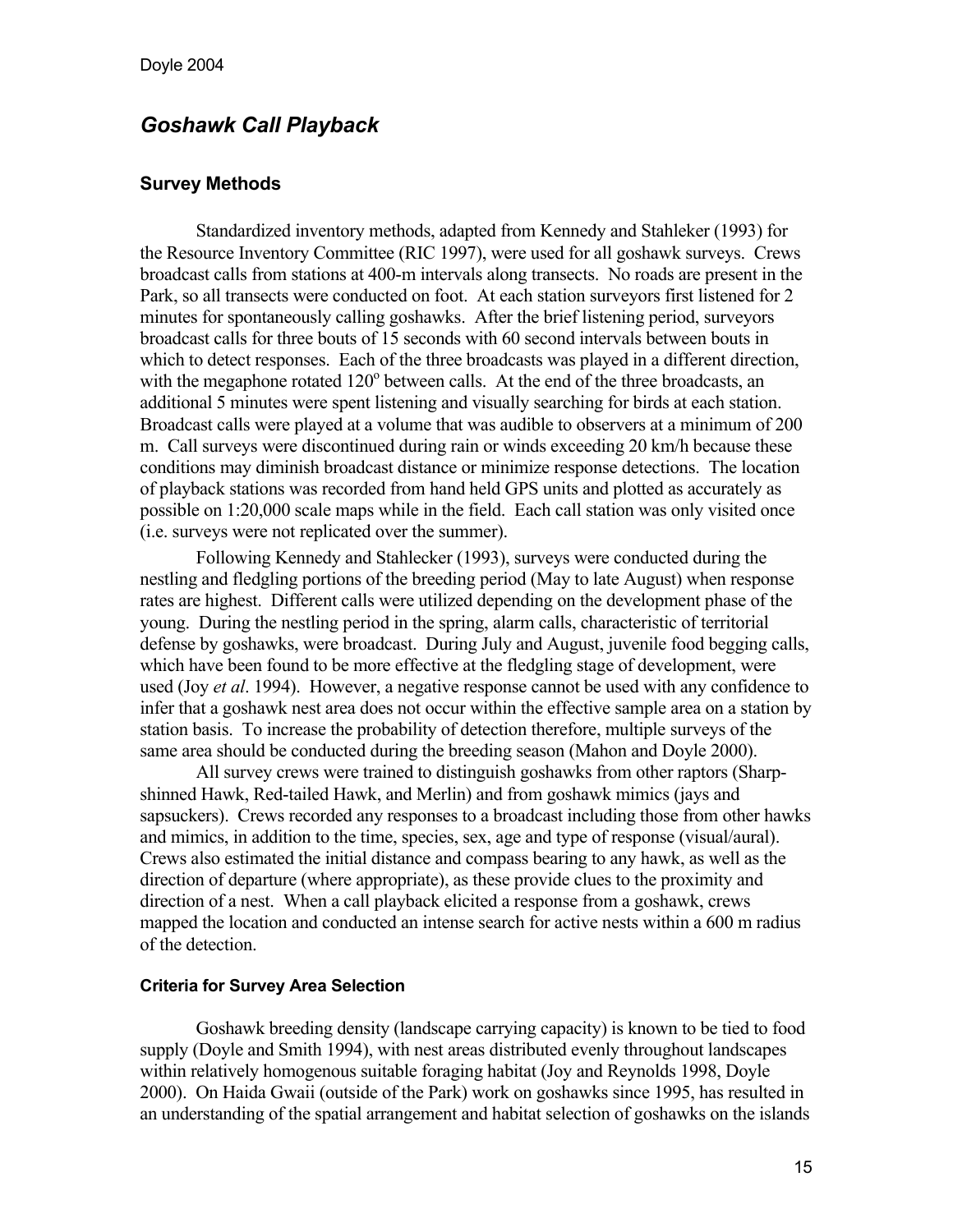# *Goshawk Call Playback*

### **Survey Methods**

Standardized inventory methods, adapted from Kennedy and Stahleker (1993) for the Resource Inventory Committee (RIC 1997), were used for all goshawk surveys. Crews broadcast calls from stations at 400-m intervals along transects. No roads are present in the Park, so all transects were conducted on foot. At each station surveyors first listened for 2 minutes for spontaneously calling goshawks. After the brief listening period, surveyors broadcast calls for three bouts of 15 seconds with 60 second intervals between bouts in which to detect responses. Each of the three broadcasts was played in a different direction, with the megaphone rotated 120° between calls. At the end of the three broadcasts, an additional 5 minutes were spent listening and visually searching for birds at each station. Broadcast calls were played at a volume that was audible to observers at a minimum of 200 m. Call surveys were discontinued during rain or winds exceeding 20 km/h because these conditions may diminish broadcast distance or minimize response detections. The location of playback stations was recorded from hand held GPS units and plotted as accurately as possible on 1:20,000 scale maps while in the field. Each call station was only visited once (i.e. surveys were not replicated over the summer).

 Following Kennedy and Stahlecker (1993), surveys were conducted during the nestling and fledgling portions of the breeding period (May to late August) when response rates are highest. Different calls were utilized depending on the development phase of the young. During the nestling period in the spring, alarm calls, characteristic of territorial defense by goshawks, were broadcast. During July and August, juvenile food begging calls, which have been found to be more effective at the fledgling stage of development, were used (Joy *et al*. 1994). However, a negative response cannot be used with any confidence to infer that a goshawk nest area does not occur within the effective sample area on a station by station basis. To increase the probability of detection therefore, multiple surveys of the same area should be conducted during the breeding season (Mahon and Doyle 2000).

 All survey crews were trained to distinguish goshawks from other raptors (Sharpshinned Hawk, Red-tailed Hawk, and Merlin) and from goshawk mimics (jays and sapsuckers). Crews recorded any responses to a broadcast including those from other hawks and mimics, in addition to the time, species, sex, age and type of response (visual/aural). Crews also estimated the initial distance and compass bearing to any hawk, as well as the direction of departure (where appropriate), as these provide clues to the proximity and direction of a nest. When a call playback elicited a response from a goshawk, crews mapped the location and conducted an intense search for active nests within a 600 m radius of the detection.

#### **Criteria for Survey Area Selection**

 Goshawk breeding density (landscape carrying capacity) is known to be tied to food supply (Doyle and Smith 1994), with nest areas distributed evenly throughout landscapes within relatively homogenous suitable foraging habitat (Joy and Reynolds 1998, Doyle 2000). On Haida Gwaii (outside of the Park) work on goshawks since 1995, has resulted in an understanding of the spatial arrangement and habitat selection of goshawks on the islands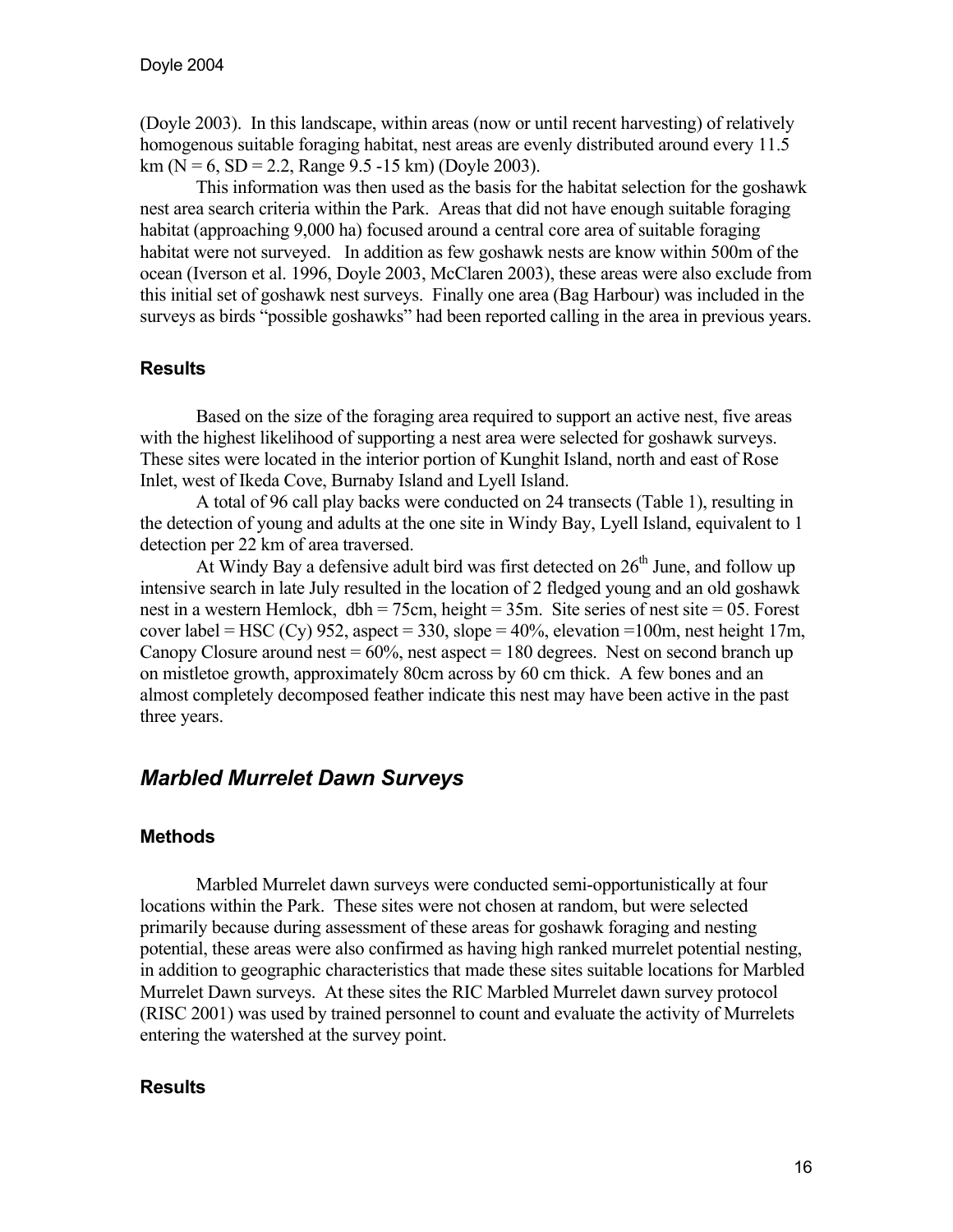(Doyle 2003). In this landscape, within areas (now or until recent harvesting) of relatively homogenous suitable foraging habitat, nest areas are evenly distributed around every 11.5  $km (N = 6, SD = 2.2, Range 9.5 - 15 km) (Doyle 2003).$ 

This information was then used as the basis for the habitat selection for the goshawk nest area search criteria within the Park. Areas that did not have enough suitable foraging habitat (approaching 9,000 ha) focused around a central core area of suitable foraging habitat were not surveyed. In addition as few goshawk nests are know within 500m of the ocean (Iverson et al. 1996, Doyle 2003, McClaren 2003), these areas were also exclude from this initial set of goshawk nest surveys. Finally one area (Bag Harbour) was included in the surveys as birds "possible goshawks" had been reported calling in the area in previous years.

### **Results**

 Based on the size of the foraging area required to support an active nest, five areas with the highest likelihood of supporting a nest area were selected for goshawk surveys. These sites were located in the interior portion of Kunghit Island, north and east of Rose Inlet, west of Ikeda Cove, Burnaby Island and Lyell Island.

 A total of 96 call play backs were conducted on 24 transects (Table 1), resulting in the detection of young and adults at the one site in Windy Bay, Lyell Island, equivalent to 1 detection per 22 km of area traversed.

At Windy Bay a defensive adult bird was first detected on  $26<sup>th</sup>$  June, and follow up intensive search in late July resulted in the location of 2 fledged young and an old goshawk nest in a western Hemlock, dbh = 75cm, height = 35m. Site series of nest site = 05. Forest cover label = HSC (Cy) 952, aspect = 330, slope =  $40\%$ , elevation = 100m, nest height 17m, Canopy Closure around nest  $= 60\%$ , nest aspect  $= 180$  degrees. Nest on second branch up on mistletoe growth, approximately 80cm across by 60 cm thick. A few bones and an almost completely decomposed feather indicate this nest may have been active in the past three years.

# *Marbled Murrelet Dawn Surveys*

### **Methods**

Marbled Murrelet dawn surveys were conducted semi-opportunistically at four locations within the Park. These sites were not chosen at random, but were selected primarily because during assessment of these areas for goshawk foraging and nesting potential, these areas were also confirmed as having high ranked murrelet potential nesting, in addition to geographic characteristics that made these sites suitable locations for Marbled Murrelet Dawn surveys. At these sites the RIC Marbled Murrelet dawn survey protocol (RISC 2001) was used by trained personnel to count and evaluate the activity of Murrelets entering the watershed at the survey point.

### **Results**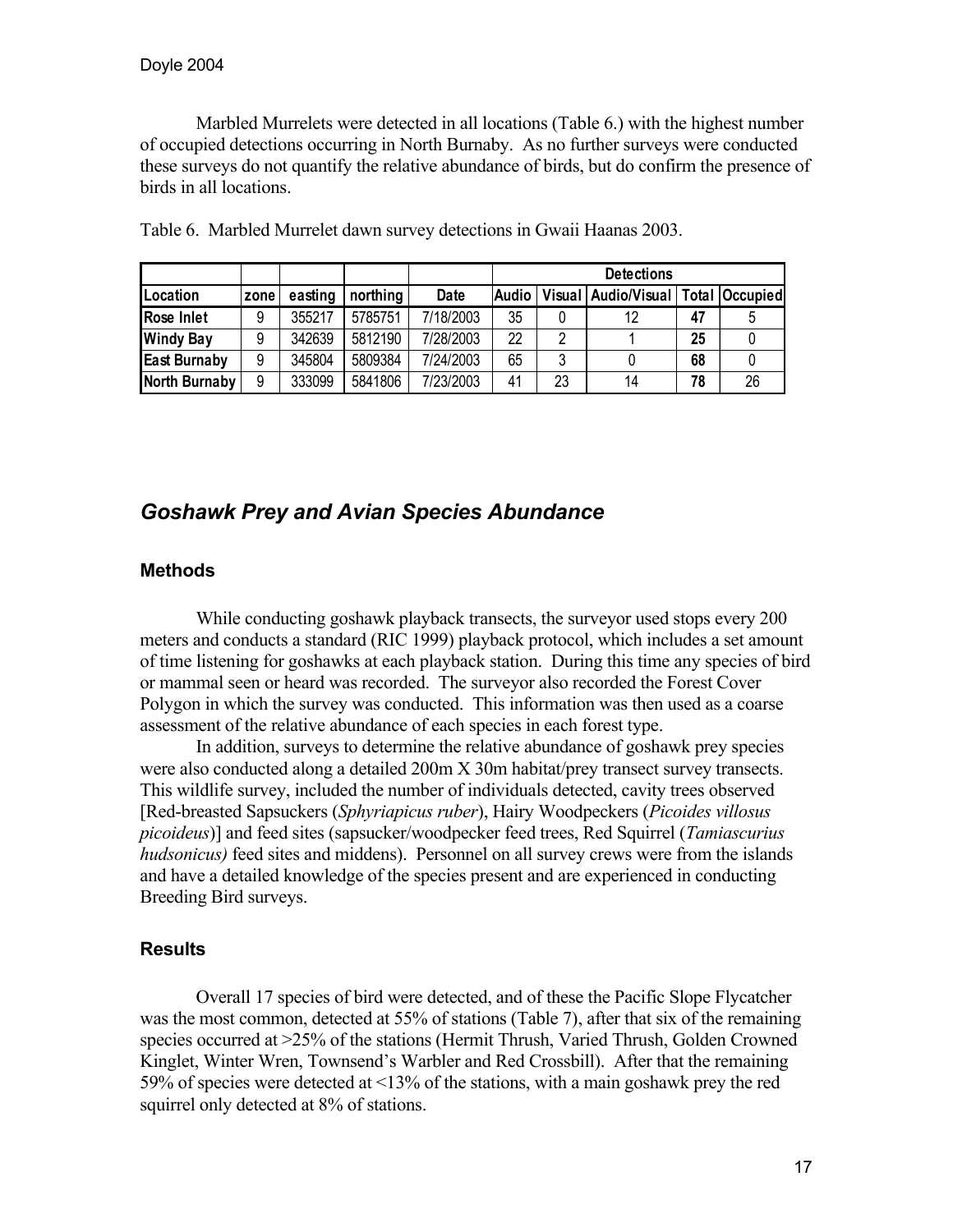Marbled Murrelets were detected in all locations (Table 6.) with the highest number of occupied detections occurring in North Burnaby. As no further surveys were conducted these surveys do not quantify the relative abundance of birds, but do confirm the presence of birds in all locations.

|                     |      |         |          |           |              |    | <b>Detections</b>     |    |                       |
|---------------------|------|---------|----------|-----------|--------------|----|-----------------------|----|-----------------------|
| Location            | zone | easting | northing | Date      | <b>Audio</b> |    | Visual   Audio/Visual |    | <b>Total Occupied</b> |
| Rose Inlet          | 9    | 355217  | 5785751  | 7/18/2003 | 35           |    | 12                    | 47 |                       |
| <b>Windy Bay</b>    | 9    | 342639  | 5812190  | 7/28/2003 | 22           | າ  |                       | 25 |                       |
| <b>East Burnaby</b> | 9    | 345804  | 5809384  | 7/24/2003 | 65           | 3  |                       | 68 |                       |
| North Burnaby       | 9    | 333099  | 5841806  | 7/23/2003 | 41           | 23 | 14                    | 78 | 26                    |

Table 6. Marbled Murrelet dawn survey detections in Gwaii Haanas 2003.

# *Goshawk Prey and Avian Species Abundance*

### **Methods**

While conducting goshawk playback transects, the surveyor used stops every 200 meters and conducts a standard (RIC 1999) playback protocol, which includes a set amount of time listening for goshawks at each playback station. During this time any species of bird or mammal seen or heard was recorded. The surveyor also recorded the Forest Cover Polygon in which the survey was conducted. This information was then used as a coarse assessment of the relative abundance of each species in each forest type.

 In addition, surveys to determine the relative abundance of goshawk prey species were also conducted along a detailed 200m X 30m habitat/prey transect survey transects. This wildlife survey, included the number of individuals detected, cavity trees observed [Red-breasted Sapsuckers (*Sphyriapicus ruber*), Hairy Woodpeckers (*Picoides villosus picoideus*)] and feed sites (sapsucker/woodpecker feed trees, Red Squirrel (*Tamiascurius hudsonicus)* feed sites and middens). Personnel on all survey crews were from the islands and have a detailed knowledge of the species present and are experienced in conducting Breeding Bird surveys.

# **Results**

 Overall 17 species of bird were detected, and of these the Pacific Slope Flycatcher was the most common, detected at 55% of stations (Table 7), after that six of the remaining species occurred at >25% of the stations (Hermit Thrush, Varied Thrush, Golden Crowned Kinglet, Winter Wren, Townsend's Warbler and Red Crossbill). After that the remaining 59% of species were detected at <13% of the stations, with a main goshawk prey the red squirrel only detected at 8% of stations.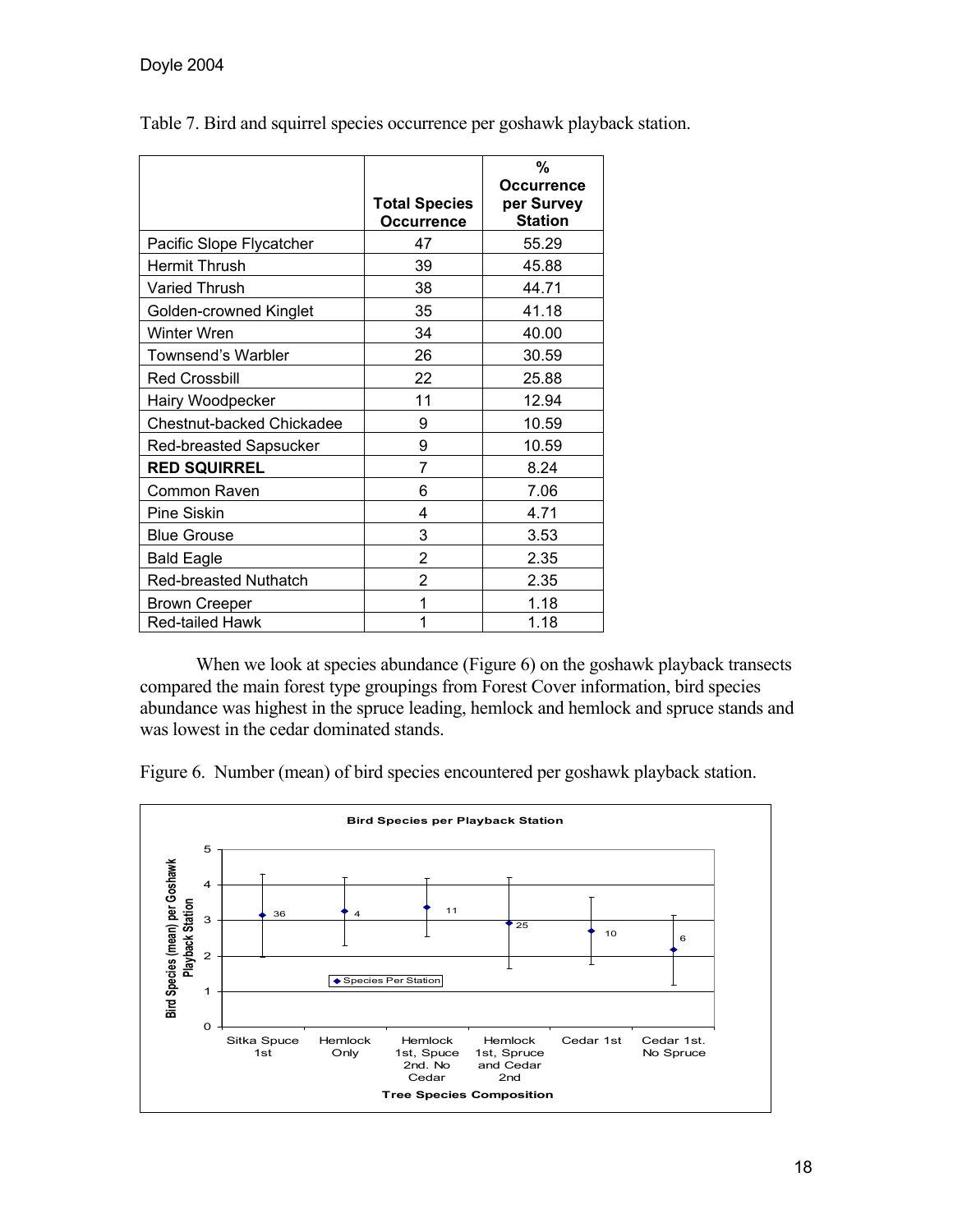|                                  | <b>Total Species</b><br>Occurrence | %<br><b>Occurrence</b><br>per Survey<br><b>Station</b> |
|----------------------------------|------------------------------------|--------------------------------------------------------|
| Pacific Slope Flycatcher         | 47                                 | 55.29                                                  |
| <b>Hermit Thrush</b>             | 39                                 | 45.88                                                  |
| Varied Thrush                    | 38                                 | 44.71                                                  |
| Golden-crowned Kinglet           | 35                                 | 41.18                                                  |
| <b>Winter Wren</b>               | 34                                 | 40.00                                                  |
| Townsend's Warbler               | 26                                 | 30.59                                                  |
| <b>Red Crossbill</b>             | 22                                 | 25.88                                                  |
| Hairy Woodpecker                 | 11                                 | 12.94                                                  |
| <b>Chestnut-backed Chickadee</b> | 9                                  | 10.59                                                  |
| Red-breasted Sapsucker           | 9                                  | 10.59                                                  |
| <b>RED SQUIRREL</b>              | 7                                  | 8.24                                                   |
| Common Raven                     | 6                                  | 7.06                                                   |
| <b>Pine Siskin</b>               | 4                                  | 4.71                                                   |
| <b>Blue Grouse</b>               | 3                                  | 3.53                                                   |
| <b>Bald Eagle</b>                | 2                                  | 2.35                                                   |
| <b>Red-breasted Nuthatch</b>     | 2                                  | 2.35                                                   |
| <b>Brown Creeper</b>             | 1                                  | 1.18                                                   |
| Red-tailed Hawk                  | 1                                  | 1.18                                                   |

Table 7. Bird and squirrel species occurrence per goshawk playback station.

When we look at species abundance (Figure 6) on the goshawk playback transects compared the main forest type groupings from Forest Cover information, bird species abundance was highest in the spruce leading, hemlock and hemlock and spruce stands and was lowest in the cedar dominated stands.

Figure 6. Number (mean) of bird species encountered per goshawk playback station.

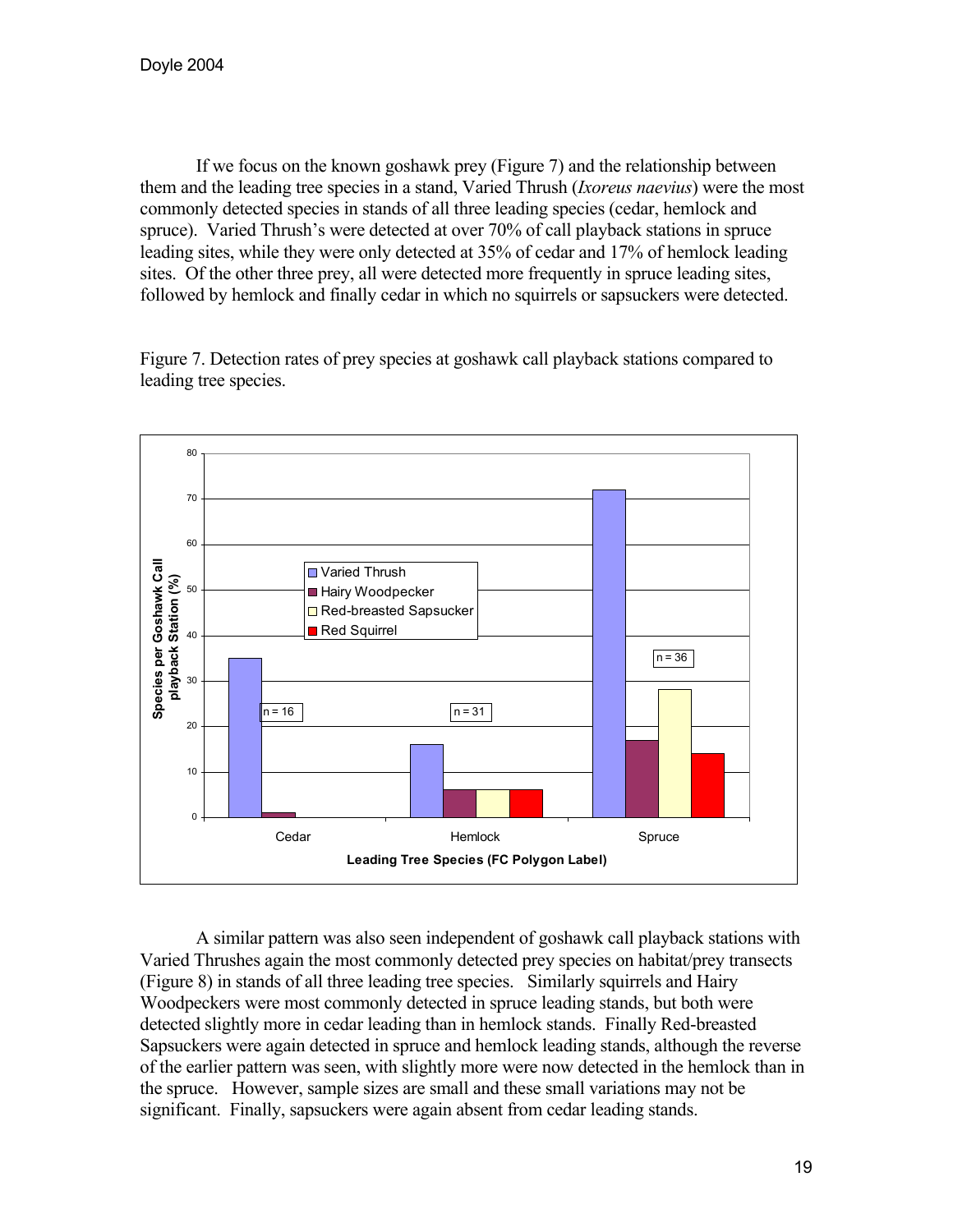If we focus on the known goshawk prey (Figure 7) and the relationship between them and the leading tree species in a stand, Varied Thrush (*Ixoreus naevius*) were the most commonly detected species in stands of all three leading species (cedar, hemlock and spruce). Varied Thrush's were detected at over 70% of call playback stations in spruce leading sites, while they were only detected at 35% of cedar and 17% of hemlock leading sites. Of the other three prey, all were detected more frequently in spruce leading sites, followed by hemlock and finally cedar in which no squirrels or sapsuckers were detected.

Figure 7. Detection rates of prey species at goshawk call playback stations compared to leading tree species.



A similar pattern was also seen independent of goshawk call playback stations with Varied Thrushes again the most commonly detected prey species on habitat/prey transects (Figure 8) in stands of all three leading tree species. Similarly squirrels and Hairy Woodpeckers were most commonly detected in spruce leading stands, but both were detected slightly more in cedar leading than in hemlock stands. Finally Red-breasted Sapsuckers were again detected in spruce and hemlock leading stands, although the reverse of the earlier pattern was seen, with slightly more were now detected in the hemlock than in the spruce. However, sample sizes are small and these small variations may not be significant. Finally, sapsuckers were again absent from cedar leading stands.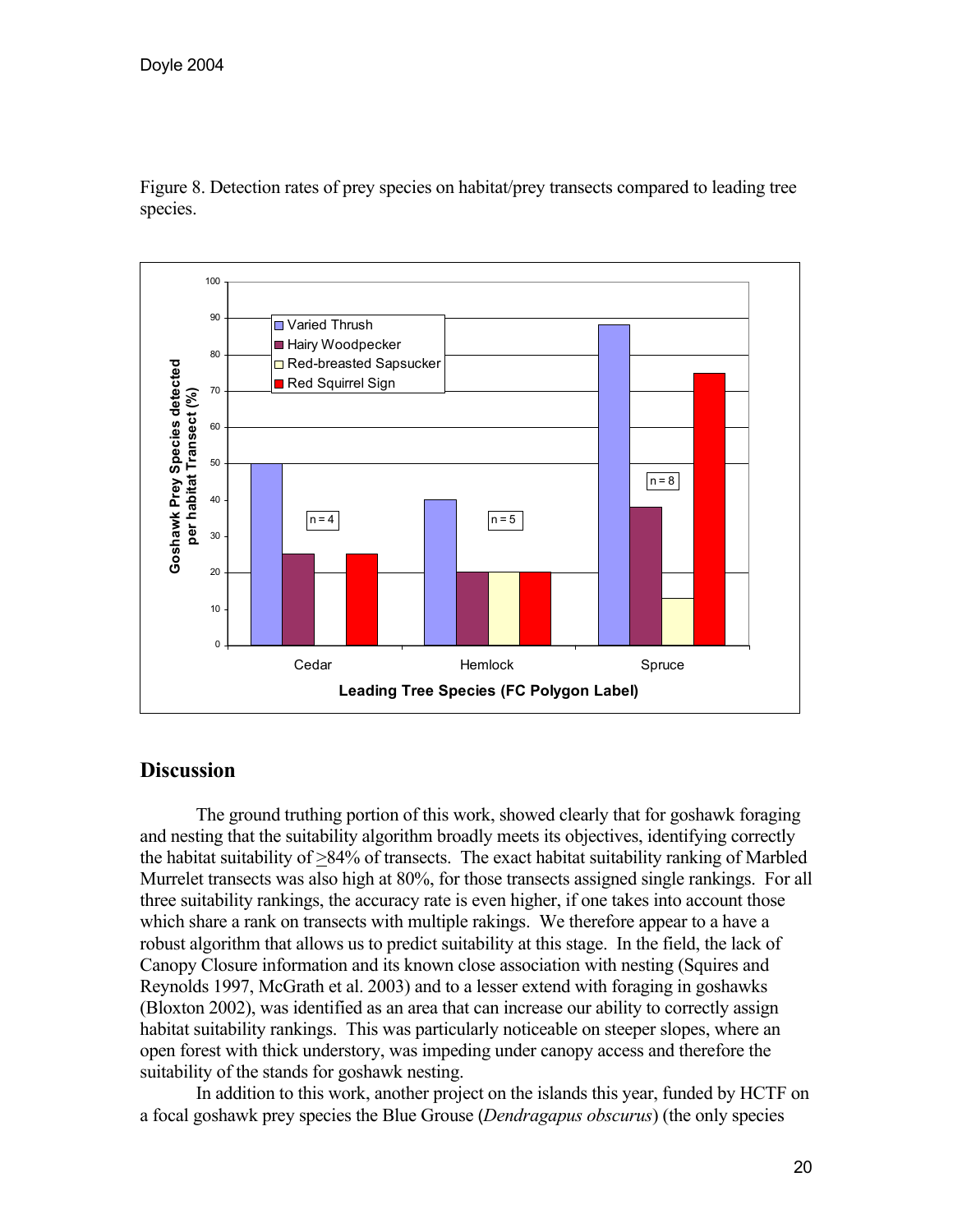

Figure 8. Detection rates of prey species on habitat/prey transects compared to leading tree species.

# **Discussion**

 The ground truthing portion of this work, showed clearly that for goshawk foraging and nesting that the suitability algorithm broadly meets its objectives, identifying correctly the habitat suitability of >84% of transects. The exact habitat suitability ranking of Marbled Murrelet transects was also high at 80%, for those transects assigned single rankings. For all three suitability rankings, the accuracy rate is even higher, if one takes into account those which share a rank on transects with multiple rakings. We therefore appear to a have a robust algorithm that allows us to predict suitability at this stage. In the field, the lack of Canopy Closure information and its known close association with nesting (Squires and Reynolds 1997, McGrath et al. 2003) and to a lesser extend with foraging in goshawks (Bloxton 2002), was identified as an area that can increase our ability to correctly assign habitat suitability rankings. This was particularly noticeable on steeper slopes, where an open forest with thick understory, was impeding under canopy access and therefore the suitability of the stands for goshawk nesting.

In addition to this work, another project on the islands this year, funded by HCTF on a focal goshawk prey species the Blue Grouse (*Dendragapus obscurus*) (the only species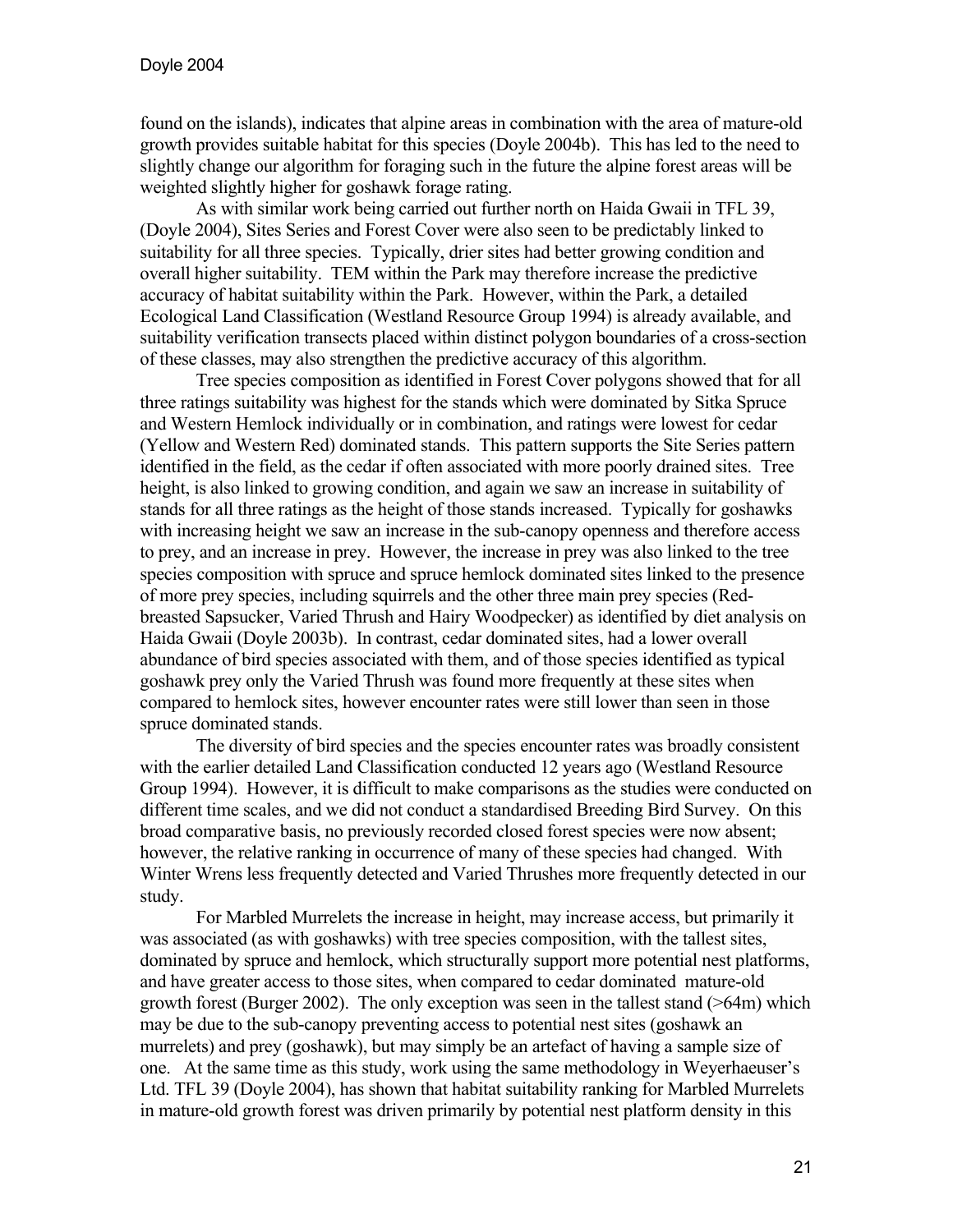found on the islands), indicates that alpine areas in combination with the area of mature-old growth provides suitable habitat for this species (Doyle 2004b). This has led to the need to slightly change our algorithm for foraging such in the future the alpine forest areas will be weighted slightly higher for goshawk forage rating.

As with similar work being carried out further north on Haida Gwaii in TFL 39, (Doyle 2004), Sites Series and Forest Cover were also seen to be predictably linked to suitability for all three species. Typically, drier sites had better growing condition and overall higher suitability. TEM within the Park may therefore increase the predictive accuracy of habitat suitability within the Park. However, within the Park, a detailed Ecological Land Classification (Westland Resource Group 1994) is already available, and suitability verification transects placed within distinct polygon boundaries of a cross-section of these classes, may also strengthen the predictive accuracy of this algorithm.

 Tree species composition as identified in Forest Cover polygons showed that for all three ratings suitability was highest for the stands which were dominated by Sitka Spruce and Western Hemlock individually or in combination, and ratings were lowest for cedar (Yellow and Western Red) dominated stands. This pattern supports the Site Series pattern identified in the field, as the cedar if often associated with more poorly drained sites. Tree height, is also linked to growing condition, and again we saw an increase in suitability of stands for all three ratings as the height of those stands increased. Typically for goshawks with increasing height we saw an increase in the sub-canopy openness and therefore access to prey, and an increase in prey. However, the increase in prey was also linked to the tree species composition with spruce and spruce hemlock dominated sites linked to the presence of more prey species, including squirrels and the other three main prey species (Redbreasted Sapsucker, Varied Thrush and Hairy Woodpecker) as identified by diet analysis on Haida Gwaii (Doyle 2003b). In contrast, cedar dominated sites, had a lower overall abundance of bird species associated with them, and of those species identified as typical goshawk prey only the Varied Thrush was found more frequently at these sites when compared to hemlock sites, however encounter rates were still lower than seen in those spruce dominated stands.

The diversity of bird species and the species encounter rates was broadly consistent with the earlier detailed Land Classification conducted 12 years ago (Westland Resource Group 1994). However, it is difficult to make comparisons as the studies were conducted on different time scales, and we did not conduct a standardised Breeding Bird Survey. On this broad comparative basis, no previously recorded closed forest species were now absent; however, the relative ranking in occurrence of many of these species had changed. With Winter Wrens less frequently detected and Varied Thrushes more frequently detected in our study.

 For Marbled Murrelets the increase in height, may increase access, but primarily it was associated (as with goshawks) with tree species composition, with the tallest sites, dominated by spruce and hemlock, which structurally support more potential nest platforms, and have greater access to those sites, when compared to cedar dominated mature-old growth forest (Burger 2002). The only exception was seen in the tallest stand (>64m) which may be due to the sub-canopy preventing access to potential nest sites (goshawk an murrelets) and prey (goshawk), but may simply be an artefact of having a sample size of one. At the same time as this study, work using the same methodology in Weyerhaeuser's Ltd. TFL 39 (Doyle 2004), has shown that habitat suitability ranking for Marbled Murrelets in mature-old growth forest was driven primarily by potential nest platform density in this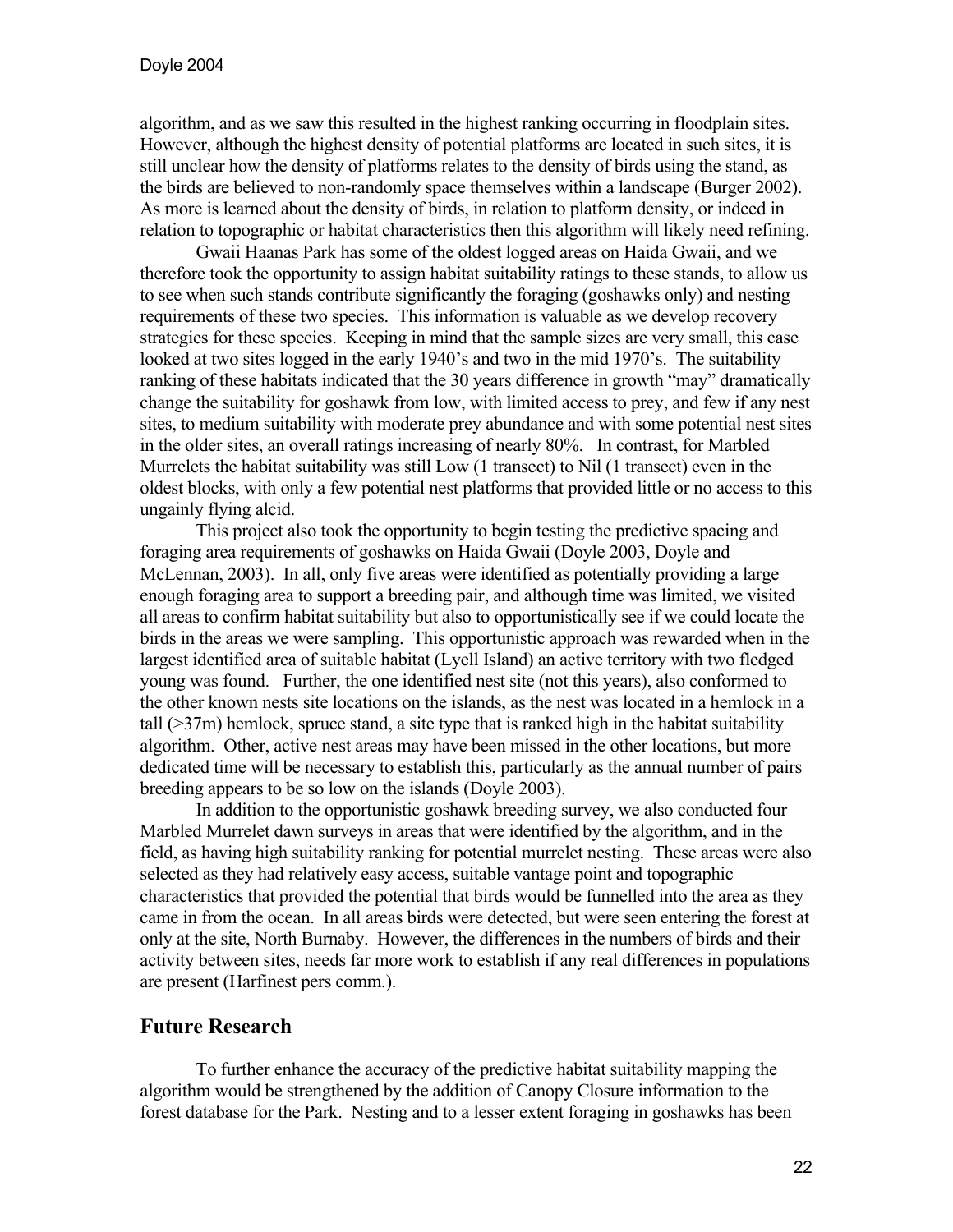algorithm, and as we saw this resulted in the highest ranking occurring in floodplain sites. However, although the highest density of potential platforms are located in such sites, it is still unclear how the density of platforms relates to the density of birds using the stand, as the birds are believed to non-randomly space themselves within a landscape (Burger 2002). As more is learned about the density of birds, in relation to platform density, or indeed in relation to topographic or habitat characteristics then this algorithm will likely need refining.

Gwaii Haanas Park has some of the oldest logged areas on Haida Gwaii, and we therefore took the opportunity to assign habitat suitability ratings to these stands, to allow us to see when such stands contribute significantly the foraging (goshawks only) and nesting requirements of these two species. This information is valuable as we develop recovery strategies for these species. Keeping in mind that the sample sizes are very small, this case looked at two sites logged in the early 1940's and two in the mid 1970's. The suitability ranking of these habitats indicated that the 30 years difference in growth "may" dramatically change the suitability for goshawk from low, with limited access to prey, and few if any nest sites, to medium suitability with moderate prey abundance and with some potential nest sites in the older sites, an overall ratings increasing of nearly 80%. In contrast, for Marbled Murrelets the habitat suitability was still Low (1 transect) to Nil (1 transect) even in the oldest blocks, with only a few potential nest platforms that provided little or no access to this ungainly flying alcid.

This project also took the opportunity to begin testing the predictive spacing and foraging area requirements of goshawks on Haida Gwaii (Doyle 2003, Doyle and McLennan, 2003). In all, only five areas were identified as potentially providing a large enough foraging area to support a breeding pair, and although time was limited, we visited all areas to confirm habitat suitability but also to opportunistically see if we could locate the birds in the areas we were sampling. This opportunistic approach was rewarded when in the largest identified area of suitable habitat (Lyell Island) an active territory with two fledged young was found. Further, the one identified nest site (not this years), also conformed to the other known nests site locations on the islands, as the nest was located in a hemlock in a tall  $(37m)$  hemlock, spruce stand, a site type that is ranked high in the habitat suitability algorithm. Other, active nest areas may have been missed in the other locations, but more dedicated time will be necessary to establish this, particularly as the annual number of pairs breeding appears to be so low on the islands (Doyle 2003).

 In addition to the opportunistic goshawk breeding survey, we also conducted four Marbled Murrelet dawn surveys in areas that were identified by the algorithm, and in the field, as having high suitability ranking for potential murrelet nesting. These areas were also selected as they had relatively easy access, suitable vantage point and topographic characteristics that provided the potential that birds would be funnelled into the area as they came in from the ocean. In all areas birds were detected, but were seen entering the forest at only at the site, North Burnaby. However, the differences in the numbers of birds and their activity between sites, needs far more work to establish if any real differences in populations are present (Harfinest pers comm.).

# **Future Research**

To further enhance the accuracy of the predictive habitat suitability mapping the algorithm would be strengthened by the addition of Canopy Closure information to the forest database for the Park. Nesting and to a lesser extent foraging in goshawks has been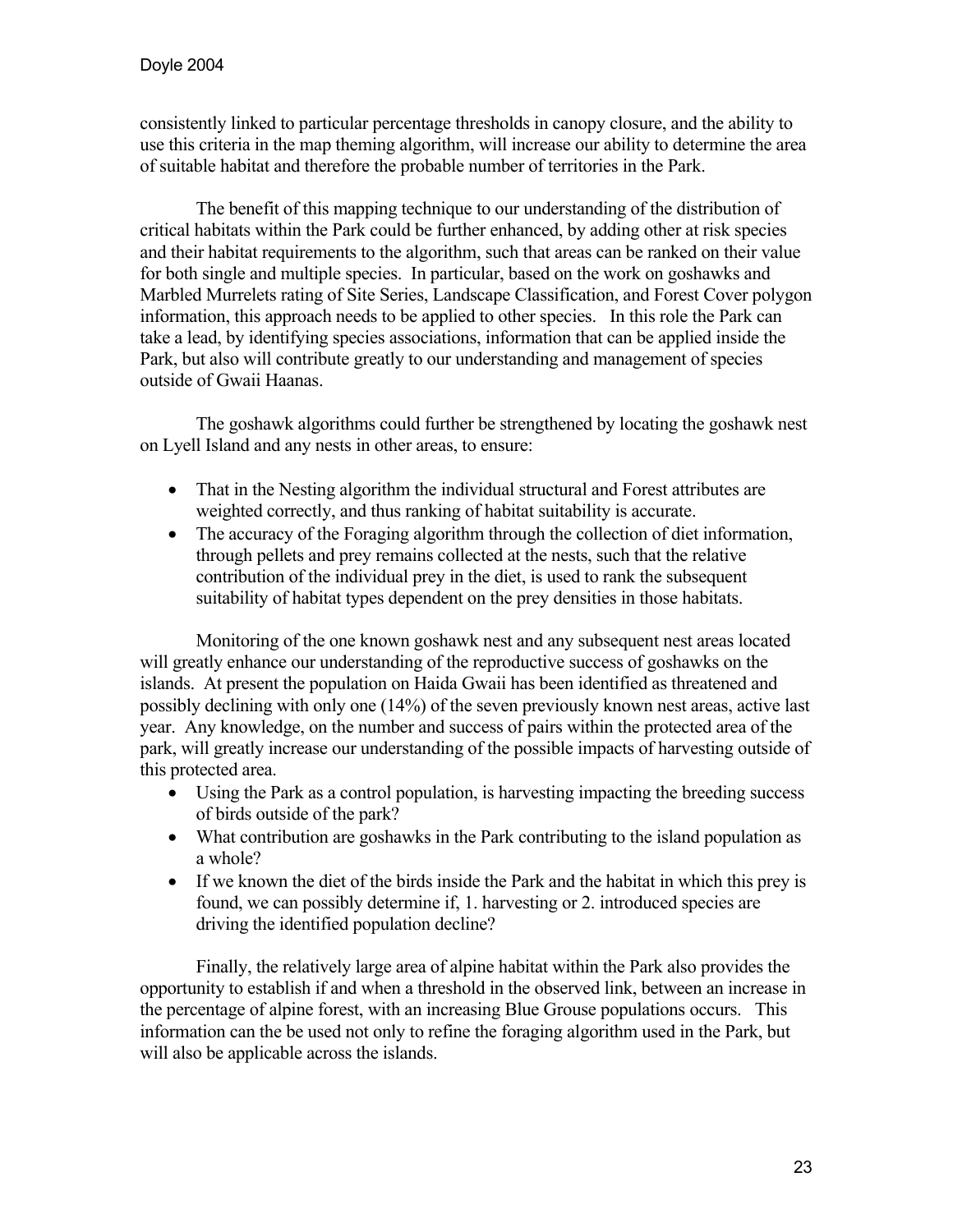consistently linked to particular percentage thresholds in canopy closure, and the ability to use this criteria in the map theming algorithm, will increase our ability to determine the area of suitable habitat and therefore the probable number of territories in the Park.

 The benefit of this mapping technique to our understanding of the distribution of critical habitats within the Park could be further enhanced, by adding other at risk species and their habitat requirements to the algorithm, such that areas can be ranked on their value for both single and multiple species. In particular, based on the work on goshawks and Marbled Murrelets rating of Site Series, Landscape Classification, and Forest Cover polygon information, this approach needs to be applied to other species. In this role the Park can take a lead, by identifying species associations, information that can be applied inside the Park, but also will contribute greatly to our understanding and management of species outside of Gwaii Haanas.

 The goshawk algorithms could further be strengthened by locating the goshawk nest on Lyell Island and any nests in other areas, to ensure:

- That in the Nesting algorithm the individual structural and Forest attributes are weighted correctly, and thus ranking of habitat suitability is accurate.
- The accuracy of the Foraging algorithm through the collection of diet information, through pellets and prey remains collected at the nests, such that the relative contribution of the individual prey in the diet, is used to rank the subsequent suitability of habitat types dependent on the prey densities in those habitats.

 Monitoring of the one known goshawk nest and any subsequent nest areas located will greatly enhance our understanding of the reproductive success of goshawks on the islands. At present the population on Haida Gwaii has been identified as threatened and possibly declining with only one (14%) of the seven previously known nest areas, active last year. Any knowledge, on the number and success of pairs within the protected area of the park, will greatly increase our understanding of the possible impacts of harvesting outside of this protected area.

- Using the Park as a control population, is harvesting impacting the breeding success of birds outside of the park?
- What contribution are goshawks in the Park contributing to the island population as a whole?
- If we known the diet of the birds inside the Park and the habitat in which this prey is found, we can possibly determine if, 1. harvesting or 2. introduced species are driving the identified population decline?

Finally, the relatively large area of alpine habitat within the Park also provides the opportunity to establish if and when a threshold in the observed link, between an increase in the percentage of alpine forest, with an increasing Blue Grouse populations occurs. This information can the be used not only to refine the foraging algorithm used in the Park, but will also be applicable across the islands.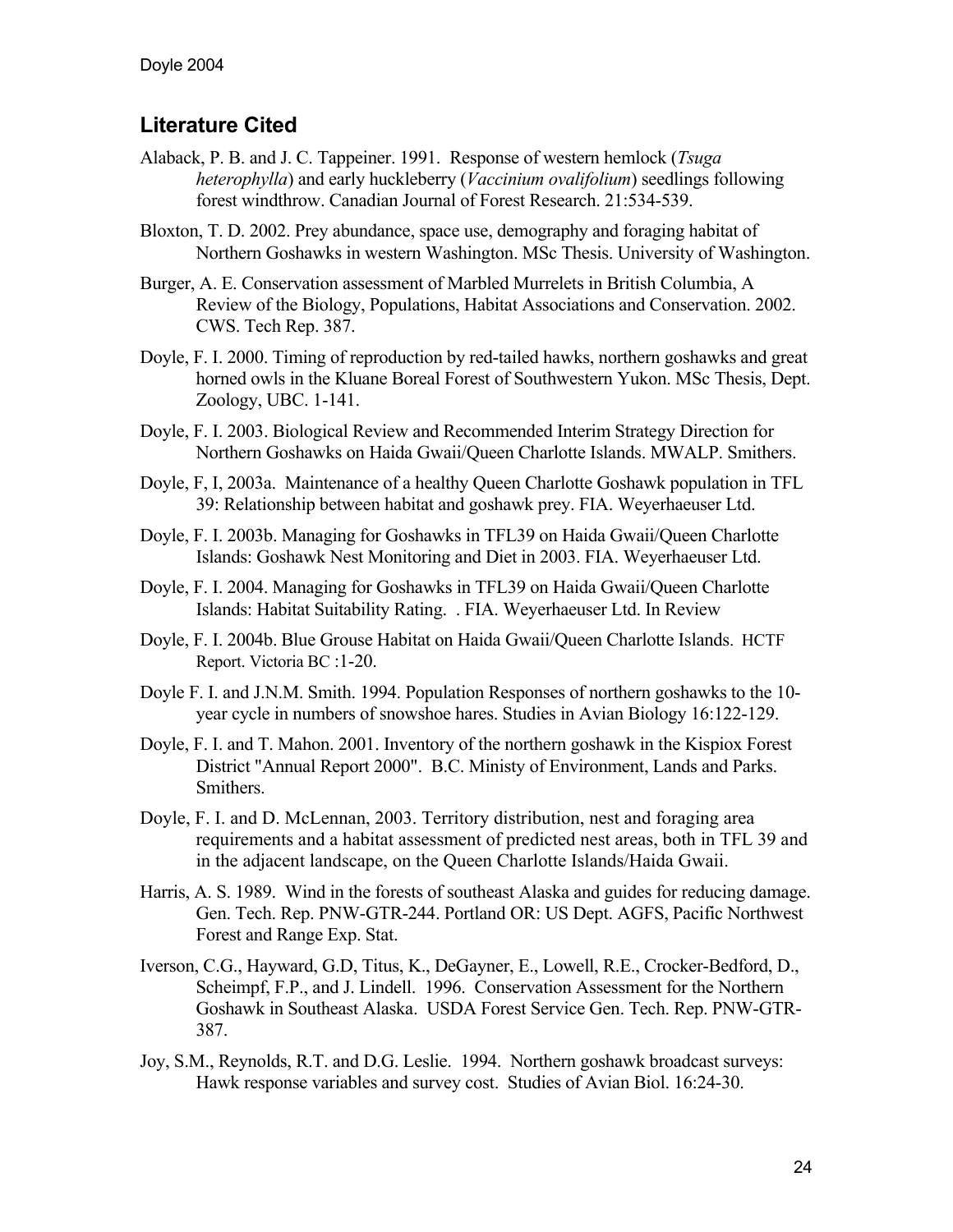# **Literature Cited**

- Alaback, P. B. and J. C. Tappeiner. 1991. Response of western hemlock (*Tsuga heterophylla*) and early huckleberry (*Vaccinium ovalifolium*) seedlings following forest windthrow. Canadian Journal of Forest Research. 21:534-539.
- Bloxton, T. D. 2002. Prey abundance, space use, demography and foraging habitat of Northern Goshawks in western Washington. MSc Thesis. University of Washington.
- Burger, A. E. Conservation assessment of Marbled Murrelets in British Columbia, A Review of the Biology, Populations, Habitat Associations and Conservation. 2002. CWS. Tech Rep. 387.
- Doyle, F. I. 2000. Timing of reproduction by red-tailed hawks, northern goshawks and great horned owls in the Kluane Boreal Forest of Southwestern Yukon. MSc Thesis, Dept. Zoology, UBC. 1-141.
- Doyle, F. I. 2003. Biological Review and Recommended Interim Strategy Direction for Northern Goshawks on Haida Gwaii/Queen Charlotte Islands. MWALP. Smithers.
- Doyle, F, I, 2003a. Maintenance of a healthy Queen Charlotte Goshawk population in TFL 39: Relationship between habitat and goshawk prey. FIA. Weyerhaeuser Ltd.
- Doyle, F. I. 2003b. Managing for Goshawks in TFL39 on Haida Gwaii/Queen Charlotte Islands: Goshawk Nest Monitoring and Diet in 2003. FIA. Weyerhaeuser Ltd.
- Doyle, F. I. 2004. Managing for Goshawks in TFL39 on Haida Gwaii/Queen Charlotte Islands: Habitat Suitability Rating. . FIA. Weyerhaeuser Ltd. In Review
- Doyle, F. I. 2004b. Blue Grouse Habitat on Haida Gwaii/Queen Charlotte Islands. HCTF Report. Victoria BC :1-20.
- Doyle F. I. and J.N.M. Smith. 1994. Population Responses of northern goshawks to the 10 year cycle in numbers of snowshoe hares. Studies in Avian Biology 16:122-129.
- Doyle, F. I. and T. Mahon. 2001. Inventory of the northern goshawk in the Kispiox Forest District "Annual Report 2000". B.C. Ministy of Environment, Lands and Parks. Smithers.
- Doyle, F. I. and D. McLennan, 2003. Territory distribution, nest and foraging area requirements and a habitat assessment of predicted nest areas, both in TFL 39 and in the adjacent landscape, on the Queen Charlotte Islands/Haida Gwaii.
- Harris, A. S. 1989. Wind in the forests of southeast Alaska and guides for reducing damage. Gen. Tech. Rep. PNW-GTR-244. Portland OR: US Dept. AGFS, Pacific Northwest Forest and Range Exp. Stat.
- Iverson, C.G., Hayward, G.D, Titus, K., DeGayner, E., Lowell, R.E., Crocker-Bedford, D., Scheimpf, F.P., and J. Lindell. 1996. Conservation Assessment for the Northern Goshawk in Southeast Alaska. USDA Forest Service Gen. Tech. Rep. PNW-GTR-387.
- Joy, S.M., Reynolds, R.T. and D.G. Leslie. 1994. Northern goshawk broadcast surveys: Hawk response variables and survey cost. Studies of Avian Biol. 16:24-30.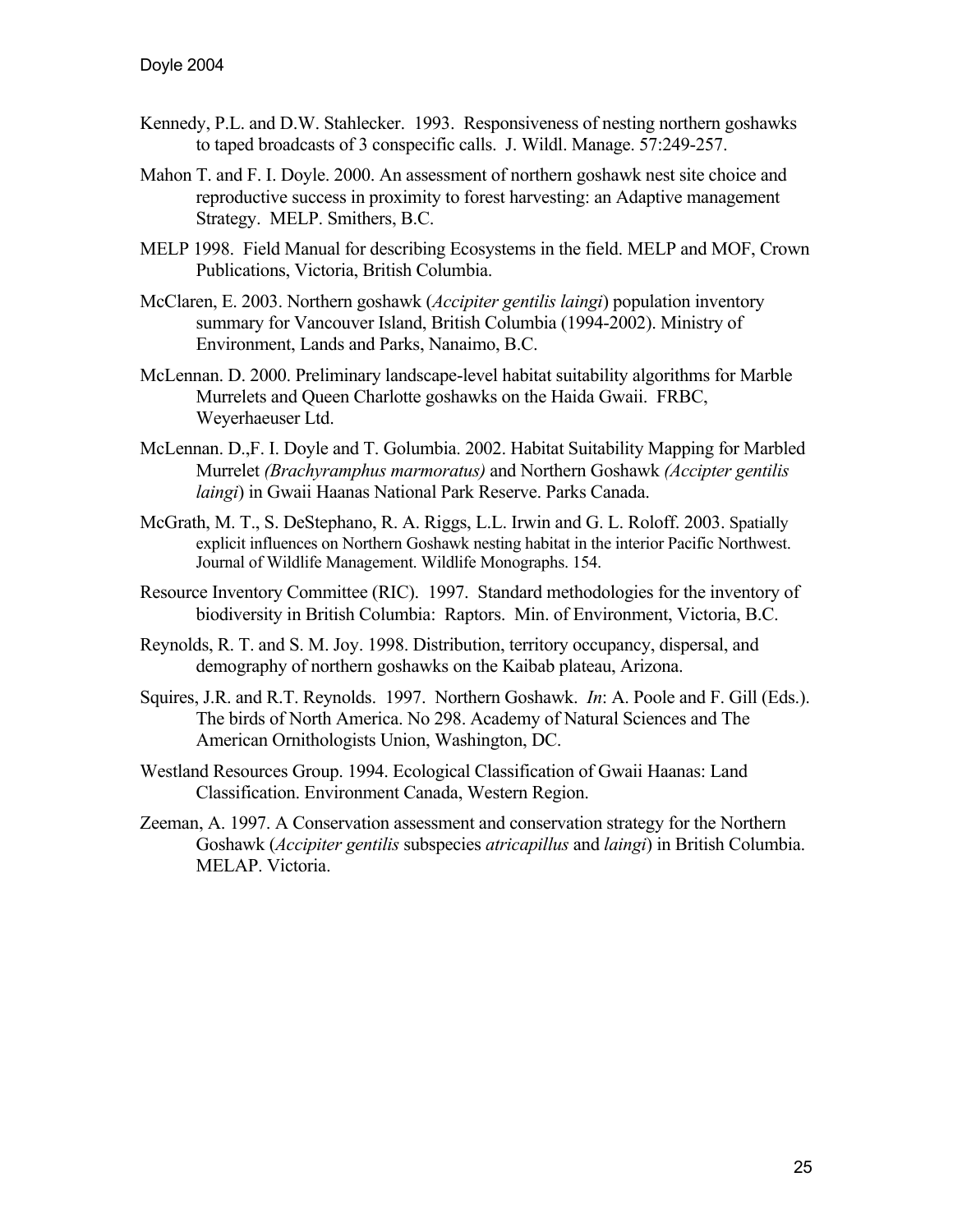- Kennedy, P.L. and D.W. Stahlecker. 1993. Responsiveness of nesting northern goshawks to taped broadcasts of 3 conspecific calls. J. Wildl. Manage. 57:249-257.
- Mahon T. and F. I. Doyle. 2000. An assessment of northern goshawk nest site choice and reproductive success in proximity to forest harvesting: an Adaptive management Strategy. MELP. Smithers, B.C.
- MELP 1998. Field Manual for describing Ecosystems in the field. MELP and MOF, Crown Publications, Victoria, British Columbia.
- McClaren, E. 2003. Northern goshawk (*Accipiter gentilis laingi*) population inventory summary for Vancouver Island, British Columbia (1994-2002). Ministry of Environment, Lands and Parks, Nanaimo, B.C.
- McLennan. D. 2000. Preliminary landscape-level habitat suitability algorithms for Marble Murrelets and Queen Charlotte goshawks on the Haida Gwaii. FRBC, Weyerhaeuser Ltd.
- McLennan. D.,F. I. Doyle and T. Golumbia. 2002. Habitat Suitability Mapping for Marbled Murrelet *(Brachyramphus marmoratus)* and Northern Goshawk *(Accipter gentilis laingi*) in Gwaii Haanas National Park Reserve. Parks Canada.
- McGrath, M. T., S. DeStephano, R. A. Riggs, L.L. Irwin and G. L. Roloff. 2003. Spatially explicit influences on Northern Goshawk nesting habitat in the interior Pacific Northwest. Journal of Wildlife Management. Wildlife Monographs. 154.
- Resource Inventory Committee (RIC). 1997. Standard methodologies for the inventory of biodiversity in British Columbia: Raptors. Min. of Environment, Victoria, B.C.
- Reynolds, R. T. and S. M. Joy. 1998. Distribution, territory occupancy, dispersal, and demography of northern goshawks on the Kaibab plateau, Arizona.
- Squires, J.R. and R.T. Reynolds. 1997. Northern Goshawk. *In*: A. Poole and F. Gill (Eds.). The birds of North America. No 298. Academy of Natural Sciences and The American Ornithologists Union, Washington, DC.
- Westland Resources Group. 1994. Ecological Classification of Gwaii Haanas: Land Classification. Environment Canada, Western Region.
- Zeeman, A. 1997. A Conservation assessment and conservation strategy for the Northern Goshawk (*Accipiter gentilis* subspecies *atricapillus* and *laingi*) in British Columbia. MELAP. Victoria.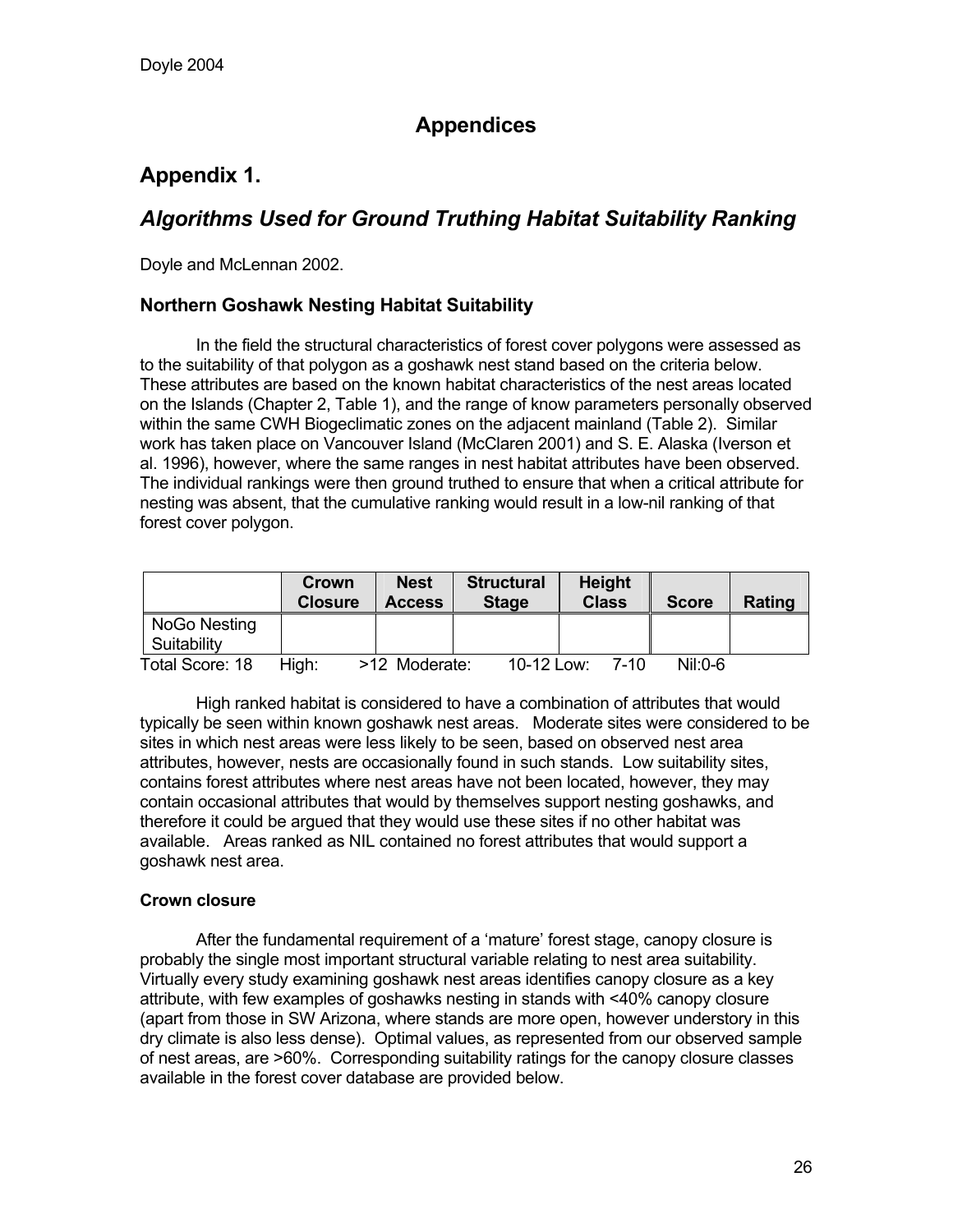# **Appendices**

# **Appendix 1.**

# *Algorithms Used for Ground Truthing Habitat Suitability Ranking*

Doyle and McLennan 2002.

### **Northern Goshawk Nesting Habitat Suitability**

 In the field the structural characteristics of forest cover polygons were assessed as to the suitability of that polygon as a goshawk nest stand based on the criteria below. These attributes are based on the known habitat characteristics of the nest areas located on the Islands (Chapter 2, Table 1), and the range of know parameters personally observed within the same CWH Biogeclimatic zones on the adjacent mainland (Table 2). Similar work has taken place on Vancouver Island (McClaren 2001) and S. E. Alaska (Iverson et al. 1996), however, where the same ranges in nest habitat attributes have been observed. The individual rankings were then ground truthed to ensure that when a critical attribute for nesting was absent, that the cumulative ranking would result in a low-nil ranking of that forest cover polygon.

|                 | Crown<br><b>Closure</b> | <b>Nest</b><br><b>Access</b> | <b>Structural</b><br><b>Stage</b> | <b>Height</b><br><b>Class</b> | <b>Score</b> | Rating |
|-----------------|-------------------------|------------------------------|-----------------------------------|-------------------------------|--------------|--------|
| NoGo Nesting    |                         |                              |                                   |                               |              |        |
| Suitability     |                         |                              |                                   |                               |              |        |
| Total Score: 18 | High:                   | >12 Moderate:                | 10-12 Low:                        | 7-10                          | $Nil:0-6$    |        |

 High ranked habitat is considered to have a combination of attributes that would typically be seen within known goshawk nest areas. Moderate sites were considered to be sites in which nest areas were less likely to be seen, based on observed nest area attributes, however, nests are occasionally found in such stands. Low suitability sites, contains forest attributes where nest areas have not been located, however, they may contain occasional attributes that would by themselves support nesting goshawks, and therefore it could be argued that they would use these sites if no other habitat was available. Areas ranked as NIL contained no forest attributes that would support a goshawk nest area.

#### **Crown closure**

After the fundamental requirement of a 'mature' forest stage, canopy closure is probably the single most important structural variable relating to nest area suitability. Virtually every study examining goshawk nest areas identifies canopy closure as a key attribute, with few examples of goshawks nesting in stands with <40% canopy closure (apart from those in SW Arizona, where stands are more open, however understory in this dry climate is also less dense). Optimal values, as represented from our observed sample of nest areas, are >60%. Corresponding suitability ratings for the canopy closure classes available in the forest cover database are provided below.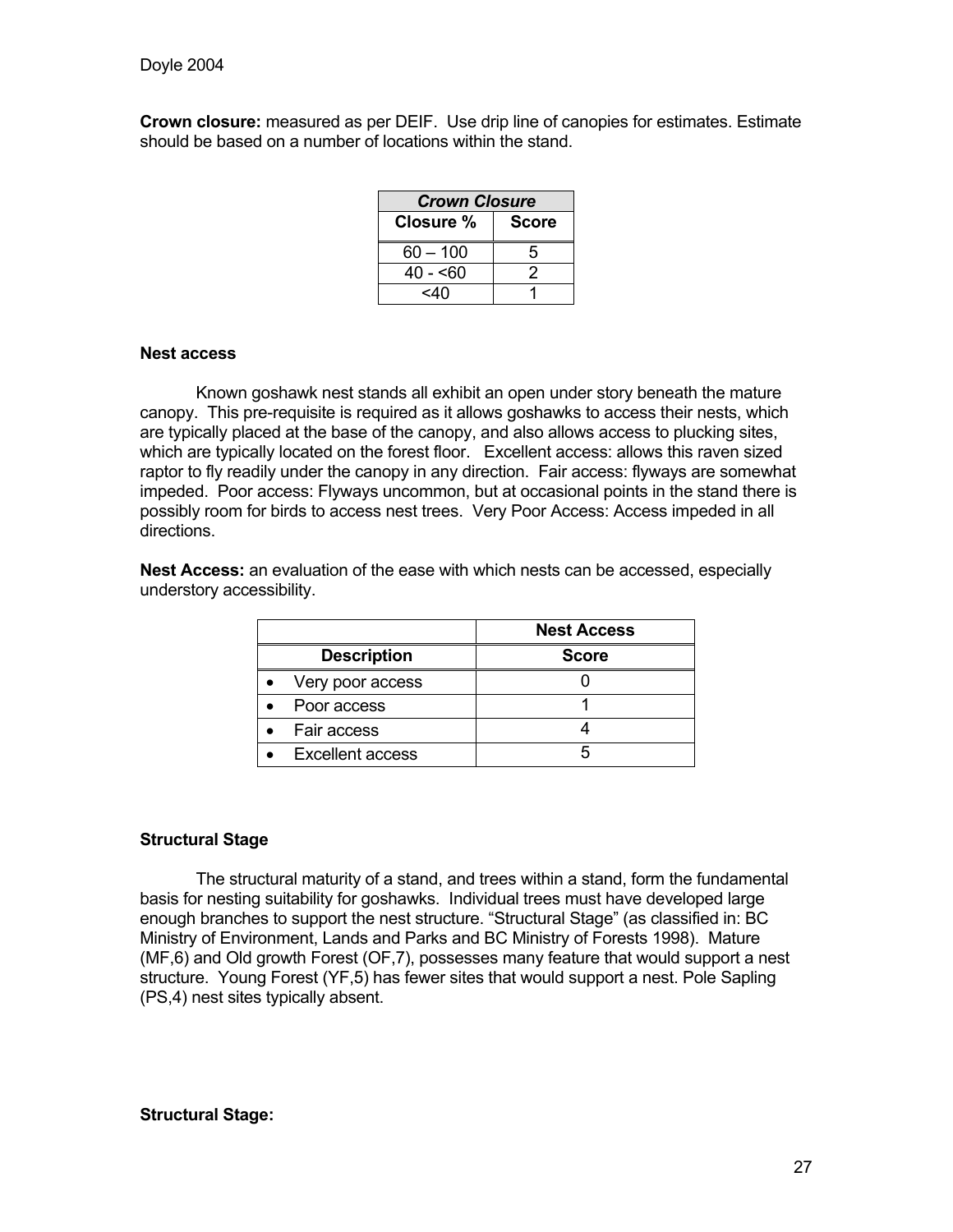**Crown closure:** measured as per DEIF. Use drip line of canopies for estimates. Estimate should be based on a number of locations within the stand.

| <b>Crown Closure</b> |              |  |  |  |  |
|----------------------|--------------|--|--|--|--|
| Closure %            | <b>Score</b> |  |  |  |  |
| $60 - 100$           | 5            |  |  |  |  |
| 40 - <60             | 2            |  |  |  |  |
| <4∩                  |              |  |  |  |  |

#### **Nest access**

Known goshawk nest stands all exhibit an open under story beneath the mature canopy. This pre-requisite is required as it allows goshawks to access their nests, which are typically placed at the base of the canopy, and also allows access to plucking sites, which are typically located on the forest floor. Excellent access: allows this raven sized raptor to fly readily under the canopy in any direction. Fair access: flyways are somewhat impeded. Poor access: Flyways uncommon, but at occasional points in the stand there is possibly room for birds to access nest trees. Very Poor Access: Access impeded in all directions.

|                    | <b>Nest Access</b> |
|--------------------|--------------------|
| <b>Description</b> | <b>Score</b>       |
| Very poor access   |                    |

Poor access and the set of the set of the set of the set of the set of the set of the set of the set of the set of the set of the set of the set of the set of the set of the set of the set of the set of the set of the set Fair access 1 4 • Excellent access 5

**Nest Access:** an evaluation of the ease with which nests can be accessed, especially understory accessibility.

# **Structural Stage**

The structural maturity of a stand, and trees within a stand, form the fundamental basis for nesting suitability for goshawks. Individual trees must have developed large enough branches to support the nest structure. "Structural Stage" (as classified in: BC Ministry of Environment, Lands and Parks and BC Ministry of Forests 1998). Mature (MF,6) and Old growth Forest (OF,7), possesses many feature that would support a nest structure. Young Forest (YF,5) has fewer sites that would support a nest. Pole Sapling (PS,4) nest sites typically absent.

#### **Structural Stage:**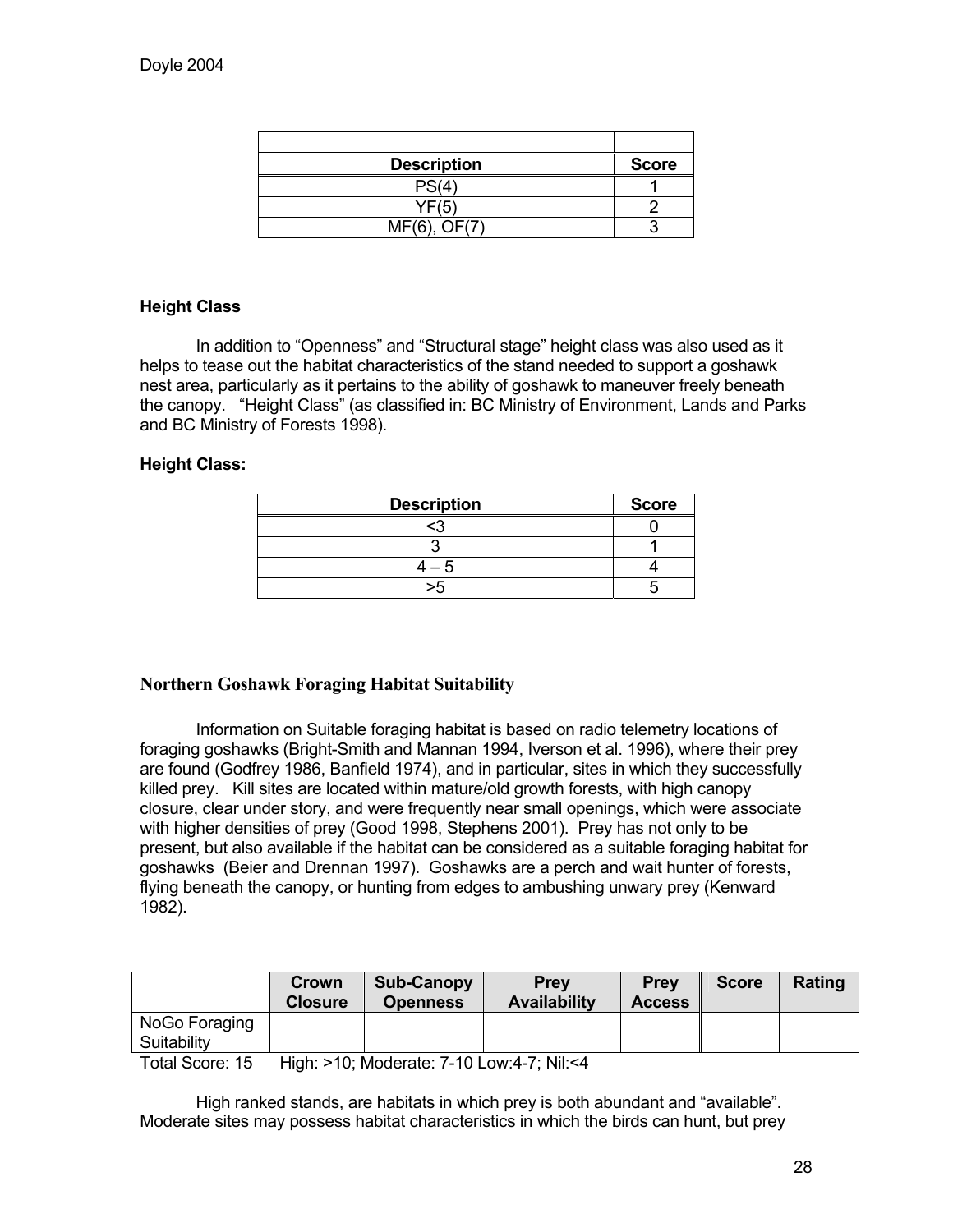| <b>Description</b>        | <b>Score</b> |
|---------------------------|--------------|
| PS(4)                     |              |
| YF(5)                     |              |
| $\bigcap$ $F(7)$<br>MF(6) |              |

### **Height Class**

In addition to "Openness" and "Structural stage" height class was also used as it helps to tease out the habitat characteristics of the stand needed to support a goshawk nest area, particularly as it pertains to the ability of goshawk to maneuver freely beneath the canopy. "Height Class" (as classified in: BC Ministry of Environment, Lands and Parks and BC Ministry of Forests 1998).

#### **Height Class:**

| <b>Description</b> | <b>Score</b> |
|--------------------|--------------|
| پيم                |              |
|                    |              |
|                    |              |
|                    |              |

### **Northern Goshawk Foraging Habitat Suitability**

 Information on Suitable foraging habitat is based on radio telemetry locations of foraging goshawks (Bright-Smith and Mannan 1994, Iverson et al. 1996), where their prey are found (Godfrey 1986, Banfield 1974), and in particular, sites in which they successfully killed prey. Kill sites are located within mature/old growth forests, with high canopy closure, clear under story, and were frequently near small openings, which were associate with higher densities of prey (Good 1998, Stephens 2001). Prey has not only to be present, but also available if the habitat can be considered as a suitable foraging habitat for goshawks (Beier and Drennan 1997). Goshawks are a perch and wait hunter of forests, flying beneath the canopy, or hunting from edges to ambushing unwary prey (Kenward 1982).

|               | Crown<br><b>Closure</b> | <b>Sub-Canopy</b><br><b>Openness</b> | <b>Prev</b><br><b>Availability</b> | <b>Prev</b><br><b>Access</b> | <b>Score</b> | Rating |
|---------------|-------------------------|--------------------------------------|------------------------------------|------------------------------|--------------|--------|
| NoGo Foraging |                         |                                      |                                    |                              |              |        |
| Suitability   |                         |                                      |                                    |                              |              |        |

Total Score: 15 High: >10; Moderate: 7-10 Low:4-7; Nil:<4

 High ranked stands, are habitats in which prey is both abundant and "available". Moderate sites may possess habitat characteristics in which the birds can hunt, but prey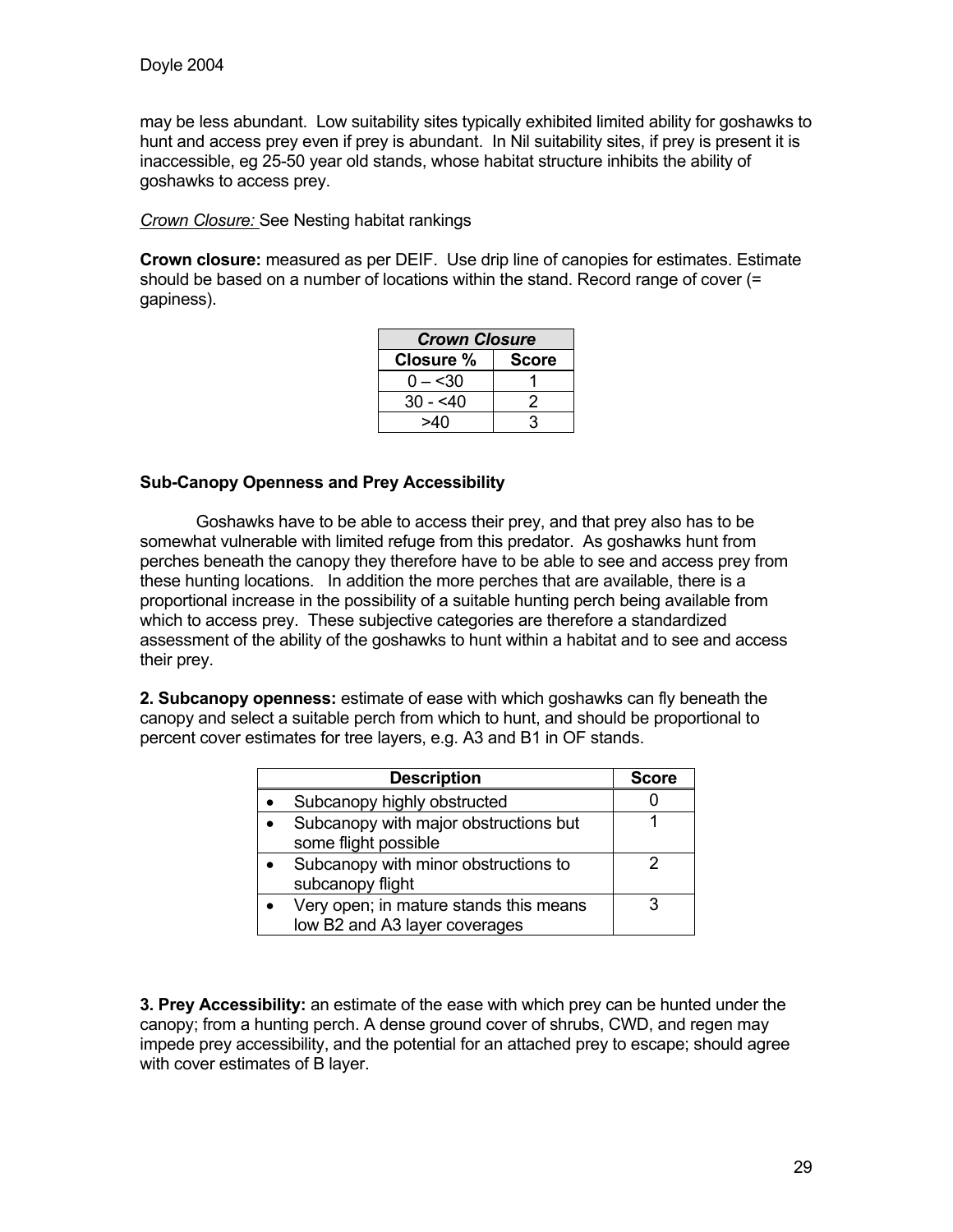may be less abundant. Low suitability sites typically exhibited limited ability for goshawks to hunt and access prey even if prey is abundant. In Nil suitability sites, if prey is present it is inaccessible, eg 25-50 year old stands, whose habitat structure inhibits the ability of goshawks to access prey.

*Crown Closure:* See Nesting habitat rankings

**Crown closure:** measured as per DEIF. Use drip line of canopies for estimates. Estimate should be based on a number of locations within the stand. Record range of cover (= gapiness).

| <b>Crown Closure</b>      |  |  |
|---------------------------|--|--|
| Closure %<br><b>Score</b> |  |  |
| $0 - 30$                  |  |  |
| $30 - 540$                |  |  |
| ר4⊿                       |  |  |

#### **Sub-Canopy Openness and Prey Accessibility**

Goshawks have to be able to access their prey, and that prey also has to be somewhat vulnerable with limited refuge from this predator. As goshawks hunt from perches beneath the canopy they therefore have to be able to see and access prey from these hunting locations. In addition the more perches that are available, there is a proportional increase in the possibility of a suitable hunting perch being available from which to access prey. These subjective categories are therefore a standardized assessment of the ability of the goshawks to hunt within a habitat and to see and access their prey.

**2. Subcanopy openness:** estimate of ease with which goshawks can fly beneath the canopy and select a suitable perch from which to hunt, and should be proportional to percent cover estimates for tree layers, e.g. A3 and B1 in OF stands.

| <b>Description</b>                                                      | <b>Score</b> |
|-------------------------------------------------------------------------|--------------|
| Subcanopy highly obstructed                                             |              |
| Subcanopy with major obstructions but<br>some flight possible           |              |
| Subcanopy with minor obstructions to<br>subcanopy flight                |              |
| Very open; in mature stands this means<br>low B2 and A3 layer coverages |              |

**3. Prey Accessibility:** an estimate of the ease with which prey can be hunted under the canopy; from a hunting perch. A dense ground cover of shrubs, CWD, and regen may impede prey accessibility, and the potential for an attached prey to escape; should agree with cover estimates of B layer.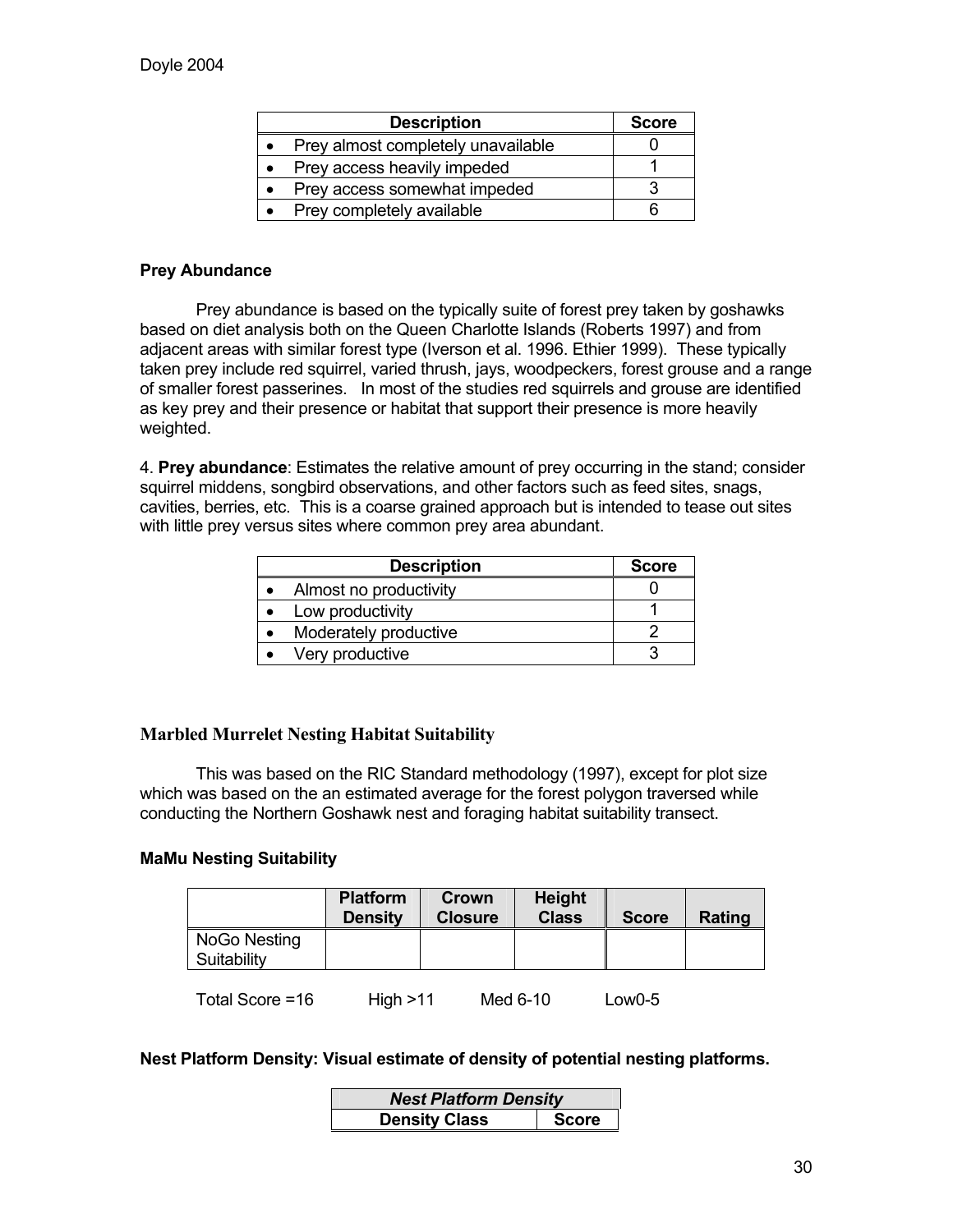| <b>Description</b>                 | <b>Score</b> |
|------------------------------------|--------------|
| Prey almost completely unavailable |              |
| Prey access heavily impeded        |              |
| Prey access somewhat impeded       |              |
| Prey completely available          |              |

#### **Prey Abundance**

Prey abundance is based on the typically suite of forest prey taken by goshawks based on diet analysis both on the Queen Charlotte Islands (Roberts 1997) and from adjacent areas with similar forest type (Iverson et al. 1996. Ethier 1999). These typically taken prey include red squirrel, varied thrush, jays, woodpeckers, forest grouse and a range of smaller forest passerines. In most of the studies red squirrels and grouse are identified as key prey and their presence or habitat that support their presence is more heavily weighted.

4. **Prey abundance**: Estimates the relative amount of prey occurring in the stand; consider squirrel middens, songbird observations, and other factors such as feed sites, snags, cavities, berries, etc. This is a coarse grained approach but is intended to tease out sites with little prey versus sites where common prey area abundant.

| <b>Description</b>     | <b>Score</b> |
|------------------------|--------------|
| Almost no productivity |              |
| Low productivity       |              |
| Moderately productive  |              |
| Very productive        |              |

#### **Marbled Murrelet Nesting Habitat Suitability**

 This was based on the RIC Standard methodology (1997), except for plot size which was based on the an estimated average for the forest polygon traversed while conducting the Northern Goshawk nest and foraging habitat suitability transect.

#### **MaMu Nesting Suitability**

|                             | <b>Platform</b><br><b>Density</b> | Crown<br><b>Closure</b> | <b>Height</b><br><b>Class</b> | <b>Score</b> | Rating |
|-----------------------------|-----------------------------------|-------------------------|-------------------------------|--------------|--------|
| NoGo Nesting<br>Suitability |                                   |                         |                               |              |        |
| Total Score =16             | High > 11                         |                         | Med 6-10                      | Low0-5       |        |

#### **Nest Platform Density: Visual estimate of density of potential nesting platforms.**

| <b>Nest Platform Density</b> |              |  |
|------------------------------|--------------|--|
| <b>Density Class</b>         | <b>Score</b> |  |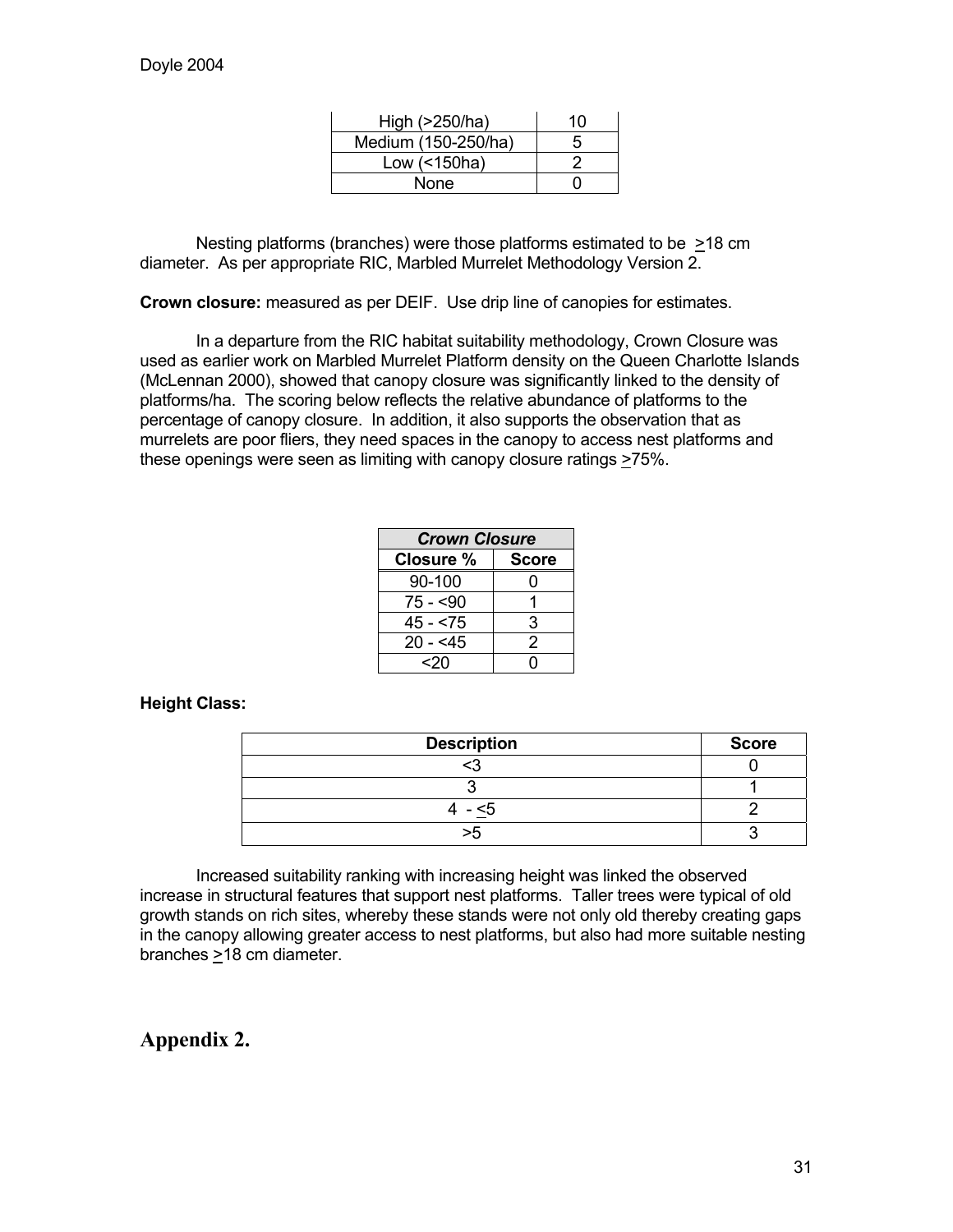| High (>250/ha)      | 10 |
|---------------------|----|
| Medium (150-250/ha) | 5  |
| Low $($ < 150 ha)   |    |
| None                |    |

 Nesting platforms (branches) were those platforms estimated to be >18 cm diameter. As per appropriate RIC, Marbled Murrelet Methodology Version 2.

**Crown closure:** measured as per DEIF. Use drip line of canopies for estimates.

 In a departure from the RIC habitat suitability methodology, Crown Closure was used as earlier work on Marbled Murrelet Platform density on the Queen Charlotte Islands (McLennan 2000), showed that canopy closure was significantly linked to the density of platforms/ha. The scoring below reflects the relative abundance of platforms to the percentage of canopy closure. In addition, it also supports the observation that as murrelets are poor fliers, they need spaces in the canopy to access nest platforms and these openings were seen as limiting with canopy closure ratings >75%.

| <b>Crown Closure</b> |              |  |
|----------------------|--------------|--|
| Closure %            | <b>Score</b> |  |
| 90-100               |              |  |
| 75 - <90             |              |  |
| 45 - <75             | 3            |  |
| $20 - 5$             | 2            |  |
| <2∩                  |              |  |

#### **Height Class:**

| <b>Description</b> | <b>Score</b> |
|--------------------|--------------|
|                    |              |
|                    |              |
| $- < 5$            |              |
|                    |              |

 Increased suitability ranking with increasing height was linked the observed increase in structural features that support nest platforms. Taller trees were typical of old growth stands on rich sites, whereby these stands were not only old thereby creating gaps in the canopy allowing greater access to nest platforms, but also had more suitable nesting branches >18 cm diameter.

# **Appendix 2.**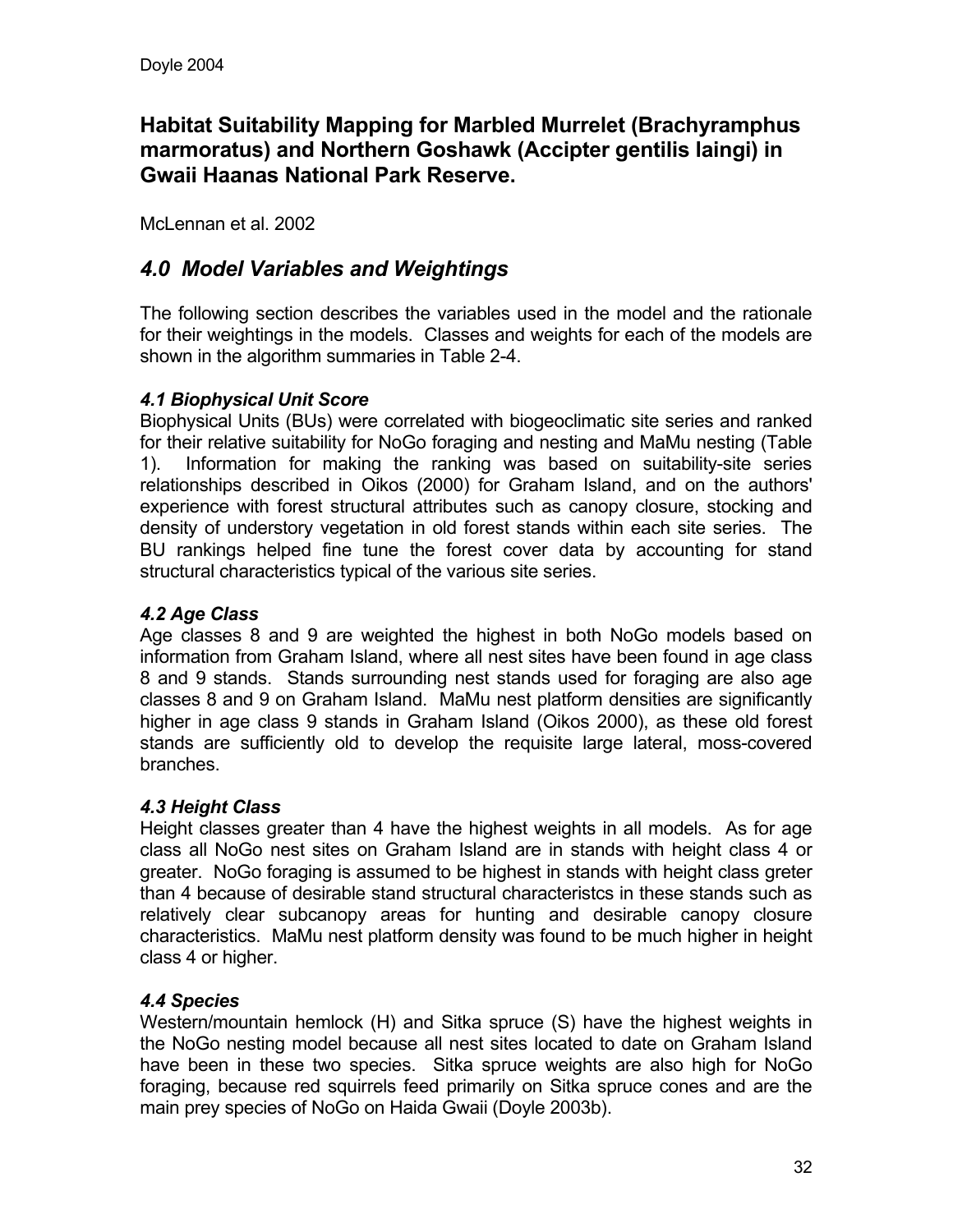# **Habitat Suitability Mapping for Marbled Murrelet (Brachyramphus marmoratus) and Northern Goshawk (Accipter gentilis laingi) in Gwaii Haanas National Park Reserve.**

McLennan et al. 2002

# *4.0 Model Variables and Weightings*

The following section describes the variables used in the model and the rationale for their weightings in the models. Classes and weights for each of the models are shown in the algorithm summaries in Table 2-4.

### *4.1 Biophysical Unit Score*

Biophysical Units (BUs) were correlated with biogeoclimatic site series and ranked for their relative suitability for NoGo foraging and nesting and MaMu nesting (Table 1). Information for making the ranking was based on suitability-site series relationships described in Oikos (2000) for Graham Island, and on the authors' experience with forest structural attributes such as canopy closure, stocking and density of understory vegetation in old forest stands within each site series. The BU rankings helped fine tune the forest cover data by accounting for stand structural characteristics typical of the various site series.

# *4.2 Age Class*

Age classes 8 and 9 are weighted the highest in both NoGo models based on information from Graham Island, where all nest sites have been found in age class 8 and 9 stands. Stands surrounding nest stands used for foraging are also age classes 8 and 9 on Graham Island. MaMu nest platform densities are significantly higher in age class 9 stands in Graham Island (Oikos 2000), as these old forest stands are sufficiently old to develop the requisite large lateral, moss-covered branches.

### *4.3 Height Class*

Height classes greater than 4 have the highest weights in all models. As for age class all NoGo nest sites on Graham Island are in stands with height class 4 or greater. NoGo foraging is assumed to be highest in stands with height class greter than 4 because of desirable stand structural characteristcs in these stands such as relatively clear subcanopy areas for hunting and desirable canopy closure characteristics. MaMu nest platform density was found to be much higher in height class 4 or higher.

### *4.4 Species*

Western/mountain hemlock (H) and Sitka spruce (S) have the highest weights in the NoGo nesting model because all nest sites located to date on Graham Island have been in these two species. Sitka spruce weights are also high for NoGo foraging, because red squirrels feed primarily on Sitka spruce cones and are the main prey species of NoGo on Haida Gwaii (Doyle 2003b).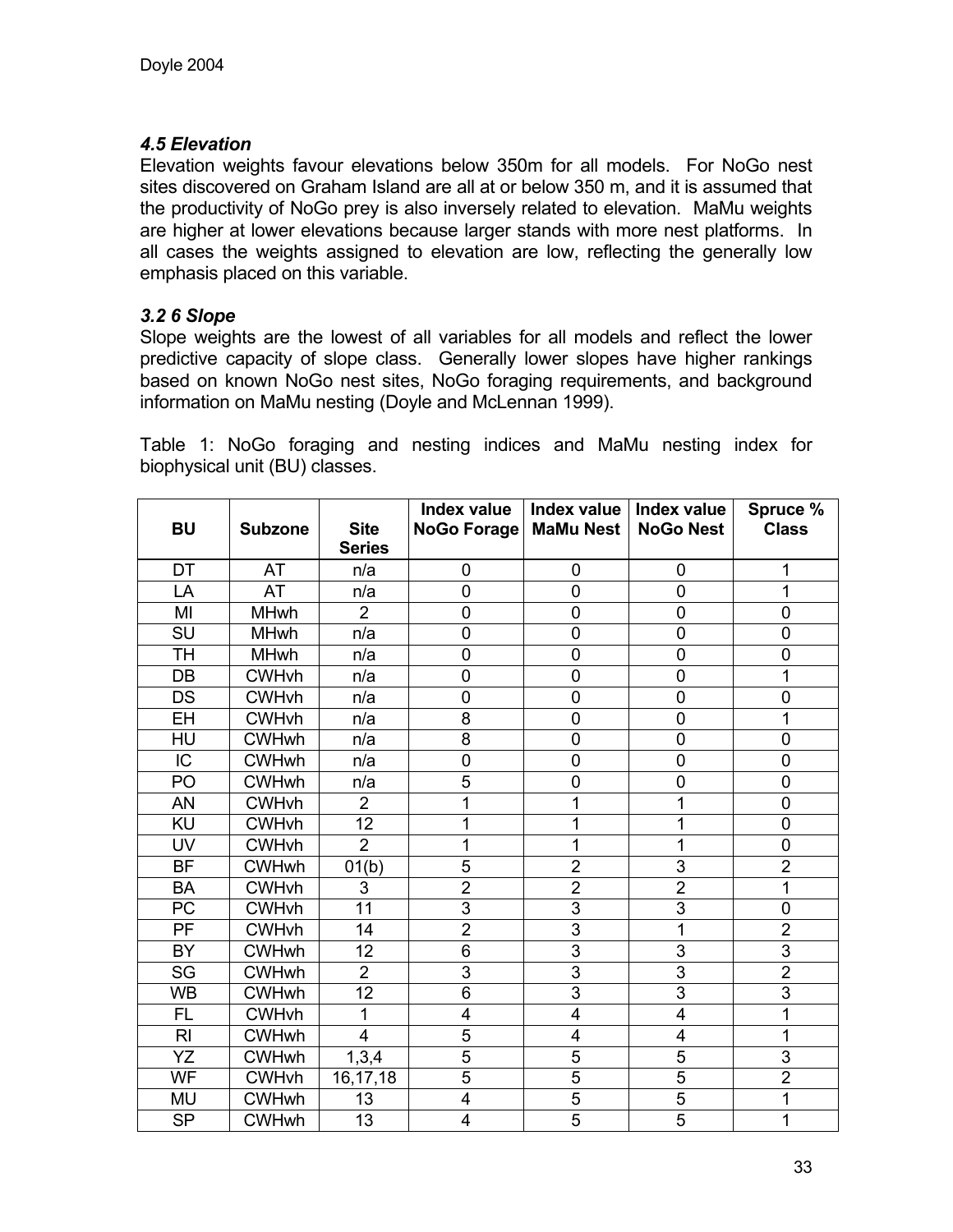### *4.5 Elevation*

Elevation weights favour elevations below 350m for all models. For NoGo nest sites discovered on Graham Island are all at or below 350 m, and it is assumed that the productivity of NoGo prey is also inversely related to elevation. MaMu weights are higher at lower elevations because larger stands with more nest platforms. In all cases the weights assigned to elevation are low, reflecting the generally low emphasis placed on this variable.

### *3.2 6 Slope*

Slope weights are the lowest of all variables for all models and reflect the lower predictive capacity of slope class. Generally lower slopes have higher rankings based on known NoGo nest sites, NoGo foraging requirements, and background information on MaMu nesting (Doyle and McLennan 1999).

Table 1: NoGo foraging and nesting indices and MaMu nesting index for biophysical unit (BU) classes.

| <b>BU</b>       | <b>Subzone</b> | <b>Site</b>    | <b>Index value</b><br><b>NoGo Forage</b> | Index value<br><b>MaMu Nest</b> | Index value<br><b>NoGo Nest</b> | Spruce %<br><b>Class</b> |
|-----------------|----------------|----------------|------------------------------------------|---------------------------------|---------------------------------|--------------------------|
|                 |                | <b>Series</b>  |                                          |                                 |                                 |                          |
| DT              | AT             | n/a            | 0                                        | $\mathbf 0$                     | $\mathbf 0$                     | 1                        |
| LA              | AT             | n/a            | 0                                        | $\overline{0}$                  | $\mathbf 0$                     | 1                        |
| MI              | <b>MHwh</b>    | $\overline{2}$ | 0                                        | $\mathbf 0$                     | $\mathbf 0$                     | 0                        |
| SU              | <b>MHwh</b>    | n/a            | 0                                        | $\mathbf 0$                     | $\pmb{0}$                       | 0                        |
| TH              | <b>MHwh</b>    | n/a            | 0                                        | $\mathbf 0$                     | $\mathbf 0$                     | 0                        |
| DB              | <b>CWHvh</b>   | n/a            | 0                                        | $\overline{0}$                  | $\mathbf 0$                     | 1                        |
| <b>DS</b>       | <b>CWHvh</b>   | n/a            | 0                                        | $\mathbf 0$                     | $\pmb{0}$                       | 0                        |
| EH              | <b>CWHvh</b>   | n/a            | 8                                        | $\mathbf 0$                     | $\pmb{0}$                       | 1                        |
| HU              | <b>CWHwh</b>   | n/a            | 8                                        | $\mathbf 0$                     | $\mathbf 0$                     | 0                        |
| $\overline{IC}$ | <b>CWHwh</b>   | n/a            | $\overline{0}$                           | $\mathbf 0$                     | $\pmb{0}$                       | $\overline{0}$           |
| PO              | <b>CWHwh</b>   | n/a            | 5                                        | $\overline{0}$                  | $\mathbf 0$                     | 0                        |
| AN              | <b>CWHvh</b>   | $\overline{2}$ | 1                                        | 1                               | 1                               | 0                        |
| KU              | <b>CWHvh</b>   | 12             | 1                                        | 1                               | 1                               | 0                        |
| UV              | <b>CWHvh</b>   | $\overline{2}$ | 1                                        | 1                               | 1                               | $\overline{0}$           |
| <b>BF</b>       | <b>CWHwh</b>   | 01(b)          | 5                                        | $\overline{2}$                  | $\mathsf 3$                     | $\overline{2}$           |
| <b>BA</b>       | <b>CWHvh</b>   | 3              | $\overline{2}$                           | $\overline{2}$                  | $\overline{2}$                  | 1                        |
| PC              | <b>CWHvh</b>   | 11             | $\overline{3}$                           | $\overline{3}$                  | $\overline{3}$                  | 0                        |
| $\overline{PF}$ | <b>CWHvh</b>   | 14             | $\overline{2}$                           | 3                               | 1                               | $\overline{2}$           |
| <b>BY</b>       | <b>CWHwh</b>   | 12             | 6                                        | 3                               | 3                               | $\overline{3}$           |
| SG              | <b>CWHwh</b>   | $\overline{2}$ | $\overline{3}$                           | 3                               | $\overline{3}$                  | $\overline{2}$           |
| <b>WB</b>       | <b>CWHwh</b>   | 12             | $\overline{6}$                           | 3                               | $\overline{3}$                  | $\overline{3}$           |
| <b>FL</b>       | <b>CWHvh</b>   | 1              | $\overline{\mathbf{4}}$                  | $\overline{4}$                  | $\overline{\mathbf{4}}$         | 1                        |
| R <sub>l</sub>  | <b>CWHwh</b>   | 4              | $\overline{5}$                           | 4                               | 4                               | 1                        |
| YZ              | <b>CWHwh</b>   | 1,3,4          | $\overline{5}$                           | 5                               | $\overline{5}$                  | $\overline{3}$           |
| WF              | <b>CWHvh</b>   | 16, 17, 18     | $\overline{5}$                           | $\overline{5}$                  | $\overline{5}$                  | $\overline{2}$           |
| MU              | <b>CWHwh</b>   | 13             | $\overline{\mathbf{4}}$                  | $\overline{5}$                  | $\overline{5}$                  | 1                        |
| <b>SP</b>       | <b>CWHwh</b>   | 13             | 4                                        | $\overline{5}$                  | $\overline{5}$                  | 1                        |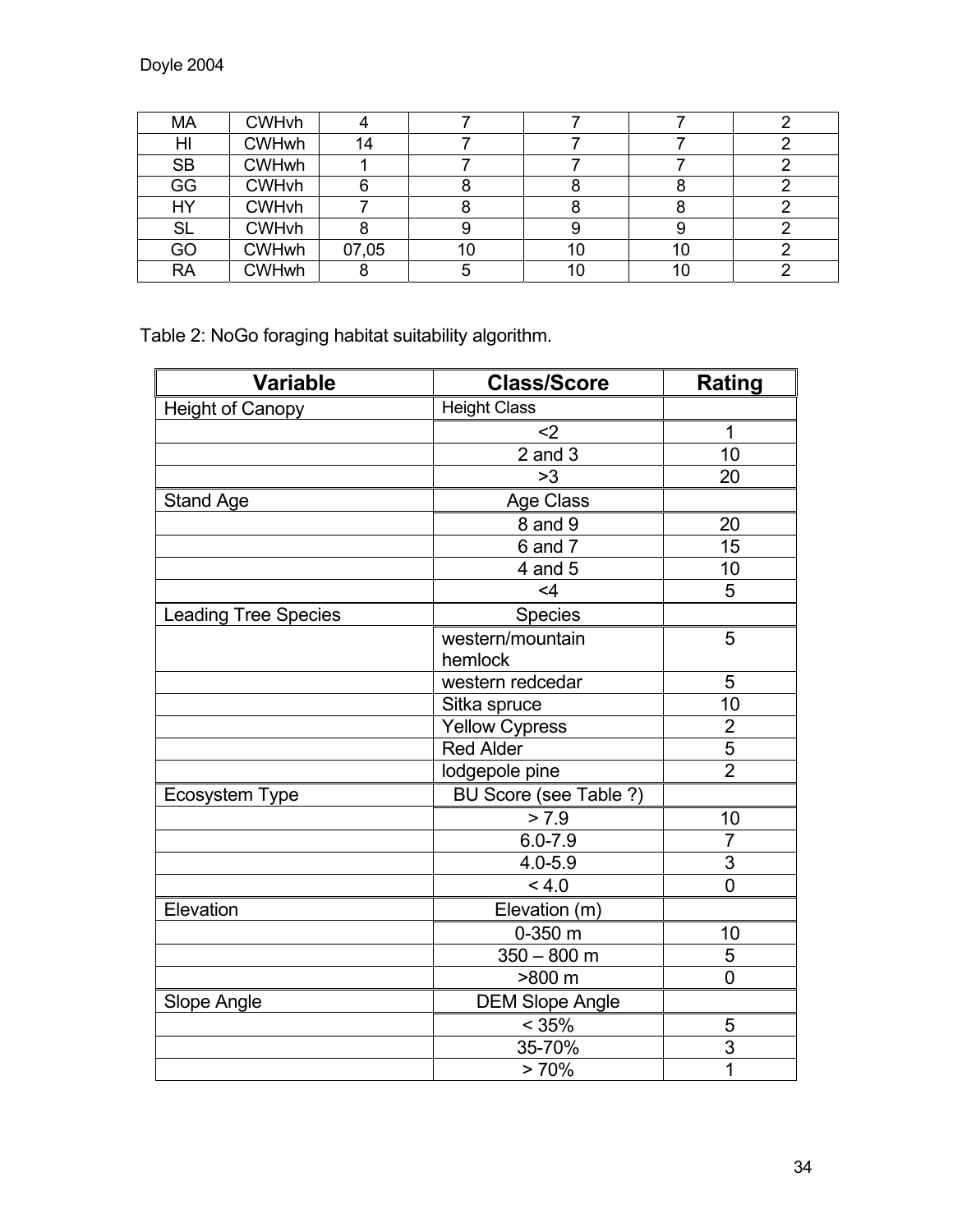| MA        | <b>CWHvh</b> |       |    |    |    |  |
|-----------|--------------|-------|----|----|----|--|
| HI        | <b>CWHwh</b> | 14    |    |    |    |  |
| <b>SB</b> | <b>CWHwh</b> |       |    |    |    |  |
| GG        | <b>CWHvh</b> |       |    |    |    |  |
| HY        | <b>CWHvh</b> |       |    |    |    |  |
| <b>SL</b> | <b>CWHvh</b> |       |    |    |    |  |
| GO        | <b>CWHwh</b> | 07,05 | 10 | 10 | 10 |  |
| <b>RA</b> | <b>CWHwh</b> |       |    | 10 | 10 |  |

Table 2: NoGo foraging habitat suitability algorithm.

| <b>Variable</b>             | <b>Class/Score</b>     | <b>Rating</b>   |
|-----------------------------|------------------------|-----------------|
| Height of Canopy            | <b>Height Class</b>    |                 |
|                             | $2$                    | $\overline{1}$  |
|                             | $2$ and $3$            | $\overline{10}$ |
|                             | >3                     | 20              |
| <b>Stand Age</b>            | Age Class              |                 |
|                             | 8 and 9                | 20              |
|                             | $\overline{6}$ and 7   | 15              |
|                             | 4 and 5                | 10              |
|                             | $<$ 4                  | 5               |
| <b>Leading Tree Species</b> | <b>Species</b>         |                 |
|                             | western/mountain       | 5               |
|                             | hemlock                |                 |
|                             | western redcedar       | 5               |
|                             | Sitka spruce           | 10              |
|                             | <b>Yellow Cypress</b>  | $\overline{2}$  |
|                             | <b>Red Alder</b>       | 5               |
|                             | lodgepole pine         | $\overline{2}$  |
| Ecosystem Type              | BU Score (see Table ?) |                 |
|                             | > 7.9                  | 10              |
|                             | $6.0 - 7.9$            | $\overline{7}$  |
|                             | $4.0 - 5.9$            | $\overline{3}$  |
|                             | < 4.0                  | $\overline{0}$  |
| Elevation                   | Elevation (m)          |                 |
|                             | $0-350$ m              | 10              |
|                             | $350 - 800$ m          | 5               |
|                             | >800 m                 | 0               |
| Slope Angle                 | <b>DEM Slope Angle</b> |                 |
|                             | $\leq 35\%$            | 5               |
|                             | 35-70%                 | 3               |
|                             | >70%                   | 1               |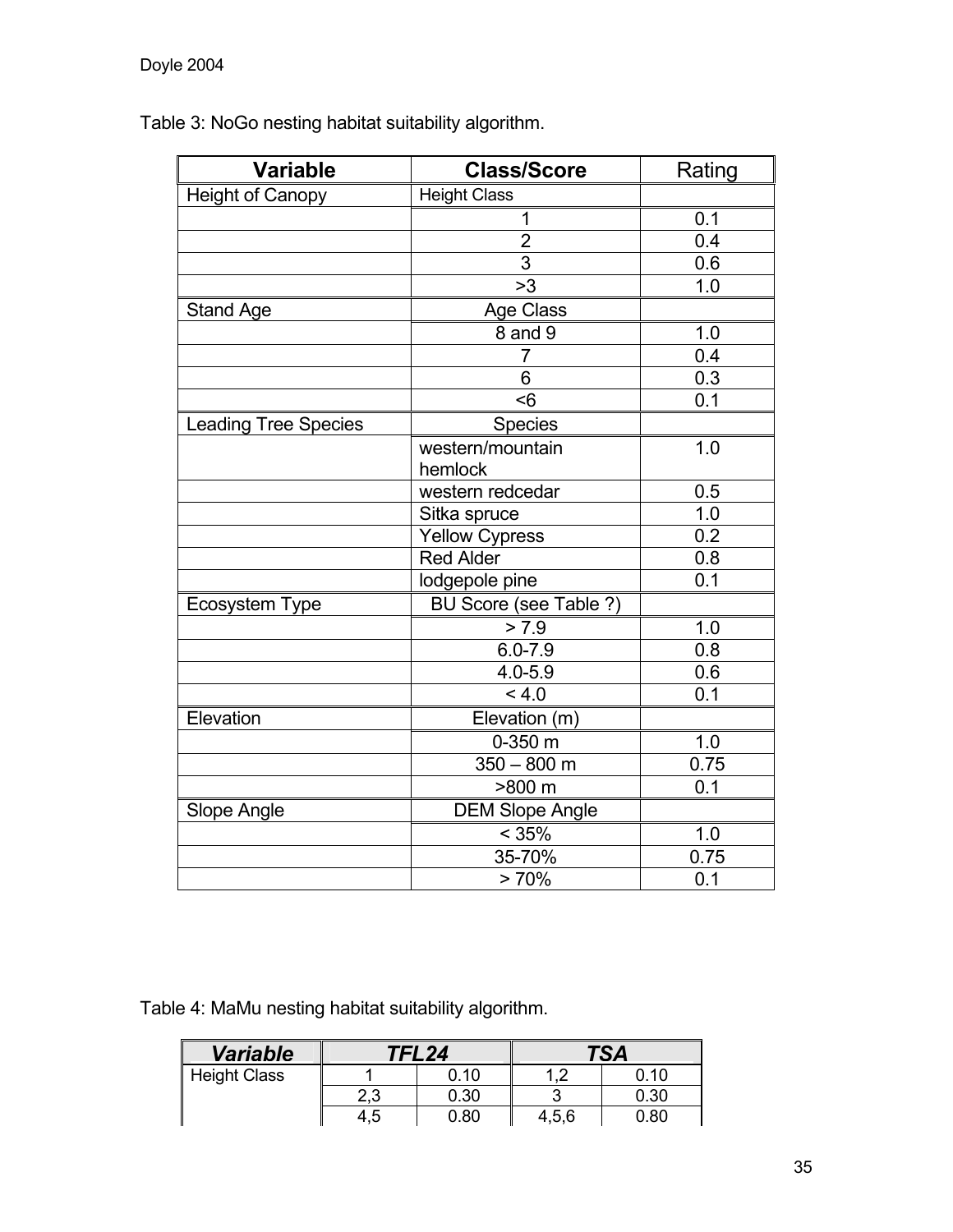Table 3: NoGo nesting habitat suitability algorithm.

| <b>Variable</b>             | <b>Class/Score</b>          | Rating           |
|-----------------------------|-----------------------------|------------------|
| <b>Height of Canopy</b>     | <b>Height Class</b>         |                  |
|                             | 1                           | 0.1              |
|                             | $\overline{2}$              | 0.4              |
|                             | $\overline{3}$              | 0.6              |
|                             | >3                          | 1.0              |
| <b>Stand Age</b>            | Age Class                   |                  |
|                             | 8 and 9                     | 1.0              |
|                             | $\overline{7}$              | 0.4              |
|                             | 6                           | 0.3              |
|                             | $\leq 6$                    | 0.1              |
| <b>Leading Tree Species</b> | Species                     |                  |
|                             | western/mountain<br>hemlock | 1.0              |
|                             | western redcedar            | 0.5              |
|                             | Sitka spruce                | 1.0              |
|                             | <b>Yellow Cypress</b>       | $\overline{0.2}$ |
|                             | <b>Red Alder</b>            | 0.8              |
|                             | lodgepole pine              | 0.1              |
| Ecosystem Type              | BU Score (see Table ?)      |                  |
|                             | > 7.9                       | 1.0              |
|                             | $6.0 - 7.9$                 | 0.8              |
|                             | $4.0 - 5.9$                 | 0.6              |
|                             | 4.0                         | 0.1              |
| Elevation                   | Elevation (m)               |                  |
|                             | 0-350 m                     | 1.0              |
|                             | $350 - 800$ m               | 0.75             |
|                             | >800 m                      | 0.1              |
| Slope Angle                 | <b>DEM Slope Angle</b>      |                  |
|                             | < 35%                       | 1.0              |
|                             | 35-70%                      | 0.75             |
|                             | > 70%                       | 0.1              |

Table 4: MaMu nesting habitat suitability algorithm.

| <b>Variable</b>     | TFL24 |      |        | 50 I |
|---------------------|-------|------|--------|------|
| <b>Height Class</b> |       | .10  | $\sim$ | -10  |
|                     | 2,3   | 0.30 |        | 0.30 |
|                     | 4,5   | 0.80 | 4,5,6  | ა.80 |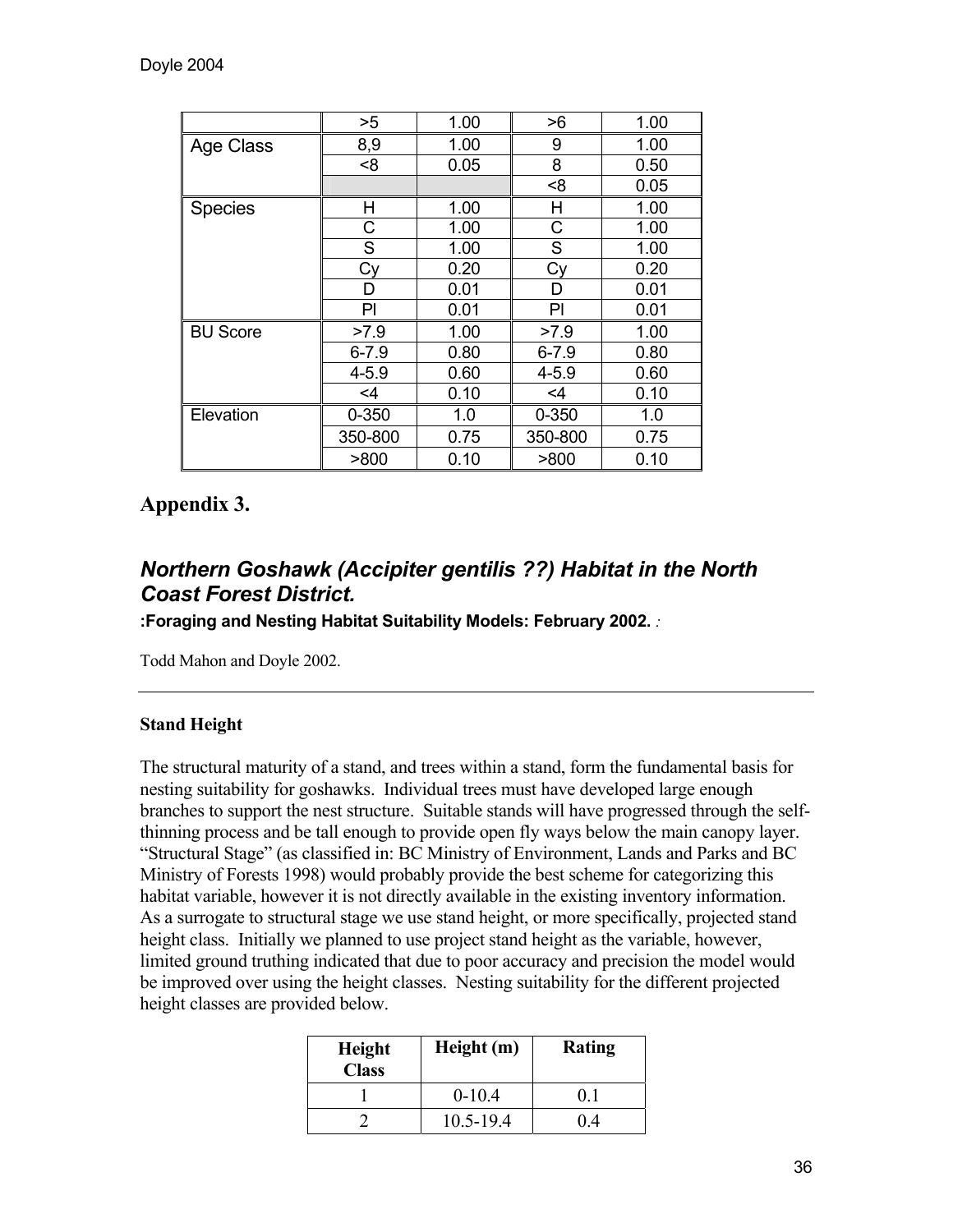|                 | >5        | 1.00 | >6        | 1.00 |
|-----------------|-----------|------|-----------|------|
| Age Class       | 8,9       | 1.00 | 9         | 1.00 |
|                 | < 8       | 0.05 | 8         | 0.50 |
|                 |           |      | < 8       | 0.05 |
| <b>Species</b>  | Η         | 1.00 | Н         | 1.00 |
|                 | С         | 1.00 | С         | 1.00 |
|                 | S         | 1.00 | S         | 1.00 |
|                 | Cy        | 0.20 | Сy        | 0.20 |
|                 | D         | 0.01 | D         | 0.01 |
|                 | PI        | 0.01 | PI        | 0.01 |
| <b>BU Score</b> | >7.9      | 1.00 | >7.9      | 1.00 |
|                 | $6 - 7.9$ | 0.80 | $6 - 7.9$ | 0.80 |
|                 | $4 - 5.9$ | 0.60 | $4 - 5.9$ | 0.60 |
|                 | $<$ 4     | 0.10 | $\leq 4$  | 0.10 |
| Elevation       | $0 - 350$ | 1.0  | 0-350     | 1.0  |
|                 | 350-800   | 0.75 | 350-800   | 0.75 |
|                 | >800      | 0.10 | >800      | 0.10 |

# **Appendix 3.**

# *Northern Goshawk (Accipiter gentilis ??) Habitat in the North Coast Forest District.*

**:Foraging and Nesting Habitat Suitability Models: February 2002.** *:*

Todd Mahon and Doyle 2002.

# **Stand Height**

The structural maturity of a stand, and trees within a stand, form the fundamental basis for nesting suitability for goshawks. Individual trees must have developed large enough branches to support the nest structure. Suitable stands will have progressed through the selfthinning process and be tall enough to provide open fly ways below the main canopy layer. "Structural Stage" (as classified in: BC Ministry of Environment, Lands and Parks and BC Ministry of Forests 1998) would probably provide the best scheme for categorizing this habitat variable, however it is not directly available in the existing inventory information. As a surrogate to structural stage we use stand height, or more specifically, projected stand height class. Initially we planned to use project stand height as the variable, however, limited ground truthing indicated that due to poor accuracy and precision the model would be improved over using the height classes. Nesting suitability for the different projected height classes are provided below.

| <b>Height</b><br><b>Class</b> | Height (m) | Rating |
|-------------------------------|------------|--------|
|                               | $0-10.4$   |        |
|                               | 10.5-19.4  |        |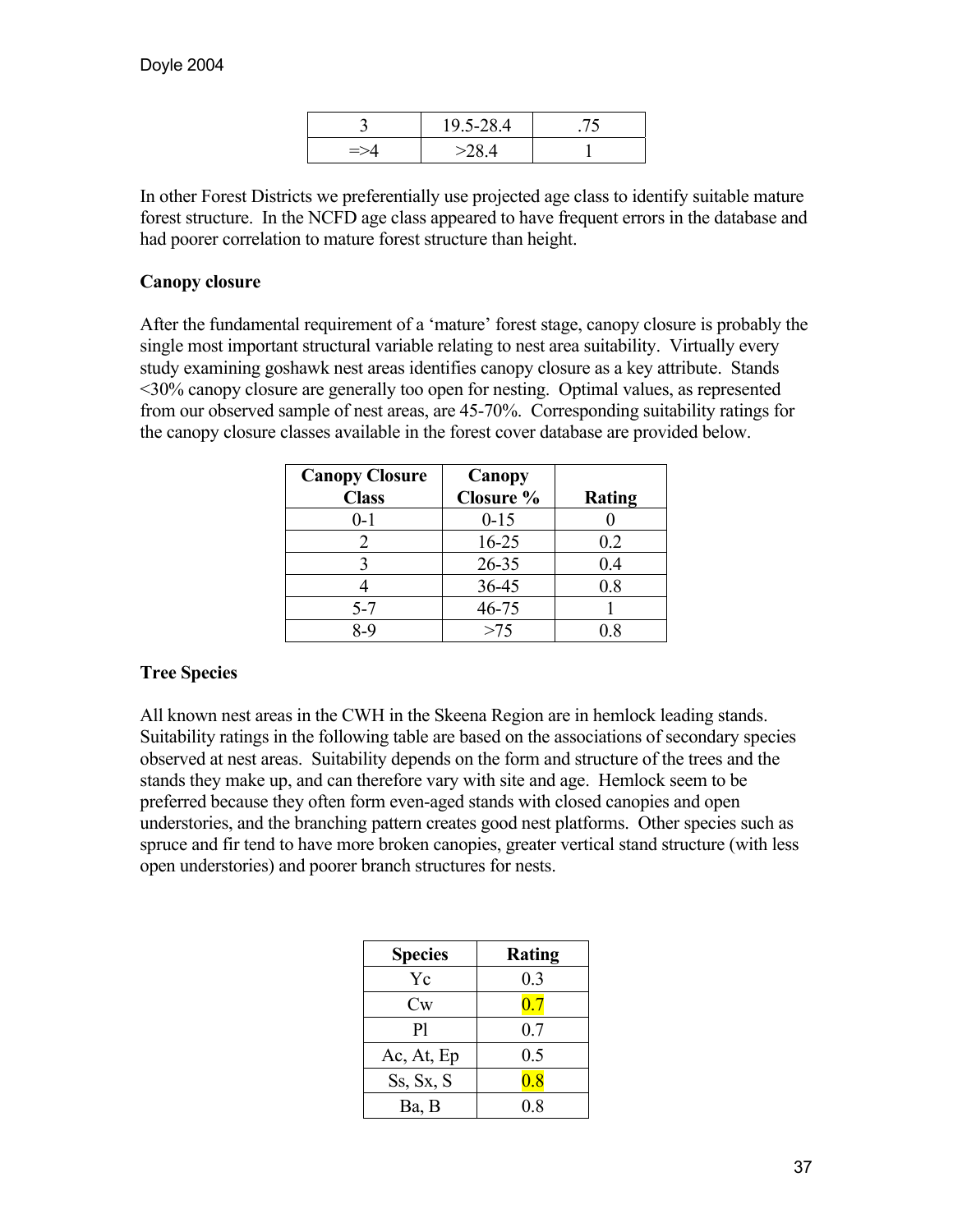|               | 19.5-28.4         |  |
|---------------|-------------------|--|
| $\Rightarrow$ | $\sim$ 2 $\alpha$ |  |

In other Forest Districts we preferentially use projected age class to identify suitable mature forest structure. In the NCFD age class appeared to have frequent errors in the database and had poorer correlation to mature forest structure than height.

### **Canopy closure**

After the fundamental requirement of a 'mature' forest stage, canopy closure is probably the single most important structural variable relating to nest area suitability. Virtually every study examining goshawk nest areas identifies canopy closure as a key attribute. Stands <30% canopy closure are generally too open for nesting. Optimal values, as represented from our observed sample of nest areas, are 45-70%. Corresponding suitability ratings for the canopy closure classes available in the forest cover database are provided below.

| <b>Canopy Closure</b> | Canopy    |               |
|-----------------------|-----------|---------------|
| <b>Class</b>          | Closure % | <b>Rating</b> |
| $0 - 1$               | $0 - 15$  |               |
|                       | $16 - 25$ | 0.2           |
|                       | $26 - 35$ | 0.4           |
|                       | 36-45     | 0.8           |
| $5 - 7$               | $46 - 75$ |               |
| R_C                   | >75       |               |

### **Tree Species**

All known nest areas in the CWH in the Skeena Region are in hemlock leading stands. Suitability ratings in the following table are based on the associations of secondary species observed at nest areas. Suitability depends on the form and structure of the trees and the stands they make up, and can therefore vary with site and age. Hemlock seem to be preferred because they often form even-aged stands with closed canopies and open understories, and the branching pattern creates good nest platforms. Other species such as spruce and fir tend to have more broken canopies, greater vertical stand structure (with less open understories) and poorer branch structures for nests.

| <b>Species</b> | Rating |
|----------------|--------|
| Yc             | 0.3    |
| $\mathrm{Cw}$  | 0.7    |
| P <sub>1</sub> | 0.7    |
| Ac, At, Ep     | 0.5    |
| Ss, Sx, S      | 0.8    |
| Ba, B          | 0.8    |